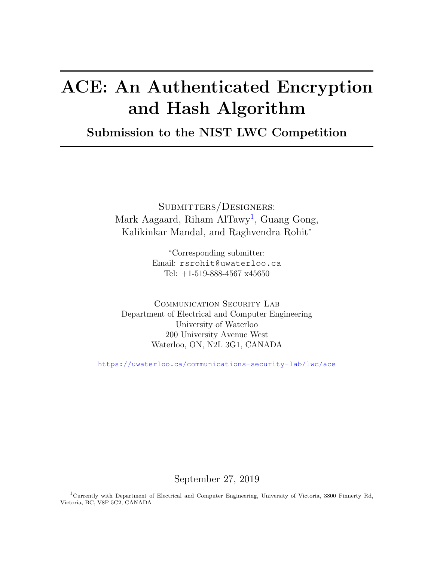## ACE: An Authenticated Encryption and Hash Algorithm

## Submission to the NIST LWC Competition

Submitters/Designers: Mark Aagaard, Riham AlTawy<sup>1</sup>, Guang Gong, Kalikinkar Mandal, and Raghvendra Rohit<sup>∗</sup>

> <sup>∗</sup>Corresponding submitter: Email: rsrohit@uwaterloo.ca Tel: +1-519-888-4567 x45650

COMMUNICATION SECURITY LAB Department of Electrical and Computer Engineering University of Waterloo 200 University Avenue West Waterloo, ON, N2L 3G1, CANADA

<https://uwaterloo.ca/communications-security-lab/lwc/ace>

September 27, 2019

<sup>1</sup>Currently with Department of Electrical and Computer Engineering, University of Victoria, 3800 Finnerty Rd, Victoria, BC, V8P 5C2, CANADA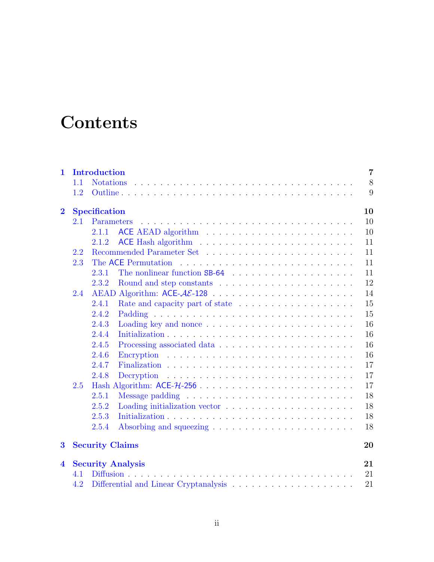## **Contents**

| $\mathbf{1}$            |         | <b>Introduction</b>    |                          | $\overline{7}$ |
|-------------------------|---------|------------------------|--------------------------|----------------|
|                         | 1.1     |                        |                          | 8              |
|                         | 1.2     |                        |                          | 9              |
| $\bf{2}$                |         | <b>Specification</b>   |                          | 10             |
|                         | 2.1     | Parameters             |                          | 10             |
|                         |         | 2.1.1                  |                          | 10             |
|                         |         | 2.1.2                  |                          | 11             |
|                         | $2.2\,$ |                        |                          | 11             |
|                         | 2.3     |                        | The ACE Permutation      | 11             |
|                         |         | 2.3.1                  |                          | 11             |
|                         |         | 2.3.2                  |                          | 12             |
|                         | 2.4     |                        |                          | 14             |
|                         |         | 2.4.1                  |                          | 15             |
|                         |         | 2.4.2                  |                          | 15             |
|                         |         | 2.4.3                  |                          | 16             |
|                         |         | 2.4.4                  |                          | 16             |
|                         |         | 2.4.5                  |                          | 16             |
|                         |         | 2.4.6                  |                          | 16             |
|                         |         | 2.4.7                  |                          | 17             |
|                         |         | 2.4.8                  |                          | 17             |
|                         | 2.5     |                        |                          | 17             |
|                         |         | 2.5.1                  |                          | 18             |
|                         |         | 2.5.2                  |                          | 18             |
|                         |         | 2.5.3                  |                          | 18             |
|                         |         | 2.5.4                  |                          | 18             |
| 3                       |         | <b>Security Claims</b> |                          | 20             |
| $\overline{\mathbf{4}}$ |         |                        | <b>Security Analysis</b> | 21             |
|                         | 4.1     |                        |                          | 21             |
|                         | 4.2     |                        |                          | 21             |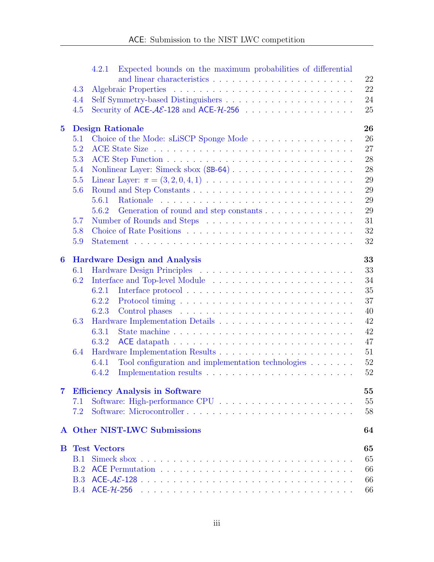|              |     | Expected bounds on the maximum probabilities of differential<br>4.2.1                             |        |
|--------------|-----|---------------------------------------------------------------------------------------------------|--------|
|              |     |                                                                                                   | 22     |
|              | 4.3 |                                                                                                   | 22     |
|              | 4.4 |                                                                                                   | 24     |
|              | 4.5 |                                                                                                   | 25     |
| $\bf{5}$     |     | <b>Design Rationale</b>                                                                           | 26     |
|              | 5.1 | Choice of the Mode: sLiSCP Sponge Mode                                                            | 26     |
|              | 5.2 |                                                                                                   | 27     |
|              | 5.3 |                                                                                                   | 28     |
|              | 5.4 |                                                                                                   | 28     |
|              | 5.5 | Linear Layer: $\pi = (3, 2, 0, 4, 1) \dots \dots \dots \dots \dots \dots \dots \dots \dots \dots$ | 29     |
|              | 5.6 |                                                                                                   | 29     |
|              |     | 5.6.1                                                                                             | 29     |
|              |     | 5.6.2                                                                                             | 29     |
|              | 5.7 |                                                                                                   | 31     |
|              | 5.8 |                                                                                                   | 32     |
|              | 5.9 |                                                                                                   | 32     |
| 6            |     | <b>Hardware Design and Analysis</b>                                                               | 33     |
|              | 6.1 |                                                                                                   | 33     |
|              | 6.2 |                                                                                                   | 34     |
|              |     | 6.2.1                                                                                             | 35     |
|              |     | 6.2.2                                                                                             | 37     |
|              |     | 6.2.3                                                                                             | 40     |
|              | 6.3 |                                                                                                   | $42\,$ |
|              |     | 6.3.1                                                                                             | 42     |
|              |     | 6.3.2                                                                                             | 47     |
|              | 6.4 |                                                                                                   | 51     |
|              |     | 6.4.1<br>Tool configuration and implementation technologies $\ldots \ldots$                       | 52     |
|              |     | 6.4.2                                                                                             | 52     |
| 7            |     | <b>Efficiency Analysis in Software</b>                                                            | 55     |
|              | 7.1 |                                                                                                   | 55     |
|              | 7.2 |                                                                                                   | 58     |
| $\mathbf{A}$ |     | <b>Other NIST-LWC Submissions</b>                                                                 | 64     |
| B.           |     | <b>Test Vectors</b>                                                                               | 65     |
|              | B.1 |                                                                                                   | 65     |
|              | B.2 |                                                                                                   | 66     |
|              | B.3 |                                                                                                   | 66     |
|              |     |                                                                                                   | 66     |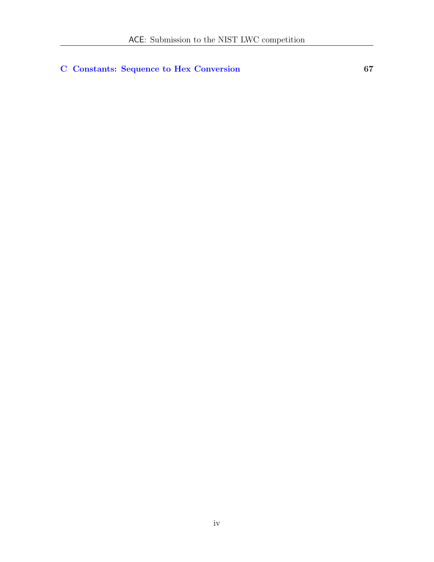### [C Constants: Sequence to Hex Conversion](#page-66-0) 67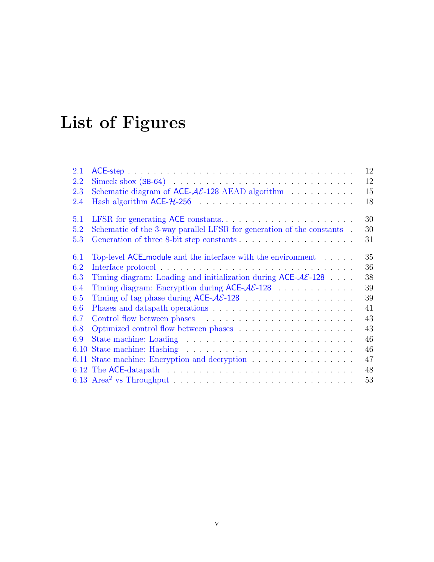## List of Figures

| 2.1  |                                                                                                       | 12 |
|------|-------------------------------------------------------------------------------------------------------|----|
| 2.2  |                                                                                                       | 12 |
| 2.3  | Schematic diagram of ACE- $AE$ -128 AEAD algorithm                                                    | 15 |
| 2.4  |                                                                                                       | 18 |
| 5.1  |                                                                                                       | 30 |
| 5.2  | Schematic of the 3-way parallel LFSR for generation of the constants.                                 | 30 |
| 5.3  |                                                                                                       | 31 |
| 6.1  | Top-level $ACE$ module and the interface with the environment $\dots$                                 | 35 |
| 6.2  |                                                                                                       | 36 |
| 6.3  | Timing diagram: Loading and initialization during $ACE-A\mathcal{E}$ -128                             | 38 |
| 6.4  |                                                                                                       | 39 |
| 6.5  | Timing of tag phase during $ACE-A\mathcal{E}$ -128                                                    | 39 |
| 6.6  |                                                                                                       | 41 |
| 6.7  |                                                                                                       | 43 |
| 6.8  |                                                                                                       | 43 |
| 6.9  |                                                                                                       | 46 |
| 6.10 |                                                                                                       | 46 |
|      | 6.11 State machine: Encryption and decryption                                                         | 47 |
|      | 6.12 The ACE-datapath $\ldots \ldots \ldots \ldots \ldots \ldots \ldots \ldots \ldots \ldots \ldots$  | 48 |
|      | 6.13 Area <sup>2</sup> vs Throughput $\ldots \ldots \ldots \ldots \ldots \ldots \ldots \ldots \ldots$ | 53 |
|      |                                                                                                       |    |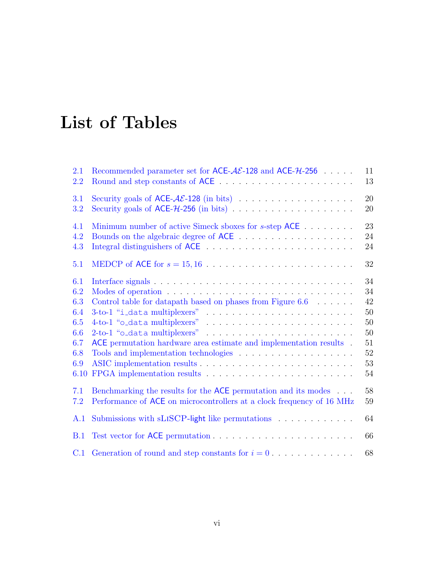## List of Tables

| 2.1  | Recommended parameter set for ACE- $A\mathcal{E}$ -128 and ACE- $H$ -256   | 11     |
|------|----------------------------------------------------------------------------|--------|
| 2.2  |                                                                            | 13     |
| 3.1  |                                                                            | 20     |
| 3.2  |                                                                            | 20     |
| 4.1  | Minimum number of active Simeck sboxes for s-step ACE                      | 23     |
| 4.2  |                                                                            | 24     |
| 4.3  |                                                                            | 24     |
| 5.1  |                                                                            | $32\,$ |
| 6.1  |                                                                            | 34     |
| 6.2  |                                                                            | 34     |
| 6.3  | Control table for datapath based on phases from Figure $6.6$               | 42     |
| 6.4  |                                                                            | 50     |
| 6.5  |                                                                            | 50     |
| 6.6  |                                                                            | 50     |
| 6.7  | ACE permutation hardware area estimate and implementation results.         | 51     |
| 6.8  |                                                                            | $52\,$ |
| 6.9  |                                                                            | 53     |
| 6.10 |                                                                            | 54     |
| 7.1  | Benchmarking the results for the ACE permutation and its modes             | 58     |
| 7.2  | Performance of ACE on microcontrollers at a clock frequency of 16 MHz      | 59     |
| A.1  | Submissions with sLISCP-light like permutations                            | 64     |
| B.1  |                                                                            | 66     |
| C.1  | Generation of round and step constants for $i = 0, \ldots, \ldots, \ldots$ | 68     |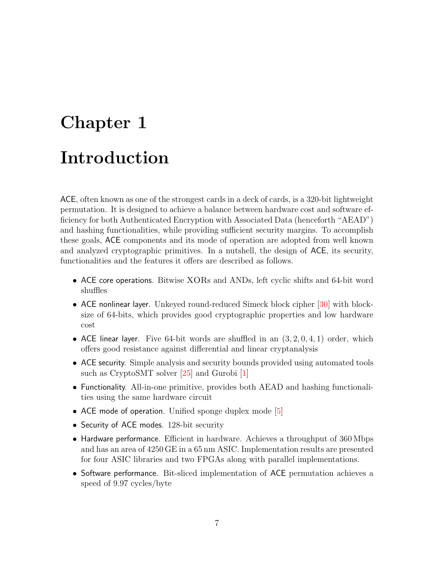# <span id="page-6-0"></span>Chapter 1 Introduction

ACE, often known as one of the strongest cards in a deck of cards, is a 320-bit lightweight permutation. It is designed to achieve a balance between hardware cost and software efficiency for both Authenticated Encryption with Associated Data (henceforth "AEAD") and hashing functionalities, while providing sufficient security margins. To accomplish these goals, ACE components and its mode of operation are adopted from well known and analyzed cryptographic primitives. In a nutshell, the design of ACE, its security, functionalities and the features it offers are described as follows.

- ACE core operations. Bitwise XORs and ANDs, left cyclic shifts and 64-bit word shuffles
- ACE nonlinear layer. Unkeyed round-reduced Simeck block cipher [\[30\]](#page-62-0) with blocksize of 64-bits, which provides good cryptographic properties and low hardware cost
- ACE linear layer. Five 64-bit words are shuffled in an  $(3, 2, 0, 4, 1)$  order, which offers good resistance against differential and linear cryptanalysis
- ACE security. Simple analysis and security bounds provided using automated tools such as CryptoSMT solver [\[25\]](#page-62-1) and Gurobi [\[1\]](#page-60-0)
- Functionality. All-in-one primitive, provides both AEAD and hashing functionalities using the same hardware circuit
- ACE mode of operation. Unified sponge duplex mode  $[5]$
- Security of ACE modes. 128-bit security
- Hardware performance. Efficient in hardware. Achieves a throughput of 360 Mbps and has an area of 4250 GE in a 65 nm ASIC. Implementation results are presented for four ASIC libraries and two FPGAs along with parallel implementations.
- Software performance. Bit-sliced implementation of ACE permutation achieves a speed of 9.97 cycles/byte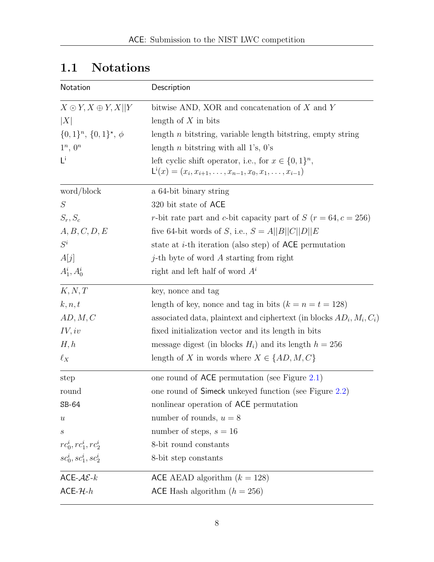| Notation                                 | Description                                                                               |
|------------------------------------------|-------------------------------------------------------------------------------------------|
| $X \odot Y, X \oplus Y, X  Y$            | bitwise AND, XOR and concatenation of $X$ and $Y$                                         |
| X                                        | length of $X$ in bits                                                                     |
| $\{0,1\}^n$ , $\{0,1\}^{\star}$ , $\phi$ | length $n$ bitstring, variable length bitstring, empty string                             |
| $1^n, 0^n$                               | length <i>n</i> bitstring with all 1's, $0$ 's                                            |
| $L^{i}$                                  | left cyclic shift operator, i.e., for $x \in \{0,1\}^n$ ,                                 |
|                                          | $\mathsf{L}^{\mathsf{i}}(x) = (x_i, x_{i+1}, \ldots, x_{n-1}, x_0, x_1, \ldots, x_{i-1})$ |
| word/block                               | a 64-bit binary string                                                                    |
| S                                        | 320 bit state of ACE                                                                      |
| $S_r, S_c$                               | r-bit rate part and c-bit capacity part of $S(r = 64, c = 256)$                           |
| A, B, C, D, E                            | five 64-bit words of S, i.e., $S = A  B  C  D  E$                                         |
| $S^i$                                    | state at $i$ -th iteration (also step) of ACE permutation                                 |
| A[j]                                     | <i>j</i> -th byte of word $A$ starting from right                                         |
| $A_1^i, A_0^i$                           | right and left half of word $A^i$                                                         |
| K, N, T                                  | key, nonce and tag                                                                        |
| k, n, t                                  | length of key, nonce and tag in bits $(k = n = t = 128)$                                  |
| AD, M, C                                 | associated data, plaintext and ciphertext (in blocks $AD_i$ , $M_i$ , $C_i$ )             |
| IV, iv                                   | fixed initialization vector and its length in bits                                        |
| H, h                                     | message digest (in blocks $H_i$ ) and its length $h = 256$                                |
| $\ell_X$                                 | length of X in words where $X \in \{AD, M, C\}$                                           |
| step                                     | one round of $ACE$ permutation (see Figure 2.1)                                           |
| round                                    | one round of Simeck unkeyed function (see Figure 2.2)                                     |
| SB-64                                    | nonlinear operation of ACE permutation                                                    |
| $\boldsymbol{u}$                         | number of rounds, $u = 8$                                                                 |
| $\, s \,$                                | number of steps, $s = 16$                                                                 |
| $rc_0^i, rc_1^i, rc_2^i$                 | 8-bit round constants                                                                     |
| $sc_0^i, sc_1^i, sc_2^i$                 | 8-bit step constants                                                                      |
| ACE- $A\mathcal{E}\text{-}k$             | ACE AEAD algorithm $(k = 128)$                                                            |
| $ACE-H-h$                                | ACE Hash algorithm $(h = 256)$                                                            |

## <span id="page-7-0"></span>1.1 Notations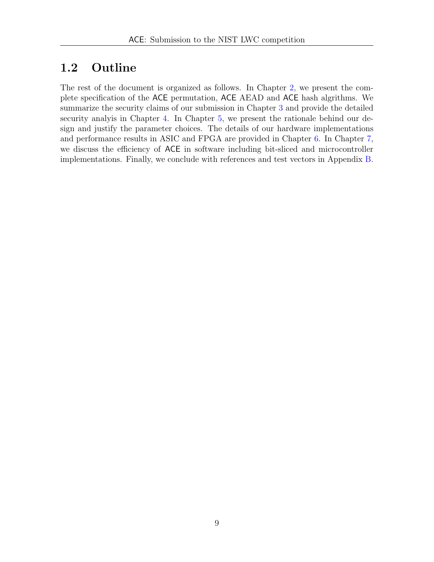## <span id="page-8-0"></span>1.2 Outline

The rest of the document is organized as follows. In Chapter [2,](#page-9-0) we present the complete specification of the ACE permutation, ACE AEAD and ACE hash algrithms. We summarize the security claims of our submission in Chapter [3](#page-19-0) and provide the detailed security analyis in Chapter [4.](#page-20-0) In Chapter [5,](#page-25-0) we present the rationale behind our design and justify the parameter choices. The details of our hardware implementations and performance results in ASIC and FPGA are provided in Chapter [6.](#page-32-0) In Chapter [7,](#page-54-0) we discuss the efficiency of ACE in software including bit-sliced and microcontroller implementations. Finally, we conclude with references and test vectors in Appendix [B.](#page-64-0)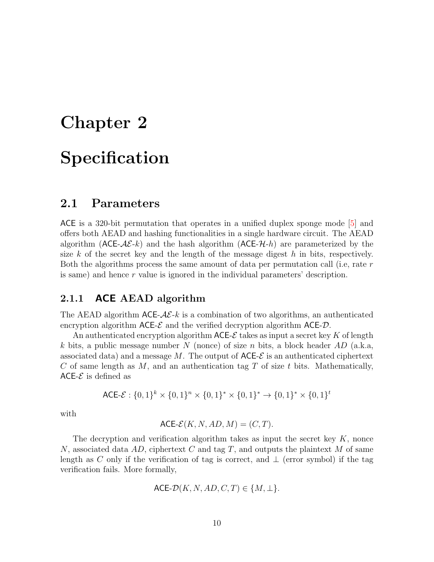# <span id="page-9-0"></span>Chapter 2 **Specification**

## <span id="page-9-1"></span>2.1 Parameters

ACE is a 320-bit permutation that operates in a unified duplex sponge mode [\[5\]](#page-60-1) and offers both AEAD and hashing functionalities in a single hardware circuit. The AEAD algorithm ( $ACE-AE-k$ ) and the hash algorithm ( $ACE-AL-h$ ) are parameterized by the size k of the secret key and the length of the message digest h in bits, respectively. Both the algorithms process the same amount of data per permutation call (i.e, rate r is same) and hence r value is ignored in the individual parameters' description.

#### <span id="page-9-2"></span>2.1.1 **ACE** AEAD algorithm

The AEAD algorithm  $ACE-A\mathcal{E}\text{-}k$  is a combination of two algorithms, an authenticated encryption algorithm  $ACE-\\mathcal{E}$  and the verified decryption algorithm  $ACE- $\mathcal{D}$ .$ 

An authenticated encryption algorithm  $\mathsf{ACE-}\mathcal{E}$  takes as input a secret key K of length k bits, a public message number N (nonce) of size n bits, a block header  $AD$  (a.k.a, associated data) and a message M. The output of  $ACE-\\mathcal{E}$  is an authenticated ciphertext C of same length as  $M$ , and an authentication tag T of size t bits. Mathematically, ACE- $\mathcal E$  is defined as

$$
\mathsf{ACE}\text{-}\mathcal{E}: \{0,1\}^k \times \{0,1\}^n \times \{0,1\}^* \times \{0,1\}^* \to \{0,1\}^* \times \{0,1\}^t
$$

with

$$
\mathsf{ACE}\text{-}\mathcal{E}(K,N,AD,M)=(C,T).
$$

The decryption and verification algorithm takes as input the secret key  $K$ , nonce N, associated data AD, ciphertext C and tag T, and outputs the plaintext M of same length as C only if the verification of tag is correct, and  $\perp$  (error symbol) if the tag verification fails. More formally,

$$
\mathsf{ACE}\text{-}\mathcal{D}(K,N,AD,C,T)\in\{M,\perp\}.
$$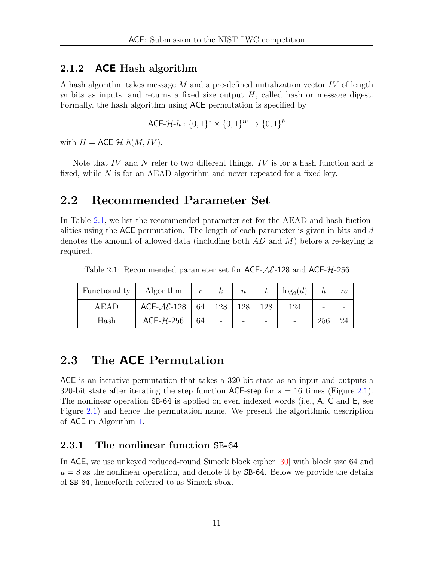#### <span id="page-10-0"></span>2.1.2 ACE Hash algorithm

A hash algorithm takes message  $M$  and a pre-defined initialization vector IV of length iv bits as inputs, and returns a fixed size output  $H$ , called hash or message digest. Formally, the hash algorithm using ACE permutation is specified by

ACE-
$$
\mathcal{H}\text{-}h: \{0,1\}^* \times \{0,1\}^{iv} \rightarrow \{0,1\}^h
$$

with  $H = \text{ACE-}H-h(M, IV)$ .

Note that  $IV$  and  $N$  refer to two different things.  $IV$  is for a hash function and is fixed, while  $N$  is for an AEAD algorithm and never repeated for a fixed key.

## <span id="page-10-1"></span>2.2 Recommended Parameter Set

In Table [2.1,](#page-10-4) we list the recommended parameter set for the AEAD and hash fuctionalities using the ACE permutation. The length of each parameter is given in bits and  $d$ denotes the amount of allowed data (including both  $AD$  and  $M$ ) before a re-keying is required.

<span id="page-10-4"></span>Table 2.1: Recommended parameter set for  $ACE-A\mathcal{E}$ -128 and  $ACE-A\mathcal{E}$ -256

| Functionality | Algorithm                      | $\boldsymbol{r}$ | $\boldsymbol{k}$ | $\boldsymbol{n}$ |     | $\log_2(d)$ |     | $\imath\upsilon$ |
|---------------|--------------------------------|------------------|------------------|------------------|-----|-------------|-----|------------------|
| AEAD          | ACE- $\mathcal{AE}\text{-}128$ | 64               | 128              | 128              | 128 | 124         | -   |                  |
| Hash          | ACE- $H$ -256                  | 64               |                  |                  | -   |             | 256 |                  |

### <span id="page-10-2"></span>2.3 The ACE Permutation

ACE is an iterative permutation that takes a 320-bit state as an input and outputs a 320-bit state after iterating the step function ACE-step for  $s = 16$  times (Figure [2.1\)](#page-11-1). The nonlinear operation SB-64 is applied on even indexed words (i.e., A, C and E, see Figure [2.1\)](#page-11-1) and hence the permutation name. We present the algorithmic description of ACE in Algorithm [1.](#page-12-1)

#### <span id="page-10-3"></span>2.3.1 The nonlinear function SB-64

In ACE, we use unkeyed reduced-round Simeck block cipher [\[30\]](#page-62-0) with block size 64 and  $u = 8$  as the nonlinear operation, and denote it by SB-64. Below we provide the details of SB-64, henceforth referred to as Simeck sbox.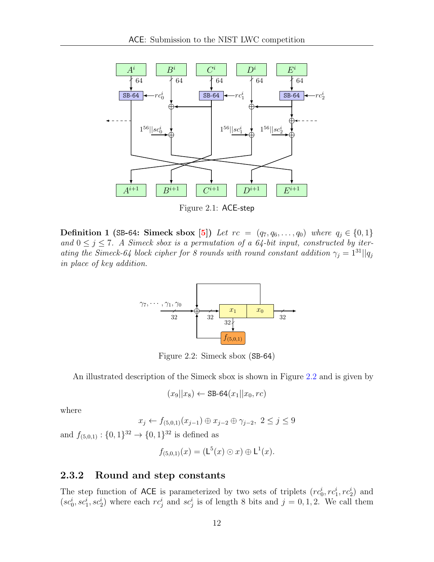<span id="page-11-1"></span>

Figure 2.1: ACE-step

<span id="page-11-2"></span>Definition 1 (SB-64: Simeck sbox [\[5\]](#page-60-1)) Let  $rc = (q_7, q_6, \ldots, q_0)$  where  $q_j \in \{0, 1\}$ and  $0 \leq j \leq 7$ . A Simeck sbox is a permutation of a 64-bit input, constructed by iterating the Simeck-64 block cipher for 8 rounds with round constant addition  $\gamma_j = 1^{31}||q_j$ in place of key addition.



Figure 2.2: Simeck sbox (SB-64)

An illustrated description of the Simeck sbox is shown in Figure [2.2](#page-11-2) and is given by

$$
(x_9||x_8) \leftarrow \texttt{SB-64}(x_1||x_0, rc)
$$

where

$$
x_j \leftarrow f_{(5,0,1)}(x_{j-1}) \oplus x_{j-2} \oplus \gamma_{j-2}, \ 2 \le j \le 9
$$

and  $f_{(5,0,1)}: \{0,1\}^{32} \to \{0,1\}^{32}$  is defined as

$$
f_{(5,0,1)}(x) = (\mathsf{L}^5(x) \odot x) \oplus \mathsf{L}^1(x).
$$

#### <span id="page-11-0"></span>2.3.2 Round and step constants

The step function of ACE is parameterized by two sets of triplets  $(re_0^i, re_1^i, re_2^i)$  and  $(se_0^i, sc_1^i, sc_2^i)$  where each  $rc_j^i$  and  $sc_j^i$  is of length 8 bits and  $j = 0, 1, 2$ . We call them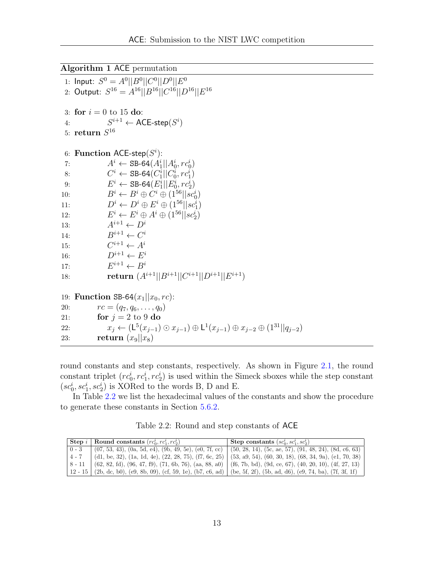<span id="page-12-1"></span>Algorithm 1 ACE permutation

1: Input:  $S^0 = A^0 ||B^0|| C^0 ||D^0|| E^0$ 2: Output:  $S^{16} = A^{16} ||B^{16}||C^{16}||D^{16}||E^{16}$ 3: for  $i = 0$  to 15 do: 4:  $S^{i+1} \leftarrow \mathsf{ACE}\text{-}\mathsf{step}(S^i)$  $5: \; \textbf{return} \; S^{16}$ 6: Function ACE-step $(S^i)$ : 7:  $A^i$  ← SB-64 $(A_1^i || A_0^i, rc_0^i)$ 8:  $C^i \leftarrow \texttt{SB-64}(C^i_1 || C^i_0, rc^i_1)$ 9:  $E^i \leftarrow \text{SB-64}(E_1^i || E_0^i, rc_2^i)$ 10:  $B^i \leftarrow B^i \oplus C^i \oplus (1^{56} || sc_0^i)$ 11:  $D^i \leftarrow D^i \oplus E^i \oplus (1^{56}||sc_1^i)$  $12:$  $i \leftarrow E^i \oplus A^i \oplus (1^{56}||sc_2^i)$ 13:  $A^{i+1} \leftarrow D^i$ 14:  $B^{i+1} \leftarrow C^i$ 15:  $C^{i+1} \leftarrow A^i$ 16:  $D^{i+1} \leftarrow E^i$  $17:$  $E^{i+1} \leftarrow B^i$ 18: **return**  $(A^{i+1}||B^{i+1}||C^{i+1}||D^{i+1}||E^{i+1})$ 19: **Function SB-64** $(x_1||x_0, rc)$ :<br>20:  $rc = (q_7, q_6, \ldots, q_0)$  $rc = (q_7, q_6, \ldots, q_0)$ 21: for  $j = 2$  to 9 do 22:  $x_j \leftarrow (\mathsf{L}^5(x_{j-1}) \odot x_{j-1}) \oplus \mathsf{L}^1(x_{j-1}) \oplus x_{j-2} \oplus (1^{31}||q_{j-2})$ 23: return  $(x_9||x_8)$ 

round constants and step constants, respectively. As shown in Figure [2.1,](#page-11-1) the round constant triplet  $(re_0^i, re_1^i, re_2^i)$  is used within the Simeck sboxes while the step constant  $(sz_0^i, sc_1^i, sc_2^i)$  is XORed to the words B, D and E.

In Table [2.2](#page-12-0) we list the hexadecimal values of the constants and show the procedure to generate these constants in Section [5.6.2.](#page-28-3)

Table 2.2: Round and step constants of ACE

<span id="page-12-0"></span>

|         | <b>Step</b> i Round constants $(re_0^i, re_1^i, re_2^i)$                                                                                   | Step constants $(sc_0^i, sc_1^i, sc_2^i)$                                                                            |
|---------|--------------------------------------------------------------------------------------------------------------------------------------------|----------------------------------------------------------------------------------------------------------------------|
| $0 - 3$ |                                                                                                                                            | $(07, 53, 43), (0a, 5d, e4), (9b, 49, 5e), (e0, 7f, cc)$ (50, 28, 14), (5c, ae, 57), (91, 48, 24), (8d, c6, 63)      |
| $4 - 7$ |                                                                                                                                            | $(d1, be, 32), (1a, 1d, 4e), (22, 28, 75), (f7, 6c, 25)$ (53, a9, 54), (60, 30, 18), (68, 34, 9a), (e1, 70, 38)      |
|         |                                                                                                                                            | $8-11$ (62, 82, fd), (96, 47, f9), (71, 6b, 76), (aa, 88, a0) (f6, 7b, bd), (9d, ce, 67), (40, 20, 10), (4f, 27, 13) |
|         | $\mid$ 12 - 15 $\mid$ (2b, dc, b0), (e9, 8b, 09), (cf, 59, 1e), (b7, c6, ad) $\mid$ (be, 5f, 2f), (5b, ad, d6), (e9, 74, ba), (7f, 3f, 1f) |                                                                                                                      |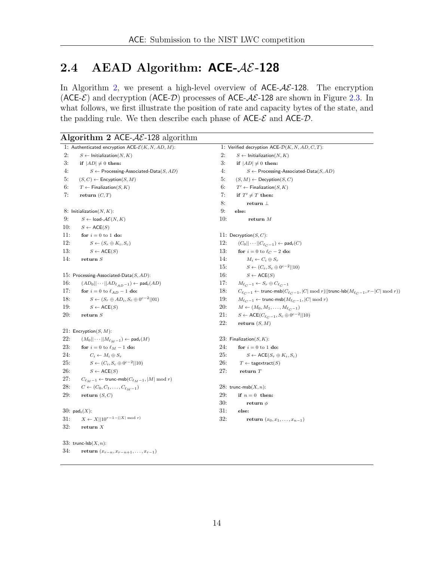## <span id="page-13-0"></span>2.4 AEAD Algorithm:  $ACE-AE-128$

In Algorithm [2,](#page-13-1) we present a high-level overview of  $ACE-A\mathcal{E}-128$ . The encryption (ACE- $\mathcal{E}$ ) and decryption (ACE- $\mathcal{D}$ ) processes of ACE- $\mathcal{A}\mathcal{E}$ -128 are shown in Figure [2.3.](#page-14-2) In what follows, we first illustrate the position of rate and capacity bytes of the state, and the padding rule. We then describe each phase of  $ACE-\mathcal{E}$  and  $ACE-\mathcal{D}$ .

<span id="page-13-1"></span>

|     | Algorithm 2 ACE- $AE$ -128 algorithm                                |     |                                                                                                                       |
|-----|---------------------------------------------------------------------|-----|-----------------------------------------------------------------------------------------------------------------------|
|     | 1: Authenticated encryption $ACE\text{-}\mathcal{E}(K, N, AD, M)$ : |     | 1: Verified decryption ACE- $\mathcal{D}(K, N, AD, C, T)$ :                                                           |
| 2:  | $S \leftarrow$ Initialization(N, K)                                 | 2:  | $S \leftarrow$ Initialization(N, K)                                                                                   |
| 3:  | if $ AD  \neq 0$ then:                                              | 3:  | if $ AD  \neq 0$ then:                                                                                                |
| 4:  | $S \leftarrow$ Processing-Associated-Data $(S, AD)$                 | 4:  | $S \leftarrow$ Processing-Associated-Data $(S, AD)$                                                                   |
| 5:  | $(S, C) \leftarrow$ Encyption $(S, M)$                              | 5:  | $(S, M) \leftarrow$ Decyption $(S, C)$                                                                                |
| 6:  | $T \leftarrow$ Finalization(S, K)                                   | 6:  | $T' \leftarrow$ Finalization(S, K)                                                                                    |
| 7:  | return $(C, T)$                                                     | 7:  | if $T' \neq T$ then:                                                                                                  |
|     |                                                                     | 8:  | return $\perp$                                                                                                        |
|     | 8: Initialization $(N, K)$ :                                        | 9:  | else:                                                                                                                 |
| 9:  | $S \leftarrow$ load- $\mathcal{AE}(N, K)$                           | 10: | return $M$                                                                                                            |
| 10: | $S \leftarrow \mathsf{ACE}(S)$                                      |     |                                                                                                                       |
| 11: | for $i = 0$ to 1 do:                                                |     | 11: Decryption $(S, C)$ :                                                                                             |
| 12: | $S \leftarrow (S_r \oplus K_i, S_c)$                                | 12: | $(C_0  \cdots  C_{\ell-1}) \leftarrow \mathsf{pad}_r(C)$                                                              |
| 13: | $S \leftarrow \mathsf{ACE}(S)$                                      | 13: | for $i = 0$ to $\ell_C - 2$ do:                                                                                       |
| 14: | return $S$                                                          | 14: | $M_i \leftarrow C_i \oplus S_r$                                                                                       |
|     |                                                                     | 15: | $S \leftarrow (C_i, S_c \oplus 0^{c-2}    10)$                                                                        |
|     | 15: Processing-Associated-Data $(S, AD)$ :                          | 16: | $S \leftarrow \mathsf{ACE}(S)$                                                                                        |
| 16: | $(AD_0  \cdots  AD_{\ell_{AD}-1}) \leftarrow \mathsf{pad}_r(AD)$    | 17: | $M_{\ell_C-1} \leftarrow S_r \oplus C_{\ell_C-1}$                                                                     |
| 17: | for $i = 0$ to $\ell_{AD} - 1$ do:                                  | 18: | $C_{\ell_C-1} \leftarrow \textsf{trunc-msb}(C_{\ell_C-1}, C \bmod r)  \textsf{trunc-lsb}(M_{\ell_C-1},r- C \bmod r))$ |
| 18: | $S \leftarrow (S_r \oplus AD_i, S_c \oplus 0^{c-2}  01)$            | 19: | $M_{\ell, c-1} \leftarrow$ trunc-msb $(M_{\ell, c-1},  C  \mod r)$                                                    |
| 19: | $S \leftarrow \mathsf{ACE}(S)$                                      | 20: | $M \leftarrow (M_0, M_1, \ldots, M_{\ell, c-1})$                                                                      |
| 20: | return $S$                                                          | 21: | $S \leftarrow \mathsf{ACE}(C_{\ell_C-1}, S_c \oplus 0^{c-2}  10)$                                                     |
|     |                                                                     | 22: | return $(S, M)$                                                                                                       |
|     | 21: Encryption $(S, M)$ :                                           |     |                                                                                                                       |
| 22: | $(M_0  \cdots  M_{\ell_M-1}) \leftarrow$ pad <sub>r</sub> $(M)$     |     | 23: Finalization $(S, K)$ :                                                                                           |
| 23: | for $i = 0$ to $\ell_M - 1$ do:                                     | 24: | for $i = 0$ to 1 do:                                                                                                  |
| 24: | $C_i \leftarrow M_i \oplus S_r$                                     | 25: | $S \leftarrow \mathsf{ACE}(S_r \oplus K_i, S_c)$                                                                      |
| 25: | $S \leftarrow (C_i, S_c \oplus 0^{c-2}    10)$                      | 26: | $T \leftarrow$ tagextract $(S)$                                                                                       |
| 26: | $S \leftarrow \mathsf{ACE}(S)$                                      | 27: | return $T$                                                                                                            |
| 27: | $C_{\ell_M-1} \leftarrow$ trunc-msb $(C_{\ell_M-1},  M  \mod r)$    |     |                                                                                                                       |
| 28: | $C \leftarrow (C_0, C_1, \ldots, C_{\ell_M - 1})$                   |     | 28: trunc-msb $(X, n)$ :                                                                                              |
| 29: | return $(S, C)$                                                     | 29: | if $n = 0$ then:                                                                                                      |
|     |                                                                     | 30: | return $\phi$                                                                                                         |
|     | $30: \text{pad}_r(X)$ :                                             | 31: | else:                                                                                                                 |
| 31: | $X \leftarrow X  10^{r-1-( X  \bmod r)}$                            | 32: | <b>return</b> $(x_0, x_1, \ldots, x_{n-1})$                                                                           |
| 32: | return $X$                                                          |     |                                                                                                                       |
|     | 33: trunc-lsb $(X, n)$ :                                            |     |                                                                                                                       |
| 34: | <b>return</b> $(x_{r-n}, x_{r-n+1}, \ldots, x_{r-1})$               |     |                                                                                                                       |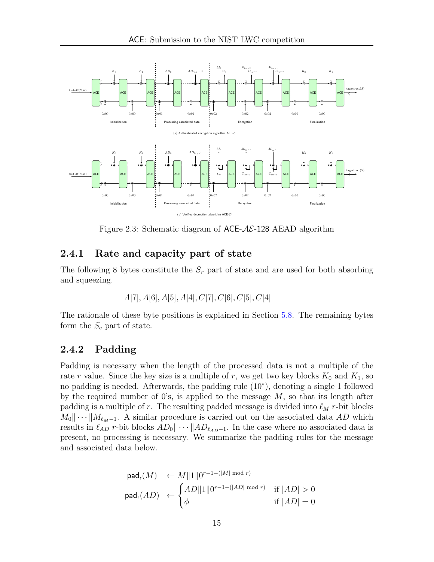<span id="page-14-2"></span>

Figure 2.3: Schematic diagram of  $ACE-A\mathcal{E}$ -128 AEAD algorithm

#### <span id="page-14-0"></span>2.4.1 Rate and capacity part of state

The following 8 bytes constitute the  $S_r$  part of state and are used for both absorbing and squeezing.

$$
A[7], A[6], A[5], A[4], C[7], C[6], C[5], C[4]
$$

The rationale of these byte positions is explained in Section [5.8.](#page-31-0) The remaining bytes form the  $S_c$  part of state.

#### <span id="page-14-1"></span>2.4.2 Padding

Padding is necessary when the length of the processed data is not a multiple of the rate r value. Since the key size is a multiple of r, we get two key blocks  $K_0$  and  $K_1$ , so no padding is needed. Afterwards, the padding rule (10<sup>∗</sup> ), denoting a single 1 followed by the required number of 0's, is applied to the message  $M$ , so that its length after padding is a multiple of r. The resulting padded message is divided into  $\ell_M$  r-bit blocks  $M_0$  · ·  $||M_{\ell_M-1}$ . A similar procedure is carried out on the associated data AD which results in  $\ell_{AD}$  r-bit blocks  $AD_0 \|\cdots |AD_{\ell_{AD-1}}$ . In the case where no associated data is present, no processing is necessary. We summarize the padding rules for the message and associated data below.

$$
\begin{aligned}\n\text{pad}_\mathsf{r}(M) &\leftarrow M \|1\| 0^{r-1-(|M| \bmod r)} \\
\text{pad}_\mathsf{r}(AD) &\leftarrow \begin{cases}\nAD \|1\| 0^{r-1-(|AD| \bmod r)} & \text{if } |AD| > 0 \\
\phi & \text{if } |AD| = 0\n\end{cases}\n\end{aligned}
$$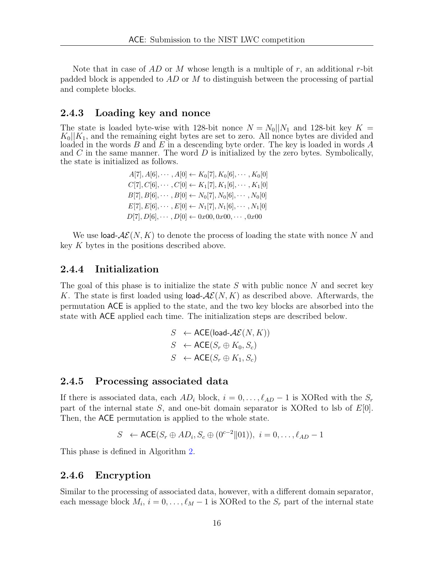Note that in case of  $AD$  or M whose length is a multiple of r, an additional r-bit padded block is appended to  $AD$  or M to distinguish between the processing of partial and complete blocks.

#### <span id="page-15-0"></span>2.4.3 Loading key and nonce

The state is loaded byte-wise with 128-bit nonce  $N = N_0||N_1$  and 128-bit key  $K =$  $K_0||K_1$ , and the remaining eight bytes are set to zero. All nonce bytes are divided and loaded in the words  $B$  and  $E$  in a descending byte order. The key is loaded in words  $A$ and  $C$  in the same manner. The word  $D$  is initialized by the zero bytes. Symbolically, the state is initialized as follows.

| $A[7], A[6], \cdots, A[0] \leftarrow K_0[7], K_0[6], \cdots, K_0[0]$ |
|----------------------------------------------------------------------|
| $C[7], C[6], \cdots, C[0] \leftarrow K_1[7], K_1[6], \cdots, K_1[0]$ |
| $B[7], B[6], \cdots, B[0] \leftarrow N_0[7], N_0[6], \cdots, N_0[0]$ |
| $E[7], E[6], \cdots, E[0] \leftarrow N_1[7], N_1[6], \cdots, N_1[0]$ |
| $D[7], D[6], \cdots, D[0] \leftarrow 0x00, 0x00, \cdots, 0x00$       |

We use load- $\mathcal{AE}(N, K)$  to denote the process of loading the state with nonce N and key K bytes in the positions described above.

#### <span id="page-15-1"></span>2.4.4 Initialization

The goal of this phase is to initialize the state  $S$  with public nonce  $N$  and secret key K. The state is first loaded using load- $\mathcal{AE}(N, K)$  as described above. Afterwards, the permutation ACE is applied to the state, and the two key blocks are absorbed into the state with ACE applied each time. The initialization steps are described below.

$$
S \leftarrow \text{ACE}(\text{load-}\mathcal{AE}(N, K))
$$
  

$$
S \leftarrow \text{ACE}(S_r \oplus K_0, S_c)
$$
  

$$
S \leftarrow \text{ACE}(S_r \oplus K_1, S_c)
$$

#### <span id="page-15-2"></span>2.4.5 Processing associated data

If there is associated data, each  $AD_i$  block,  $i = 0, \ldots, \ell_{AD} - 1$  is XORed with the  $S_r$ part of the internal state S, and one-bit domain separator is XORed to lsb of  $E[0]$ . Then, the ACE permutation is applied to the whole state.

$$
S \leftarrow \mathsf{ACE}(S_r \oplus AD_i, S_c \oplus (0^{c-2} \parallel 01)), \ i = 0, \dots, \ell_{AD} - 1
$$

This phase is defined in Algorithm [2.](#page-13-1)

#### <span id="page-15-3"></span>2.4.6 Encryption

Similar to the processing of associated data, however, with a different domain separator, each message block  $M_i$ ,  $i = 0, \ldots, \ell_M - 1$  is XORed to the  $S_r$  part of the internal state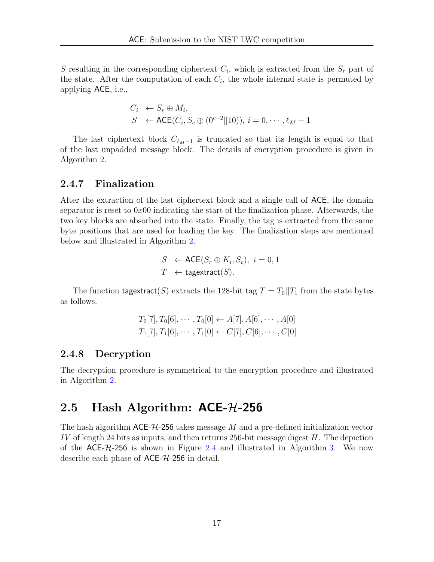S resulting in the corresponding ciphertext  $C_i$ , which is extracted from the  $S_r$  part of the state. After the computation of each  $C_i$ , the whole internal state is permuted by applying ACE, i.e.,

$$
C_i \leftarrow S_r \oplus M_i,
$$
  
\n
$$
S \leftarrow \text{ACE}(C_i, S_c \oplus (0^{c-2} || 10)), i = 0, \cdots, \ell_M - 1
$$

The last ciphertext block  $C_{\ell_M-1}$  is truncated so that its length is equal to that of the last unpadded message block. The details of encryption procedure is given in Algorithm [2.](#page-13-1)

#### <span id="page-16-0"></span>2.4.7 Finalization

After the extraction of the last ciphertext block and a single call of ACE, the domain separator is reset to  $0x00$  indicating the start of the finalization phase. Afterwards, the two key blocks are absorbed into the state. Finally, the tag is extracted from the same byte positions that are used for loading the key. The finalization steps are mentioned below and illustrated in Algorithm [2.](#page-13-1)

$$
S \leftarrow \text{ACE}(S_r \oplus K_i, S_c), \ i = 0, 1
$$
  

$$
T \leftarrow \text{tagextract}(S).
$$

The function tagextract(S) extracts the 128-bit tag  $T = T_0||T_1$  from the state bytes as follows.

$$
T_0[7], T_0[6], \cdots, T_0[0] \leftarrow A[7], A[6], \cdots, A[0]
$$
  

$$
T_1[7], T_1[6], \cdots, T_1[0] \leftarrow C[7], C[6], \cdots, C[0]
$$

#### <span id="page-16-1"></span>2.4.8 Decryption

The decryption procedure is symmetrical to the encryption procedure and illustrated in Algorithm [2.](#page-13-1)

#### <span id="page-16-2"></span>2.5 Hash Algorithm:  $ACE-74-256$

The hash algorithm  $\mathsf{ACE}\text{-}\mathcal{H}\text{-}256$  takes message M and a pre-defined initialization vector IV of length 24 bits as inputs, and then returns 256-bit message digest  $H$ . The depiction of the ACE-H-256 is shown in Figure [2.4](#page-17-4) and illustrated in Algorithm [3.](#page-18-0) We now describe each phase of  $ACE-7L-256$  in detail.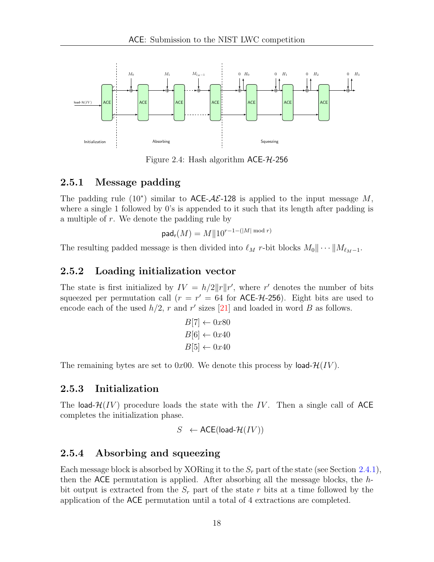<span id="page-17-4"></span>

Figure 2.4: Hash algorithm  $ACE-7L-256$ 

#### <span id="page-17-0"></span>2.5.1 Message padding

The padding rule (10<sup>\*</sup>) similar to  $ACE-\mathcal{AE}-128$  is applied to the input message M, where a single 1 followed by 0's is appended to it such that its length after padding is a multiple of r. We denote the padding rule by

$$
\mathsf{pad}_\mathsf{r}(M) = M \| 10^{r-1 - (|M| \bmod r)}
$$

The resulting padded message is then divided into  $\ell_M$  r-bit blocks  $M_0 \cdots \cdots \cdots \cdots$ 

#### <span id="page-17-1"></span>2.5.2 Loading initialization vector

The state is first initialized by  $IV = h/2||r||r'$ , where r' denotes the number of bits squeezed per permutation call  $(r = r' = 64$  for ACE- $H$ -256). Eight bits are used to encode each of the used  $h/2$ , r and r' sizes [\[21\]](#page-61-0) and loaded in word B as follows.

$$
B[7] \leftarrow 0x80
$$
  

$$
B[6] \leftarrow 0x40
$$
  

$$
B[5] \leftarrow 0x40
$$

The remaining bytes are set to 0x00. We denote this process by load- $\mathcal{H}(IV)$ .

#### <span id="page-17-2"></span>2.5.3 Initialization

The load- $\mathcal{H}(IV)$  procedure loads the state with the IV. Then a single call of ACE completes the initialization phase.

$$
S \leftarrow \mathsf{ACE}(\mathsf{load}\text{-}\mathcal{H}(IV))
$$

#### <span id="page-17-3"></span>2.5.4 Absorbing and squeezing

Each message block is absorbed by XORing it to the  $S_r$  part of the state (see Section [2.4.1\)](#page-14-0), then the ACE permutation is applied. After absorbing all the message blocks, the hbit output is extracted from the  $S_r$  part of the state r bits at a time followed by the application of the ACE permutation until a total of 4 extractions are completed.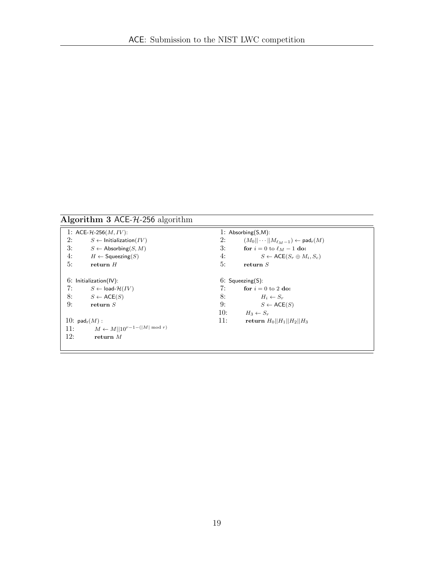## <span id="page-18-0"></span>Algorithm 3 ACE- $H$ -256 algorithm

| 1: ACE- $H$ -256( <i>M</i> , <i>IV</i> ): |                                         |     | 1: Absorbing $(S,M)$ :                                     |  |  |
|-------------------------------------------|-----------------------------------------|-----|------------------------------------------------------------|--|--|
| 2:                                        | $S \leftarrow$ Initialization(IV)       | 2:  | $(M_0  \cdots  M_{\ell_M-1}) \leftarrow \mathsf{pad}_r(M)$ |  |  |
| 3:                                        | $S \leftarrow$ Absorbing(S, M)          | 3:  | for $i = 0$ to $\ell_M - 1$ do:                            |  |  |
| 4:                                        | $H \leftarrow$ Squeezing(S)             | 4:  | $S \leftarrow \mathsf{ACE}(S_r \oplus M_i, S_c)$           |  |  |
| 5:                                        | return $H$                              | 5:  | return $S$                                                 |  |  |
|                                           |                                         |     |                                                            |  |  |
|                                           | $6:$ Initialization(IV):                |     | $6:$ Squeezing $(S)$ :                                     |  |  |
| 7:                                        | $S \leftarrow$ load- $\mathcal{H}(IV)$  | 7:  | for $i = 0$ to 2 do:                                       |  |  |
| 8:                                        | $S \leftarrow \mathsf{ACE}(S)$          | 8:  | $H_i \leftarrow S_r$                                       |  |  |
| 9:                                        | return $S$                              | 9:  | $S \leftarrow$ ACE(S)                                      |  |  |
|                                           |                                         | 10: | $H_3 \leftarrow S_r$                                       |  |  |
| 10: $\text{pad}_r(M)$ :                   |                                         | 11: | return $H_0  H_1  H_2  H_3$                                |  |  |
| 11:                                       | $M \leftarrow M  10^{r-1-( M  \mod r)}$ |     |                                                            |  |  |
| 12:                                       | return $M$                              |     |                                                            |  |  |
|                                           |                                         |     |                                                            |  |  |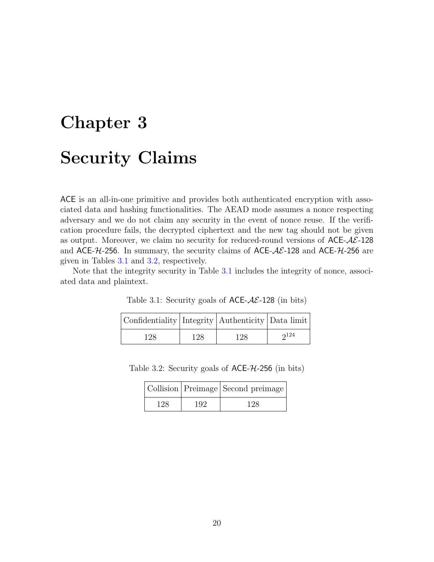# <span id="page-19-0"></span>Chapter 3 Security Claims

ACE is an all-in-one primitive and provides both authenticated encryption with associated data and hashing functionalities. The AEAD mode assumes a nonce respecting adversary and we do not claim any security in the event of nonce reuse. If the verification procedure fails, the decrypted ciphertext and the new tag should not be given as output. Moreover, we claim no security for reduced-round versions of  $\text{ACE-}\mathcal{A}\mathcal{E}$ -128 and ACE- $H$ -256. In summary, the security claims of ACE- $AE$ -128 and ACE- $H$ -256 are given in Tables [3.1](#page-19-1) and [3.2,](#page-19-2) respectively.

<span id="page-19-1"></span>Note that the integrity security in Table [3.1](#page-19-1) includes the integrity of nonce, associated data and plaintext.

| Confidentiality Integrity   Authenticity   Data limit |     |     |      |
|-------------------------------------------------------|-----|-----|------|
| 128                                                   | 128 | 128 | 2124 |

Table 3.1: Security goals of  $ACE-A\mathcal{E}$ -128 (in bits)

<span id="page-19-2"></span>

| Table 3.2: Security goals of $ACE-74-256$ (in bits) |  |  |
|-----------------------------------------------------|--|--|
|-----------------------------------------------------|--|--|

|     |     | Collision   Preimage   Second preimage |  |  |  |
|-----|-----|----------------------------------------|--|--|--|
| 128 | 192 | 128                                    |  |  |  |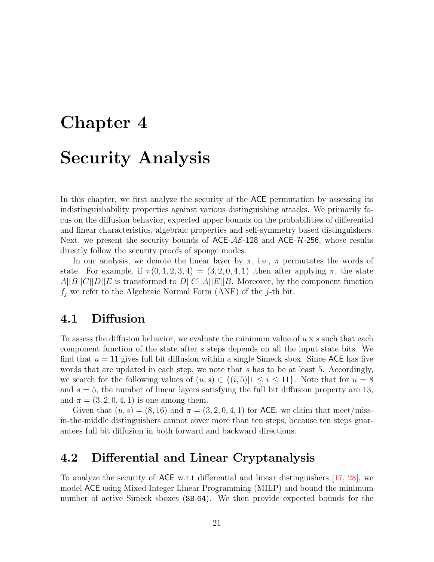# <span id="page-20-0"></span>Chapter 4 Security Analysis

In this chapter, we first analyze the security of the ACE permutation by assessing its indistinguishability properties against various distinguishing attacks. We primarily focus on the diffusion behavior, expected upper bounds on the probabilities of differential and linear characteristics, algebraic properties and self-symmetry based distinguishers. Next, we present the security bounds of  $ACE-A\mathcal{E}$ -128 and  $ACE-A\mathcal{E}$ -256, whose results directly follow the security proofs of sponge modes.

In our analysis, we denote the linear layer by  $\pi$ , i.e.,  $\pi$  permutates the words of state. For example, if  $\pi(0, 1, 2, 3, 4) = (3, 2, 0, 4, 1)$ , then after applying  $\pi$ , the state  $A||B||C||D||E$  is transformed to  $D||C||A||E||B$ . Moreover, by the component function  $f_j$  we refer to the Algebraic Normal Form (ANF) of the j-th bit.

## <span id="page-20-1"></span>4.1 Diffusion

To assess the diffusion behavior, we evaluate the minimum value of  $u \times s$  such that each component function of the state after s steps depends on all the input state bits. We find that  $u = 11$  gives full bit diffusion within a single Simeck sbox. Since ACE has five words that are updated in each step, we note that s has to be at least 5. Accordingly, we search for the following values of  $(u, s) \in \{(i, 5)|1 \le i \le 11\}$ . Note that for  $u = 8$ and  $s = 5$ , the number of linear layers satisfying the full bit diffusion property are 13, and  $\pi = (3, 2, 0, 4, 1)$  is one among them.

Given that  $(u, s) = (8, 16)$  and  $\pi = (3, 2, 0, 4, 1)$  for ACE, we claim that meet/missin-the-middle distinguishers cannot cover more than ten steps, because ten steps guarantees full bit diffusion in both forward and backward directions.

#### <span id="page-20-2"></span>4.2 Differential and Linear Cryptanalysis

To analyze the security of ACE w.r.t differential and linear distinguishers [\[17,](#page-61-1) [28\]](#page-62-2), we model ACE using Mixed Integer Linear Programming (MILP) and bound the minimum number of active Simeck sboxes (SB-64). We then provide expected bounds for the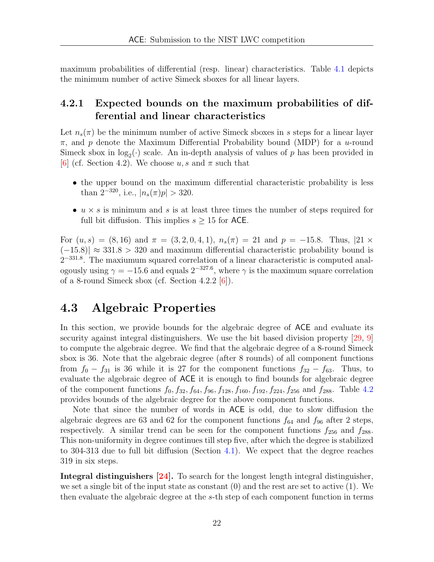maximum probabilities of differential (resp. linear) characteristics. Table [4.1](#page-22-0) depicts the minimum number of active Simeck sboxes for all linear layers.

#### <span id="page-21-0"></span>4.2.1 Expected bounds on the maximum probabilities of differential and linear characteristics

Let  $n_s(\pi)$  be the minimum number of active Simeck sboxes in s steps for a linear layer  $\pi$ , and p denote the Maximum Differential Probability bound (MDP) for a u-round Simeck sbox in  $log_2(\cdot)$  scale. An in-depth analysis of values of p has been provided in [\[6\]](#page-60-2) (cf. Section 4.2). We choose u, s and  $\pi$  such that

- the upper bound on the maximum differential characteristic probability is less than  $2^{-320}$ , i.e.,  $|n_s(\pi)p| > 320$ .
- $u \times s$  is minimum and s is at least three times the number of steps required for full bit diffusion. This implies  $s \geq 15$  for ACE.

For  $(u, s) = (8, 16)$  and  $\pi = (3, 2, 0, 4, 1), n_s(\pi) = 21$  and  $p = -15.8$ . Thus,  $|21 \times$  $(-15.8)$ | ≈ 331.8 > 320 and maximum differential characteristic probability bound is 2<sup>-331.8</sup>. The maxiumum squared correlation of a linear characteristic is computed analogously using  $\gamma = -15.6$  and equals  $2^{-327.6}$ , where  $\gamma$  is the maximum square correlation of a 8-round Simeck sbox (cf. Section 4.2.2  $[6]$ ).

#### <span id="page-21-1"></span>4.3 Algebraic Properties

In this section, we provide bounds for the algebraic degree of ACE and evaluate its security against integral distinguishers. We use the bit based division property [\[29,](#page-62-3) [9\]](#page-60-3) to compute the algebraic degree. We find that the algebraic degree of a 8-round Simeck sbox is 36. Note that the algebraic degree (after 8 rounds) of all component functions from  $f_0 - f_{31}$  is 36 while it is 27 for the component functions  $f_{32} - f_{63}$ . Thus, to evaluate the algebraic degree of ACE it is enough to find bounds for algebraic degree of the component functions  $f_0$ ,  $f_{32}$ ,  $f_{64}$ ,  $f_{96}$ ,  $f_{128}$ ,  $f_{160}$ ,  $f_{192}$ ,  $f_{224}$ ,  $f_{256}$  and  $f_{288}$ . Table [4.2](#page-23-1) provides bounds of the algebraic degree for the above component functions.

Note that since the number of words in ACE is odd, due to slow diffusion the algebraic degrees are 63 and 62 for the component functions  $f_{64}$  and  $f_{96}$  after 2 steps, respectively. A similar trend can be seen for the component functions  $f_{256}$  and  $f_{288}$ . This non-uniformity in degree continues till step five, after which the degree is stabilized to 304-313 due to full bit diffusion (Section [4.1\)](#page-20-1). We expect that the degree reaches 319 in six steps.

Integral distinguishers [\[24\]](#page-62-4). To search for the longest length integral distinguisher, we set a single bit of the input state as constant (0) and the rest are set to active (1). We then evaluate the algebraic degree at the s-th step of each component function in terms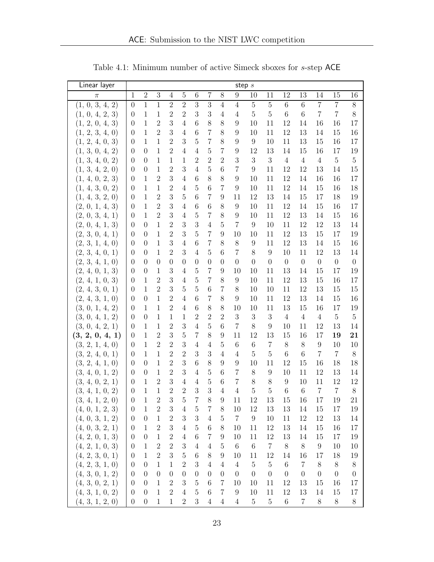<span id="page-22-0"></span>

| Linear layer    |                  |                  |                  |                  |                |                  |                  |                  | step $s$       |                |                |                  |                |                  |                  |                  |
|-----------------|------------------|------------------|------------------|------------------|----------------|------------------|------------------|------------------|----------------|----------------|----------------|------------------|----------------|------------------|------------------|------------------|
| $\pi$           | 1                | $\overline{2}$   | $\overline{3}$   | $\overline{4}$   | $\bf 5$        | $\,6\,$          | 7                | 8                | 9              | 10             | 11             | 12               | 13             | 14               | 15               | 16               |
| (1, 0, 3, 4, 2) | $\overline{0}$   | $\overline{1}$   | $\overline{1}$   | $\overline{2}$   | $\overline{2}$ | $\overline{3}$   | $\overline{3}$   | $\overline{4}$   | $\overline{4}$ | $\overline{5}$ | $\overline{5}$ | $\overline{6}$   | $\overline{6}$ | $\overline{7}$   | $\overline{7}$   | $\overline{8}$   |
| (1, 0, 4, 2, 3) | $\boldsymbol{0}$ | $\mathbf{1}$     | $\mathbf{1}$     | $\overline{2}$   | $\overline{2}$ | 3                | 3                | $\overline{4}$   | $\overline{4}$ | $\bf 5$        | $\overline{5}$ | $\boldsymbol{6}$ | $\,6\,$        | $\overline{7}$   | $\overline{7}$   | 8                |
| (1, 2, 0, 4, 3) | $\theta$         | $1\,$            | $\sqrt{2}$       | 3                | $\overline{4}$ | 6                | 8                | 8                | 9              | 10             | 11             | 12               | 14             | 16               | 16               | 17               |
| (1, 2, 3, 4, 0) | $\theta$         | $\mathbf{1}$     | $\overline{2}$   | 3                | $\overline{4}$ | 6                | $\overline{7}$   | 8                | 9              | 10             | 11             | 12               | 13             | 14               | 15               | 16               |
| (1, 2, 4, 0, 3) | $\theta$         | $\mathbf{1}$     | 1                | $\overline{2}$   | 3              | 5                | $\overline{7}$   | 8                | 9              | 9              | 10             | 11               | 13             | 15               | 16               | 17               |
| (1, 3, 0, 4, 2) | $\theta$         | $\overline{0}$   | 1                | $\overline{2}$   | $\overline{4}$ | $\overline{4}$   | $\overline{5}$   | $\overline{7}$   | 9              | 12             | 13             | 14               | 15             | 16               | 17               | 19               |
| (1, 3, 4, 0, 2) | $\overline{0}$   | $\overline{0}$   | 1                | $\mathbf{1}$     | $\mathbf{1}$   | $\overline{2}$   | $\overline{2}$   | $\overline{2}$   | 3              | 3              | 3              | $\sqrt{4}$       | $\overline{4}$ | $\overline{4}$   | $\mathbf 5$      | $\bf 5$          |
| (1, 3, 4, 2, 0) | $\theta$         | $\boldsymbol{0}$ | 1                | $\overline{2}$   | 3              | $\overline{4}$   | $\overline{5}$   | 6                | $\overline{7}$ | 9              | 11             | 12               | 12             | 13               | 14               | 15               |
| (1, 4, 0, 2, 3) | $\theta$         | 1                | $\overline{2}$   | 3                | $\overline{4}$ | 6                | $8\,$            | 8                | 9              | 10             | 11             | 12               | 14             | 16               | 16               | 17               |
| (1, 4, 3, 0, 2) | $\theta$         | 1                | 1                | $\overline{2}$   | $\overline{4}$ | 5                | $\,$ 6 $\,$      | 7                | 9              | 10             | 11             | 12               | 14             | 15               | 16               | 18               |
| (1, 4, 3, 2, 0) | $\overline{0}$   | $\mathbf{1}$     | $\overline{2}$   | 3                | $\overline{5}$ | 6                | $\overline{7}$   | 9                | 11             | 12             | 13             | 14               | 15             | 17               | 18               | 19               |
| (2, 0, 1, 4, 3) | $\theta$         | $\mathbf{1}$     | $\overline{2}$   | 3                | 4              | 6                | 6                | 8                | 9              | 10             | 11             | 12               | 14             | 15               | 16               | 17               |
| (2, 0, 3, 4, 1) | $\overline{0}$   | $\mathbf{1}$     | $\overline{2}$   | 3                | $\overline{4}$ | 5                | $\overline{7}$   | 8                | 9              | 10             | 11             | 12               | 13             | 14               | 15               | 16               |
| (2, 0, 4, 1, 3) | $\boldsymbol{0}$ | $\theta$         | $\mathbf{1}$     | $\overline{2}$   | 3              | 3                | 4                | $\overline{5}$   | $\overline{7}$ | 9              | 10             | 11               | 12             | 12               | 13               | 14               |
| (2, 3, 0, 4, 1) | $\theta$         | $\overline{0}$   | 1                | $\overline{2}$   | 3              | $\overline{5}$   | $\overline{7}$   | 9                | 10             | 10             | 11             | 12               | 13             | 15               | 17               | 19               |
| (2, 3, 1, 4, 0) | $\theta$         | $\theta$         | 1                | 3                | $\overline{4}$ | 6                | $\overline{7}$   | 8                | 8              | 9              | 11             | 12               | 13             | 14               | 15               | 16               |
| (2, 3, 4, 0, 1) | $\overline{0}$   | $\theta$         | 1                | $\overline{2}$   | 3              | $\overline{4}$   | $\overline{5}$   | 6                | 7              | 8              | 9              | 10               | 11             | 12               | 13               | 14               |
| (2, 3, 4, 1, 0) | $\theta$         | $\overline{0}$   | $\overline{0}$   | $\boldsymbol{0}$ | $\theta$       | $\theta$         | $\boldsymbol{0}$ | 0                | $\overline{0}$ | $\overline{0}$ | $\theta$       | $\overline{0}$   | $\overline{0}$ | $\boldsymbol{0}$ | $\boldsymbol{0}$ | $\boldsymbol{0}$ |
| (2, 4, 0, 1, 3) | $\theta$         | $\theta$         | 1                | 3                | $\overline{4}$ | 5                | $\overline{7}$   | 9                | 10             | 10             | 11             | 13               | 14             | 15               | 17               | 19               |
| (2, 4, 1, 0, 3) | $\boldsymbol{0}$ | $\mathbf{1}$     | $\overline{2}$   | 3                | $\overline{4}$ | $\bf 5$          | $\overline{7}$   | 8                | 9              | 10             | 11             | 12               | 13             | 15               | 16               | 17               |
| (2, 4, 3, 0, 1) | $\overline{0}$   | $\mathbf{1}$     | $\overline{2}$   | 3                | $\overline{5}$ | $\overline{5}$   | $\,6$            | 7                | 8              | 10             | 10             | 11               | 12             | 13               | 15               | 15               |
| (2, 4, 3, 1, 0) | $\theta$         | $\overline{0}$   | 1                | $\overline{2}$   | $\overline{4}$ | 6                | $\overline{7}$   | 8                | 9              | 10             | 11             | 12               | 13             | 14               | 15               | 16               |
| (3, 0, 1, 4, 2) | $\theta$         | $\mathbf{1}$     | 1                | $\overline{2}$   | $\overline{4}$ | 6                | $8\,$            | 8                | 10             | 10             | 11             | 13               | 15             | 16               | 17               | 19               |
| (3, 0, 4, 1, 2) | $\theta$         | $\overline{0}$   | 1                | 1                | 1              | $\overline{2}$   | $\overline{2}$   | $\overline{2}$   | 3              | 3              | 3              | $\overline{4}$   | $\overline{4}$ | $\overline{4}$   | $\overline{5}$   | $\bf 5$          |
| (3, 0, 4, 2, 1) | $\overline{0}$   | $\mathbf{1}$     | 1                | $\overline{2}$   | 3              | $\overline{4}$   | $\overline{5}$   | 6                | $\overline{7}$ | 8              | 9              | 10               | 11             | 12               | 13               | 14               |
| (3, 2, 0, 4, 1) | $\overline{0}$   | $\mathbf{1}$     | $\overline{2}$   | 3                | $\bf 5$        | $\overline{7}$   | $8\,$            | 9                | 11             | 12             | 13             | 15               | 16             | 17               | 19               | 21               |
| (3, 2, 1, 4, 0) | $\theta$         | $\mathbf{1}$     | $\overline{2}$   | $\overline{2}$   | 3              | $\overline{4}$   | $\overline{4}$   | 5                | 6              | $\,6\,$        | $\overline{7}$ | 8                | 8              | $\boldsymbol{9}$ | 10               | 10               |
| (3, 2, 4, 0, 1) | $\theta$         | $\mathbf{1}$     | 1                | $\overline{2}$   | $\overline{2}$ | 3                | 3                | $\overline{4}$   | $\overline{4}$ | $\overline{5}$ | 5              | 6                | 6              | $\overline{7}$   | $\overline{7}$   | $8\,$            |
| (3, 2, 4, 1, 0) | $\overline{0}$   | $\boldsymbol{0}$ | 1                | $\overline{2}$   | 3              | 6                | 8                | 9                | 9              | 10             | 11             | 12               | 15             | 16               | 18               | 18               |
| (3, 4, 0, 1, 2) | $\overline{0}$   | $\theta$         | 1                | $\overline{2}$   | 3              | $\overline{4}$   | $\overline{5}$   | 6                | 7              | 8              | 9              | 10               | 11             | 12               | 13               | 14               |
| (3, 4, 0, 2, 1) | $\theta$         | $1\,$            | $\overline{2}$   | 3                | $\overline{4}$ | $\overline{4}$   | 5                | 6                | $\overline{7}$ | 8              | 8              | 9                | 10             | 11               | 12               | 12               |
| (3, 4, 1, 0, 2) | $\boldsymbol{0}$ | $\mathbf{1}$     | $\mathbf{1}$     | $\overline{2}$   | $\overline{2}$ | 3                | 3                | $\overline{4}$   | $\overline{4}$ | $\mathbf 5$    | $\overline{5}$ | 6                | $\,6$          | $\overline{7}$   | $\,7$            | $8\,$            |
| (3, 4, 1, 2, 0) | $\boldsymbol{0}$ | $\,1\,$          | $\boldsymbol{2}$ | 3                | $\bf 5$        | $\,7$            | $8\,$            | $\boldsymbol{9}$ | 11             | $12\,$         | $13\,$         | $15\,$           | 16             | $17\,$           | $19\,$           | $21\,$           |
| (4, 0, 1, 2, 3) | $\boldsymbol{0}$ | $\mathbf{1}$     | $\sqrt{2}$       | $\sqrt{3}$       | $\overline{4}$ | 5                | $\overline{7}$   | 8                | 10             | 12             | 13             | 13               | 14             | 15               | 17               | 19               |
| (4, 0, 3, 1, 2) | $\boldsymbol{0}$ | $\boldsymbol{0}$ | $\mathbf{1}$     | $\mathbf{2}$     | 3              | 3                | $\overline{4}$   | $\bf 5$          | $\overline{7}$ | 9              | 10             | 11               | 12             | 12               | 13               | 14               |
| (4, 0, 3, 2, 1) | $\theta$         | $\mathbf{1}$     | $\overline{2}$   | 3                | $\overline{4}$ | $\overline{5}$   | $\,6$            | 8                | 10             | 11             | 12             | 13               | 14             | 15               | 16               | 17               |
| (4, 2, 0, 1, 3) | $\boldsymbol{0}$ | $\theta$         | $\mathbf{1}$     | $\overline{2}$   | $\overline{4}$ | $\,6\,$          | $\overline{7}$   | 9                | 10             | 11             | 12             | 13               | 14             | 15               | 17               | 19               |
| (4, 2, 1, 0, 3) | $\boldsymbol{0}$ | $\,1\,$          | $\boldsymbol{2}$ | $\overline{2}$   | 3              | $\overline{4}$   | $\,4\,$          | $\overline{5}$   | $\,6\,$        | $\,6\,$        | $\,7$          | $8\,$            | $8\,$          | $\boldsymbol{9}$ | 10               | 10               |
| (4, 2, 3, 0, 1) | $\theta$         | $\mathbf{1}$     | $\sqrt{2}$       | 3                | $\mathbf 5$    | $\,6\,$          | $8\,$            | 9                | 10             | 11             | 12             | 14               | 16             | 17               | 18               | 19               |
| (4, 2, 3, 1, 0) | $\boldsymbol{0}$ | $\theta$         | $\mathbf{1}$     | $\mathbf 1$      | $\overline{2}$ | 3                | $\overline{4}$   | $\overline{4}$   | $\overline{4}$ | $5\,$          | $\overline{5}$ | 6                | $\overline{7}$ | 8                | 8                | $8\,$            |
| (4, 3, 0, 1, 2) | $\boldsymbol{0}$ | $\boldsymbol{0}$ | $\boldsymbol{0}$ | $\boldsymbol{0}$ | $\theta$       | $\boldsymbol{0}$ | $\overline{0}$   | $\theta$         | $\theta$       | $\overline{0}$ | $\overline{0}$ | $\overline{0}$   | $\theta$       | $\overline{0}$   | $\boldsymbol{0}$ | $\boldsymbol{0}$ |
| (4, 3, 0, 2, 1) | $\overline{0}$   | $\overline{0}$   | 1                | $\overline{2}$   | 3              | 5                | 6                | 7                | 10             | 10             | 11             | 12               | 13             | 15               | 16               | 17               |
| (4, 3, 1, 0, 2) | $\overline{0}$   | $\boldsymbol{0}$ | $\mathbf{1}$     | $\overline{2}$   | $\overline{4}$ | 5                | 6                | 7                | 9              | 10             | 11             | 12               | 13             | 14               | 15               | 17               |
| (4, 3, 1, 2, 0) | $\boldsymbol{0}$ | $\boldsymbol{0}$ | $\mathbf{1}$     | $\,1$            | $\overline{2}$ | 3                | $\overline{4}$   | $\overline{4}$   | $\overline{4}$ | $5\,$          | $\bf 5$        | $\,6$            | $\overline{7}$ | $8\,$            | $8\,$            | $8\,$            |

Table 4.1: Minimum number of active Simeck sboxes for s-step ACE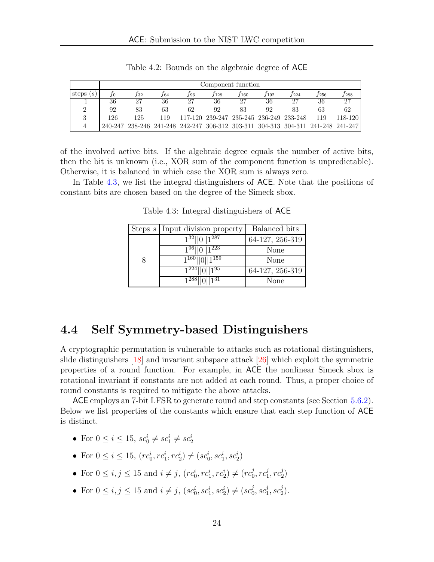<span id="page-23-1"></span>

|                    |         | Component function |     |                                                                         |      |                                         |       |      |      |         |
|--------------------|---------|--------------------|-----|-------------------------------------------------------------------------|------|-----------------------------------------|-------|------|------|---------|
| steps<br>$\cdot$ S |         | J 32               | 164 | 196                                                                     | /128 | 160                                     | / 192 | T224 | /256 | 288     |
|                    | 36      | 27                 | 36  | -27                                                                     | 36   | $-2^{\circ}$                            | 36    | 27   | 36   |         |
| ച                  | 92      | 83                 | 63  | 62                                                                      | 92   | 83                                      | 92    | 83   | 63   | 62      |
| Ω                  | 126     | 125                | 119 |                                                                         |      | 117-120 239-247 235-245 236-249 233-248 |       |      | 119  | 118-120 |
|                    | 240-247 |                    |     | 238-246 241-248 242-247 306-312 303-311 304-313 304-311 241-248 241-247 |      |                                         |       |      |      |         |

Table 4.2: Bounds on the algebraic degree of ACE

of the involved active bits. If the algebraic degree equals the number of active bits, then the bit is unknown (i.e., XOR sum of the component function is unpredictable). Otherwise, it is balanced in which case the XOR sum is always zero.

<span id="page-23-2"></span>In Table [4.3,](#page-23-2) we list the integral distinguishers of ACE. Note that the positions of constant bits are chosen based on the degree of the Simeck sbox.

|   | Steps $s$ Input division property | Balanced bits   |
|---|-----------------------------------|-----------------|
|   | $1^{32}$   0   $1^{287}$          | 64-127, 256-319 |
|   | $196$   0  1 <sup>223</sup>       | None            |
| 8 | $1^{160}$   0  1 <sup>159</sup>   | None            |
|   | $1^{224}$   0  1 <sup>95</sup>    | 64-127, 256-319 |
|   | $1^{288}$   0  1 <sup>31</sup>    | None            |

Table 4.3: Integral distinguishers of ACE

#### <span id="page-23-0"></span>4.4 Self Symmetry-based Distinguishers

A cryptographic permutation is vulnerable to attacks such as rotational distinguishers, slide distinguishers [\[18\]](#page-61-2) and invariant subspace attack [\[26\]](#page-62-5) which exploit the symmetric properties of a round function. For example, in ACE the nonlinear Simeck sbox is rotational invariant if constants are not added at each round. Thus, a proper choice of round constants is required to mitigate the above attacks.

ACE employs an 7-bit LFSR to generate round and step constants (see Section [5.6.2\)](#page-28-3). Below we list properties of the constants which ensure that each step function of ACE is distinct.

- For  $0 \le i \le 15$ ,  $sc_0^i \ne sc_1^i \ne sc_2^i$
- For  $0 \le i \le 15$ ,  $(r c_0^i, r c_1^i, r c_2^i) \ne (s c_0^i, s c_1^i, s c_2^i)$
- For  $0 \le i, j \le 15$  and  $i \ne j$ ,  $(rc_0^i, rc_1^i, rc_2^i) \ne (rc_0^j)$  $_{0}^{j},rc_{1}^{j}$  $j\overline{j},rc_2^j$  $\binom{1}{2}$
- For  $0 \le i, j \le 15$  and  $i \ne j$ ,  $(sc_0^i, sc_1^i, sc_2^i) \ne (sc_0^j)$  $_0^j,sc_1^j$  $j_1^j,sc_2^j$  $\binom{j}{2}$ .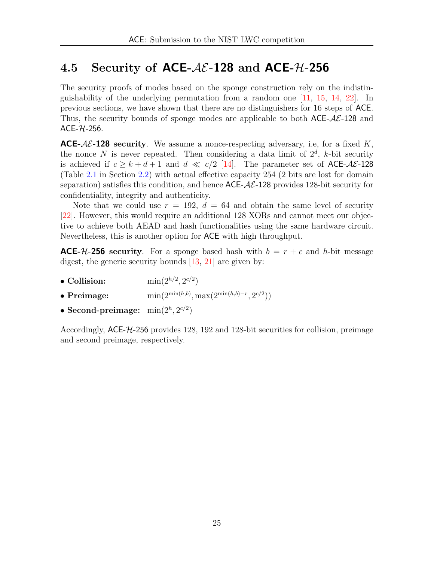## <span id="page-24-0"></span>4.5 Security of ACE- $A\mathcal{E}$ -128 and ACE- $\mathcal{H}$ -256

The security proofs of modes based on the sponge construction rely on the indistinguishability of the underlying permutation from a random one [\[11,](#page-61-3) [15,](#page-61-4) [14,](#page-61-5) [22\]](#page-61-6). In previous sections, we have shown that there are no distinguishers for 16 steps of ACE. Thus, the security bounds of sponge modes are applicable to both  $ACE-A\mathcal{E}-128$  and  $ACE-7L-256$ .

**ACE-** $A\mathcal{E}$ -128 security. We assume a nonce-respecting adversary, i.e., for a fixed K, the nonce N is never repeated. Then considering a data limit of  $2^d$ , k-bit security is achieved if  $c \geq k + d + 1$  and  $d \ll c/2$  [\[14\]](#page-61-5). The parameter set of ACE- $A\mathcal{E}$ -128 (Table [2.1](#page-10-4) in Section [2.2\)](#page-10-1) with actual effective capacity 254 (2 bits are lost for domain separation) satisfies this condition, and hence  $\text{ACE-}A\mathcal{E}$ -128 provides 128-bit security for confidentiality, integrity and authenticity.

Note that we could use  $r = 192$ ,  $d = 64$  and obtain the same level of security [\[22\]](#page-61-6). However, this would require an additional 128 XORs and cannot meet our objective to achieve both AEAD and hash functionalities using the same hardware circuit. Nevertheless, this is another option for ACE with high throughput.

**ACE-H-256** security. For a sponge based hash with  $b = r + c$  and h-bit message digest, the generic security bounds [\[13,](#page-61-7) [21\]](#page-61-0) are given by:

- $\bullet$  Collision:  $, 2^{c/2})$
- Preimage: min $(2^{\min(h,b)}, \max(2^{\min(h,b)-r}, 2^{c/2}))$
- Second-preimage:  $min(2^h, 2^{c/2})$

Accordingly, ACE-H-256 provides 128, 192 and 128-bit securities for collision, preimage and second preimage, respectively.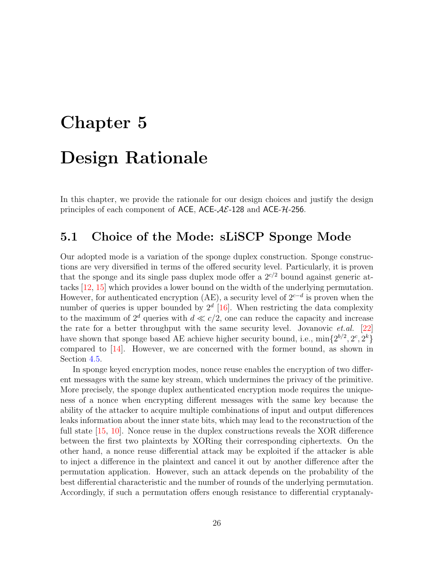# <span id="page-25-0"></span>Chapter 5 Design Rationale

In this chapter, we provide the rationale for our design choices and justify the design principles of each component of ACE, ACE- $A\mathcal{E}$ -128 and ACE- $\mathcal{H}$ -256.

## <span id="page-25-1"></span>5.1 Choice of the Mode: sLiSCP Sponge Mode

Our adopted mode is a variation of the sponge duplex construction. Sponge constructions are very diversified in terms of the offered security level. Particularly, it is proven that the sponge and its single pass duplex mode offer a  $2^{c/2}$  bound against generic attacks [\[12,](#page-61-8) [15\]](#page-61-4) which provides a lower bound on the width of the underlying permutation. However, for authenticated encryption (AE), a security level of  $2^{c-d}$  is proven when the number of queries is upper bounded by  $2^d$  [\[16\]](#page-61-9). When restricting the data complexity to the maximum of  $2^d$  queries with  $d \ll c/2$ , one can reduce the capacity and increase the rate for a better throughput with the same security level. Jovanovic  $et.al.$  [\[22\]](#page-61-6) have shown that sponge based AE achieve higher security bound, i.e.,  $\min\{2^{b/2}, 2^c, 2^k\}$ compared to [\[14\]](#page-61-5). However, we are concerned with the former bound, as shown in Section [4.5.](#page-24-0)

In sponge keyed encryption modes, nonce reuse enables the encryption of two different messages with the same key stream, which undermines the privacy of the primitive. More precisely, the sponge duplex authenticated encryption mode requires the uniqueness of a nonce when encrypting different messages with the same key because the ability of the attacker to acquire multiple combinations of input and output differences leaks information about the inner state bits, which may lead to the reconstruction of the full state [\[15,](#page-61-4) [10\]](#page-61-10). Nonce reuse in the duplex constructions reveals the XOR difference between the first two plaintexts by XORing their corresponding ciphertexts. On the other hand, a nonce reuse differential attack may be exploited if the attacker is able to inject a difference in the plaintext and cancel it out by another difference after the permutation application. However, such an attack depends on the probability of the best differential characteristic and the number of rounds of the underlying permutation. Accordingly, if such a permutation offers enough resistance to differential cryptanaly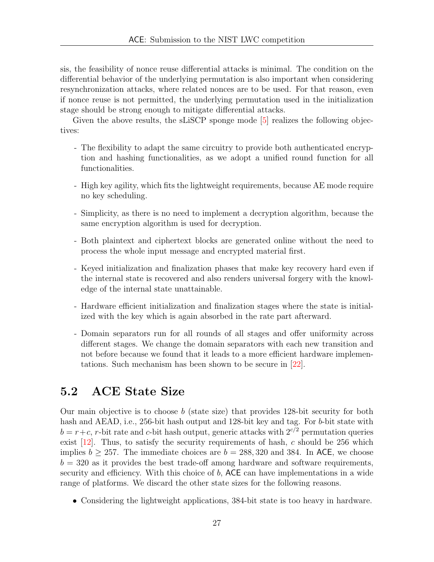sis, the feasibility of nonce reuse differential attacks is minimal. The condition on the differential behavior of the underlying permutation is also important when considering resynchronization attacks, where related nonces are to be used. For that reason, even if nonce reuse is not permitted, the underlying permutation used in the initialization stage should be strong enough to mitigate differential attacks.

Given the above results, the sLiSCP sponge mode [\[5\]](#page-60-1) realizes the following objectives:

- The flexibility to adapt the same circuitry to provide both authenticated encryption and hashing functionalities, as we adopt a unified round function for all functionalities.
- High key agility, which fits the lightweight requirements, because AE mode require no key scheduling.
- Simplicity, as there is no need to implement a decryption algorithm, because the same encryption algorithm is used for decryption.
- Both plaintext and ciphertext blocks are generated online without the need to process the whole input message and encrypted material first.
- Keyed initialization and finalization phases that make key recovery hard even if the internal state is recovered and also renders universal forgery with the knowledge of the internal state unattainable.
- Hardware efficient initialization and finalization stages where the state is initialized with the key which is again absorbed in the rate part afterward.
- Domain separators run for all rounds of all stages and offer uniformity across different stages. We change the domain separators with each new transition and not before because we found that it leads to a more efficient hardware implementations. Such mechanism has been shown to be secure in [\[22\]](#page-61-6).

### <span id="page-26-0"></span>5.2 ACE State Size

Our main objective is to choose  $b$  (state size) that provides 128-bit security for both hash and AEAD, i.e., 256-bit hash output and 128-bit key and tag. For b-bit state with  $b = r+c$ , r-bit rate and c-bit hash output, generic attacks with  $2^{c/2}$  permutation queries exist  $[12]$ . Thus, to satisfy the security requirements of hash, c should be 256 which implies  $b \ge 257$ . The immediate choices are  $b = 288,320$  and 384. In ACE, we choose  $b = 320$  as it provides the best trade-off among hardware and software requirements, security and efficiency. With this choice of  $b$ ,  $ACE$  can have implementations in a wide range of platforms. We discard the other state sizes for the following reasons.

• Considering the lightweight applications, 384-bit state is too heavy in hardware.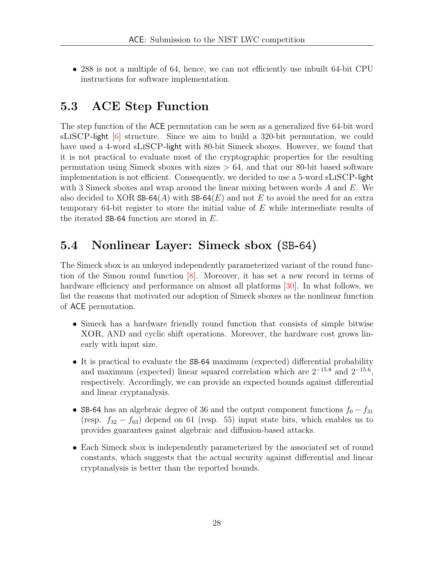• 288 is not a multiple of 64, hence, we can not efficiently use inbuilt 64-bit CPU instructions for software implementation.

## <span id="page-27-0"></span>5.3 ACE Step Function

The step function of the ACE permutation can be seen as a generalized five 64-bit word sLiSCP-light [\[6\]](#page-60-2) structure. Since we aim to build a 320-bit permutation, we could have used a 4-word sLiSCP-light with 80-bit Simeck sboxes. However, we found that it is not practical to evaluate most of the cryptographic properties for the resulting permutation using Simeck sboxes with sizes  $> 64$ , and that our 80-bit based software implementation is not efficient. Consequently, we decided to use a 5-word sLiSCP-light with 3 Simeck sboxes and wrap around the linear mixing between words  $A$  and  $E$ . We also decided to XOR  $SB-64(A)$  with  $SB-64(E)$  and not E to avoid the need for an extra temporary 64-bit register to store the initial value of  $E$  while intermediate results of the iterated SB-64 function are stored in E.

## <span id="page-27-1"></span>5.4 Nonlinear Layer: Simeck sbox (SB-64)

The Simeck sbox is an unkeyed independently parameterized variant of the round function of the Simon round function [\[8\]](#page-60-4). Moreover, it has set a new record in terms of hardware efficiency and performance on almost all platforms [\[30\]](#page-62-0). In what follows, we list the reasons that motivated our adoption of Simeck sboxes as the nonlinear function of ACE permutation.

- Simeck has a hardware friendly round function that consists of simple bitwise XOR, AND and cyclic shift operations. Moreover, the hardware cost grows linearly with input size.
- It is practical to evaluate the SB-64 maximum (expected) differential probability and maximum (expected) linear squared correlation which are  $2^{-15.8}$  and  $2^{-15.6}$ , respectively. Accordingly, we can provide an expected bounds against differential and linear cryptanalysis.
- SB-64 has an algebraic degree of 36 and the output component functions  $f_0 f_{31}$ (resp.  $f_{32} - f_{63}$ ) depend on 61 (resp. 55) input state bits, which enables us to provides guarantees gainst algebraic and diffusion-based attacks.
- Each Simeck sbox is independently parameterized by the associated set of round constants, which suggests that the actual security against differential and linear cryptanalysis is better than the reported bounds.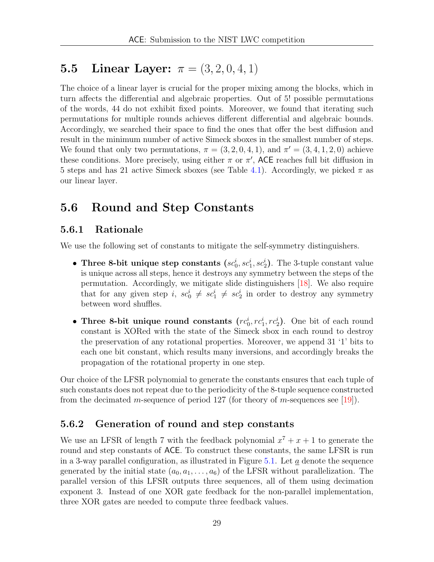## <span id="page-28-0"></span>5.5 Linear Layer:  $\pi = (3, 2, 0, 4, 1)$

The choice of a linear layer is crucial for the proper mixing among the blocks, which in turn affects the differential and algebraic properties. Out of 5! possible permutations of the words, 44 do not exhibit fixed points. Moreover, we found that iterating such permutations for multiple rounds achieves different differential and algebraic bounds. Accordingly, we searched their space to find the ones that offer the best diffusion and result in the minimum number of active Simeck sboxes in the smallest number of steps. We found that only two permutations,  $\pi = (3, 2, 0, 4, 1)$ , and  $\pi' = (3, 4, 1, 2, 0)$  achieve these conditions. More precisely, using either  $\pi$  or  $\pi'$ , ACE reaches full bit diffusion in 5 steps and has 21 active Simeck sboxes (see Table [4.1\)](#page-22-0). Accordingly, we picked  $\pi$  as our linear layer.

### <span id="page-28-1"></span>5.6 Round and Step Constants

#### <span id="page-28-2"></span>5.6.1 Rationale

We use the following set of constants to mitigate the self-symmetry distinguishers.

- Three 8-bit unique step constants  $(sc_0^i, sc_1^i, sc_2^i)$ . The 3-tuple constant value is unique across all steps, hence it destroys any symmetry between the steps of the permutation. Accordingly, we mitigate slide distinguishers [\[18\]](#page-61-2). We also require that for any given step  $i, sc_0^i \neq sc_1^i \neq sc_2^i$  in order to destroy any symmetry between word shuffles.
- Three 8-bit unique round constants  $(r c_0^i, r c_1^i, r c_2^i)$ . One bit of each round constant is XORed with the state of the Simeck sbox in each round to destroy the preservation of any rotational properties. Moreover, we append 31 '1' bits to each one bit constant, which results many inversions, and accordingly breaks the propagation of the rotational property in one step.

Our choice of the LFSR polynomial to generate the constants ensures that each tuple of such constants does not repeat due to the periodicity of the 8-tuple sequence constructed from the decimated m-sequence of period 127 (for theory of m-sequences see [\[19\]](#page-61-11)).

#### <span id="page-28-3"></span>5.6.2 Generation of round and step constants

We use an LFSR of length 7 with the feedback polynomial  $x^7 + x + 1$  to generate the round and step constants of ACE. To construct these constants, the same LFSR is run in a 3-way parallel configuration, as illustrated in Figure [5.1.](#page-29-0) Let  $\alpha$  denote the sequence generated by the initial state  $(a_0, a_1, \ldots, a_6)$  of the LFSR without parallelization. The parallel version of this LFSR outputs three sequences, all of them using decimation exponent 3. Instead of one XOR gate feedback for the non-parallel implementation, three XOR gates are needed to compute three feedback values.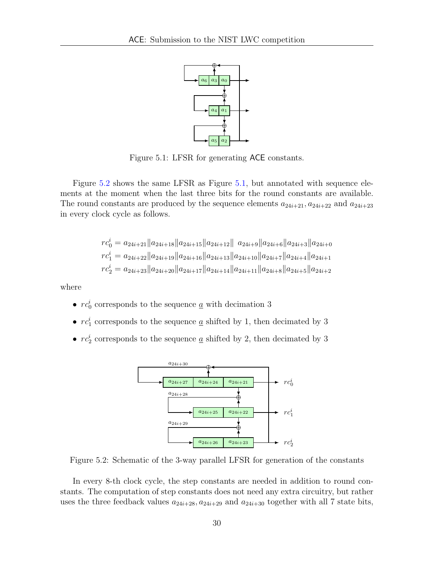

<span id="page-29-0"></span>Figure 5.1: LFSR for generating ACE constants.

Figure [5.2](#page-29-1) shows the same LFSR as Figure [5.1,](#page-29-0) but annotated with sequence elements at the moment when the last three bits for the round constants are available. The round constants are produced by the sequence elements  $a_{24i+21}, a_{24i+22}$  and  $a_{24i+23}$ in every clock cycle as follows.

$$
rc_0^i = a_{24i+21} ||a_{24i+18} ||a_{24i+15} ||a_{24i+12}|| a_{24i+9} ||a_{24i+6} ||a_{24i+3} ||a_{24i+0}
$$
  
\n
$$
rc_1^i = a_{24i+22} ||a_{24i+19} ||a_{24i+16} ||a_{24i+13} ||a_{24i+10} ||a_{24i+7} ||a_{24i+4} ||a_{24i+1}
$$
  
\n
$$
rc_2^i = a_{24i+23} ||a_{24i+20} ||a_{24i+17} ||a_{24i+14} ||a_{24i+11} ||a_{24i+8} ||a_{24i+5} ||a_{24i+2}
$$

where

- $rc_0^i$  corresponds to the sequence <u> $a$ </u> with decimation 3
- $rc_1^i$  corresponds to the sequence <u> $a$ </u> shifted by 1, then decimated by 3
- <span id="page-29-1"></span>•  $rc_2^i$  corresponds to the sequence <u> $a$ </u> shifted by 2, then decimated by 3



Figure 5.2: Schematic of the 3-way parallel LFSR for generation of the constants

In every 8-th clock cycle, the step constants are needed in addition to round constants. The computation of step constants does not need any extra circuitry, but rather uses the three feedback values  $a_{24i+28}, a_{24i+29}$  and  $a_{24i+30}$  together with all 7 state bits,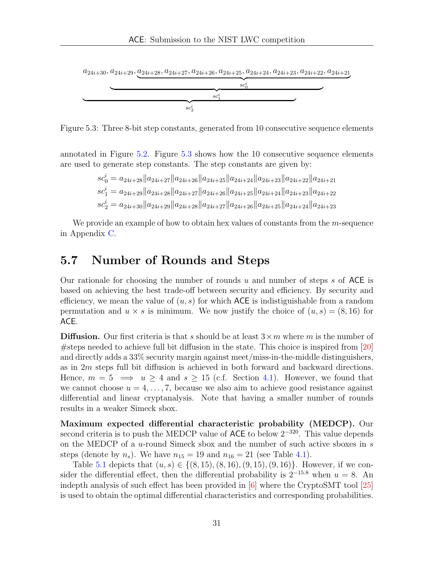<span id="page-30-1"></span> $a_{24i+30}, a_{24i+29}, a_{24i+28}, a_{24i+27}, a_{24i+26}, a_{24i+25}, a_{24i+24}, a_{24i+23}, a_{24i+22}, a_{24i+21}$ 



Figure 5.3: Three 8-bit step constants, generated from 10 consecutive sequence elements

annotated in Figure [5.2.](#page-29-1) Figure [5.3](#page-30-1) shows how the 10 consecutive sequence elements are used to generate step constants. The step constants are given by:

$$
sc_0^i = a_{24i+28} ||a_{24i+27} ||a_{24i+26} ||a_{24i+25} ||a_{24i+24} ||a_{24i+23} ||a_{24i+22} ||a_{24i+21}
$$
  
\n
$$
sc_1^i = a_{24i+29} ||a_{24i+28} ||a_{24i+27} ||a_{24i+26} ||a_{24i+25} ||a_{24i+24} ||a_{24i+23} ||a_{24i+22}
$$
  
\n
$$
sc_2^i = a_{24i+30} ||a_{24i+29} ||a_{24i+28} ||a_{24i+27} ||a_{24i+26} ||a_{24i+25} ||a_{24i+24} ||a_{24i+23}
$$

We provide an example of how to obtain hex values of constants from the  $m$ -sequence in Appendix [C.](#page-66-0)

## <span id="page-30-0"></span>5.7 Number of Rounds and Steps

Our rationale for choosing the number of rounds u and number of steps s of ACE is based on achieving the best trade-off between security and efficiency. By security and efficiency, we mean the value of  $(u, s)$  for which ACE is indistiguishable from a random permutation and  $u \times s$  is minimum. We now justify the choice of  $(u, s) = (8, 16)$  for ACE.

**Diffusion.** Our first criteria is that s should be at least  $3 \times m$  where m is the number of #steps needed to achieve full bit diffusion in the state. This choice is inspired from [\[20\]](#page-61-12) and directly adds a 33% security margin against meet/miss-in-the-middle distinguishers, as in 2m steps full bit diffusion is achieved in both forward and backward directions. Hence,  $m = 5 \implies u \ge 4$  and  $s \ge 15$  (c.f. Section [4.1\)](#page-20-1). However, we found that we cannot choose  $u = 4, \ldots, 7$ , because we also aim to achieve good resistance against differential and linear cryptanalysis. Note that having a smaller number of rounds results in a weaker Simeck sbox.

Maximum expected differential characteristic probability (MEDCP). Our second criteria is to push the MEDCP value of ACE to below  $2^{-320}$ . This value depends on the MEDCP of a u-round Simeck sbox and the number of such active sboxes in s steps (denote by  $n_s$ ). We have  $n_{15} = 19$  and  $n_{16} = 21$  (see Table [4.1\)](#page-22-0).

Table [5.1](#page-31-2) depicts that  $(u, s) \in \{(8, 15), (8, 16), (9, 15), (9, 16)\}.$  However, if we consider the differential effect, then the differential probability is  $2^{-15.8}$  when  $u = 8$ . An indepth analysis of such effect has been provided in [\[6\]](#page-60-2) where the CryptoSMT tool [\[25\]](#page-62-1) is used to obtain the optimal differential characteristics and corresponding probabilities.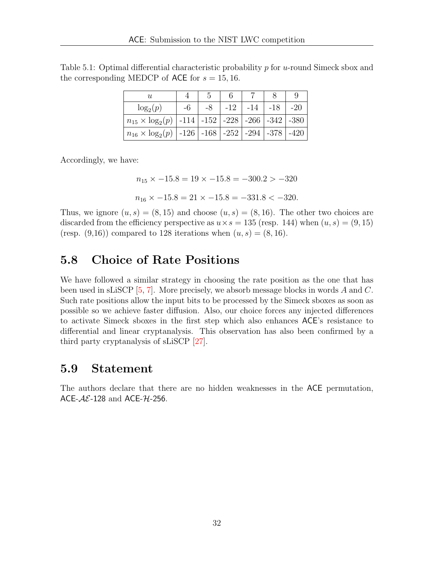<span id="page-31-2"></span>Table 5.1: Optimal differential characteristic probability  $p$  for  $u$ -round Simeck sbox and the corresponding MEDCP of ACE for  $s = 15, 16$ .

| U                                                                   |    |       |       |     |        |
|---------------------------------------------------------------------|----|-------|-------|-----|--------|
| $\log_2(p)$                                                         | -6 | $-12$ | $-14$ | -18 | $-20$  |
| $n_{15} \times \log_2(p)$   -114   -152   -228   -266   -342   -380 |    |       |       |     |        |
| $n_{16} \times \log_2(p)$   -126   -168   -252   -294   -378        |    |       |       |     | $-420$ |

Accordingly, we have:

 $n_{15} \times -15.8 = 19 \times -15.8 = -300.2 > -320$ 

$$
n_{16} \times -15.8 = 21 \times -15.8 = -331.8 < -320.
$$

Thus, we ignore  $(u, s) = (8, 15)$  and choose  $(u, s) = (8, 16)$ . The other two choices are discarded from the efficiency perspective as  $u \times s = 135$  (resp. 144) when  $(u, s) = (9, 15)$ (resp.  $(9,16)$ ) compared to 128 iterations when  $(u, s) = (8, 16)$ .

### <span id="page-31-0"></span>5.8 Choice of Rate Positions

We have followed a similar strategy in choosing the rate position as the one that has been used in sLiSCP [\[5,](#page-60-1) [7\]](#page-60-5). More precisely, we absorb message blocks in words A and C. Such rate positions allow the input bits to be processed by the Simeck sboxes as soon as possible so we achieve faster diffusion. Also, our choice forces any injected differences to activate Simeck sboxes in the first step which also enhances ACE's resistance to differential and linear cryptanalysis. This observation has also been confirmed by a third party cryptanalysis of sLiSCP [\[27\]](#page-62-6).

#### <span id="page-31-1"></span>5.9 Statement

The authors declare that there are no hidden weaknesses in the ACE permutation, ACE- $AE-128$  and ACE- $H-256$ .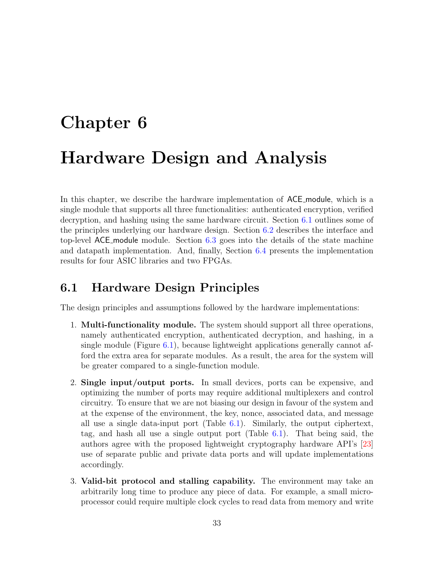# <span id="page-32-0"></span>Chapter 6 Hardware Design and Analysis

In this chapter, we describe the hardware implementation of ACE module, which is a single module that supports all three functionalities: authenticated encryption, verified decryption, and hashing using the same hardware circuit. Section [6.1](#page-32-1) outlines some of the principles underlying our hardware design. Section [6.2](#page-33-0) describes the interface and top-level ACE module module. Section [6.3](#page-41-0) goes into the details of the state machine and datapath implementation. And, finally, Section [6.4](#page-50-0) presents the implementation results for four ASIC libraries and two FPGAs.

### <span id="page-32-1"></span>6.1 Hardware Design Principles

The design principles and assumptions followed by the hardware implementations:

- 1. Multi-functionality module. The system should support all three operations, namely authenticated encryption, authenticated decryption, and hashing, in a single module (Figure  $6.1$ ), because lightweight applications generally cannot afford the extra area for separate modules. As a result, the area for the system will be greater compared to a single-function module.
- 2. Single input/output ports. In small devices, ports can be expensive, and optimizing the number of ports may require additional multiplexers and control circuitry. To ensure that we are not biasing our design in favour of the system and at the expense of the environment, the key, nonce, associated data, and message all use a single data-input port (Table [6.1\)](#page-33-1). Similarly, the output ciphertext, tag, and hash all use a single output port (Table [6.1\)](#page-33-1). That being said, the authors agree with the proposed lightweight cryptography hardware API's [\[23\]](#page-61-13) use of separate public and private data ports and will update implementations accordingly.
- 3. Valid-bit protocol and stalling capability. The environment may take an arbitrarily long time to produce any piece of data. For example, a small microprocessor could require multiple clock cycles to read data from memory and write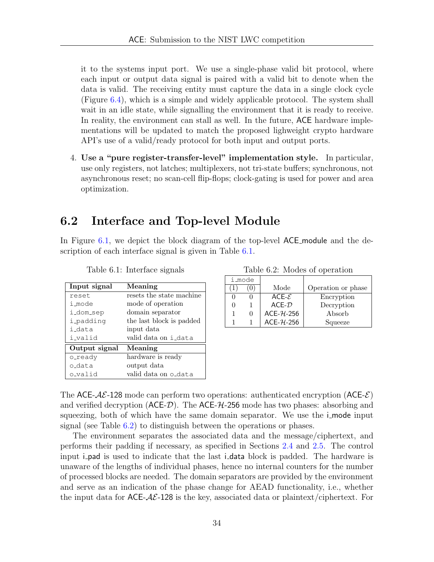it to the systems input port. We use a single-phase valid bit protocol, where each input or output data signal is paired with a valid bit to denote when the data is valid. The receiving entity must capture the data in a single clock cycle (Figure [6.4\)](#page-38-0), which is a simple and widely applicable protocol. The system shall wait in an idle state, while signalling the environment that it is ready to receive. In reality, the environment can stall as well. In the future, ACE hardware implementations will be updated to match the proposed lighweight crypto hardware API's use of a valid/ready protocol for both input and output ports.

4. Use a "pure register-transfer-level" implementation style. In particular, use only registers, not latches; multiplexers, not tri-state buffers; synchronous, not asynchronous reset; no scan-cell flip-flops; clock-gating is used for power and area optimization.

## <span id="page-33-0"></span>6.2 Interface and Top-level Module

In Figure [6.1,](#page-34-1) we depict the block diagram of the top-level ACE module and the description of each interface signal is given in Table [6.1.](#page-33-1)

<span id="page-33-1"></span>

| Input signal  | Meaning                  |
|---------------|--------------------------|
| reset.        | resets the state machine |
| i mode        | mode of operation        |
| i_dom_sep     | domain separator         |
| i_padding     | the last block is padded |
| i data        | input data               |
| i_valid       | valid data on i_data     |
| Output signal | Meaning                  |
| o_ready       | hardware is ready        |
| o data        | output data              |
| o_valid       | valid data on o_dat.a    |

Table 6.1: Interface signals

Table 6.2: Modes of operation

|  | i_mode |              |                    |
|--|--------|--------------|--------------------|
|  |        | Mode         | Operation or phase |
|  |        | $ACE-E$      | Encryption         |
|  |        | $ACF-D$      | Decryption         |
|  |        | $ACE-7L-256$ | Absorb             |
|  |        | $ACE-7L-256$ | Squeeze            |

The ACE- $A\mathcal{E}$ -128 mode can perform two operations: authenticated encryption (ACE- $\mathcal{E}$ ) and verified decryption  $(ACE-*D*)$ . The ACE- $H$ -256 mode has two phases: absorbing and squeezing, both of which have the same domain separator. We use the i\_mode input signal (see Table [6.2\)](#page-33-1) to distinguish between the operations or phases.

The environment separates the associated data and the message/ciphertext, and performs their padding if necessary, as specified in Sections [2.4](#page-13-0) and [2.5.](#page-16-2) The control input i **pad** is used to indicate that the last i **data** block is padded. The hardware is unaware of the lengths of individual phases, hence no internal counters for the number of processed blocks are needed. The domain separators are provided by the environment and serve as an indication of the phase change for AEAD functionality, i.e., whether the input data for  $\mathsf{ACE}\text{-}\mathcal{AE}\text{-}128$  is the key, associated data or plaintext/ciphertext. For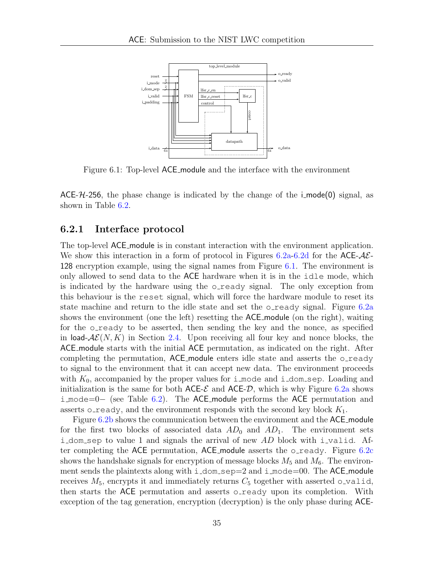<span id="page-34-1"></span>

Figure 6.1: Top-level ACE module and the interface with the environment

ACE- $H$ -256, the phase change is indicated by the change of the i-mode(0) signal, as shown in Table [6.2.](#page-33-1)

#### <span id="page-34-0"></span>6.2.1 Interface protocol

The top-level ACE module is in constant interaction with the environment application. We show this interaction in a form of protocol in Figures [6.2a-6.2d](#page-35-0) for the ACE- $A\mathcal{E}$ -128 encryption example, using the signal names from Figure [6.1.](#page-34-1) The environment is only allowed to send data to the ACE hardware when it is in the idle mode, which is indicated by the hardware using the o\_ready signal. The only exception from this behaviour is the reset signal, which will force the hardware module to reset its state machine and return to the idle state and set the  $\circ$ -ready signal. Figure [6.2a](#page-35-0) shows the environment (one the left) resetting the ACE module (on the right), waiting for the o\_ready to be asserted, then sending the key and the nonce, as specified in load- $\mathcal{AE}(N, K)$  in Section [2.4.](#page-13-0) Upon receiving all four key and nonce blocks, the ACE module starts with the initial ACE permutation, as indicated on the right. After completing the permutation, ACE module enters idle state and asserts the o\_ready to signal to the environment that it can accept new data. The environment proceeds with  $K_0$ , accompanied by the proper values for i mode and i dom sep. Loading and initialization is the same for both  $\mathsf{ACE}\text{-}\mathcal{E}$  and  $\mathsf{ACE}\text{-}\mathcal{D}$ , which is why Figure [6.2a](#page-35-0) shows i mode=0− (see Table [6.2\)](#page-33-1). The ACE module performs the ACE permutation and asserts o ready, and the environment responds with the second key block  $K_1$ .

Figure [6.2b](#page-35-0) shows the communication between the environment and the ACE module for the first two blocks of associated data  $AD_0$  and  $AD_1$ . The environment sets i dom sep to value 1 and signals the arrival of new  $AD$  block with i valid. After completing the ACE permutation, ACE module asserts the  $\circ$ -ready. Figure [6.2c](#page-35-0) shows the handshake signals for encryption of message blocks  $M_5$  and  $M_6$ . The environment sends the plaintexts along with  $i_{\text{dom}}$  sep=2 and  $i_{\text{mod}}$  mode=00. The ACE module receives  $M_5$ , encrypts it and immediately returns  $C_5$  together with asserted o-valid, then starts the ACE permutation and asserts o\_ready upon its completion. With exception of the tag generation, encryption (decryption) is the only phase during ACE-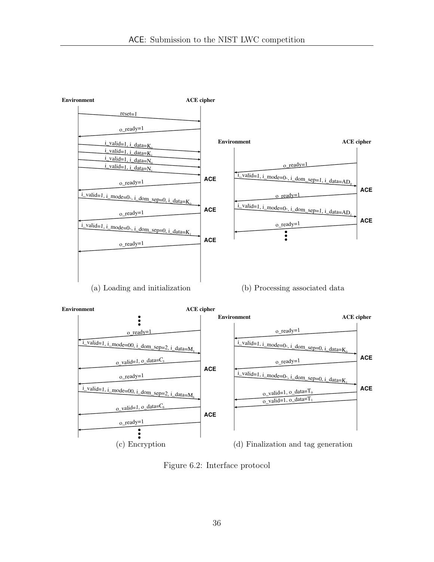<span id="page-35-0"></span>

Figure 6.2: Interface protocol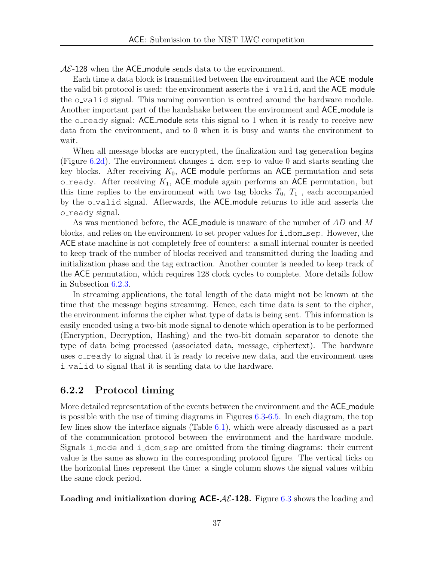$AE-128$  when the ACE module sends data to the environment.

Each time a data block is transmitted between the environment and the ACE module the valid bit protocol is used: the environment asserts the  $i$ -valid, and the ACE module the o valid signal. This naming convention is centred around the hardware module. Another important part of the handshake between the environment and ACE module is the o ready signal:  $ACE$  module sets this signal to 1 when it is ready to receive new data from the environment, and to 0 when it is busy and wants the environment to wait.

When all message blocks are encrypted, the finalization and tag generation begins (Figure [6.2d\)](#page-35-0). The environment changes i\_dom\_sep to value 0 and starts sending the key blocks. After receiving  $K_0$ , ACE module performs an ACE permutation and sets o ready. After receiving  $K_1$ , ACE module again performs an ACE permutation, but this time replies to the environment with two tag blocks  $T_0$ ,  $T_1$ , each accompanied by the o\_valid signal. Afterwards, the ACE\_module returns to idle and asserts the o\_ready signal.

As was mentioned before, the ACE module is unaware of the number of AD and M blocks, and relies on the environment to set proper values for i dom sep. However, the ACE state machine is not completely free of counters: a small internal counter is needed to keep track of the number of blocks received and transmitted during the loading and initialization phase and the tag extraction. Another counter is needed to keep track of the ACE permutation, which requires 128 clock cycles to complete. More details follow in Subsection [6.2.3.](#page-39-0)

In streaming applications, the total length of the data might not be known at the time that the message begins streaming. Hence, each time data is sent to the cipher, the environment informs the cipher what type of data is being sent. This information is easily encoded using a two-bit mode signal to denote which operation is to be performed (Encryption, Decryption, Hashing) and the two-bit domain separator to denote the type of data being processed (associated data, message, ciphertext). The hardware uses o ready to signal that it is ready to receive new data, and the environment uses i valid to signal that it is sending data to the hardware.

#### <span id="page-36-0"></span>6.2.2 Protocol timing

More detailed representation of the events between the environment and the ACE module is possible with the use of timing diagrams in Figures [6.3-](#page-37-0)[6.5.](#page-38-1) In each diagram, the top few lines show the interface signals (Table [6.1\)](#page-33-1), which were already discussed as a part of the communication protocol between the environment and the hardware module. Signals i mode and i dom sep are omitted from the timing diagrams: their current value is the same as shown in the corresponding protocol figure. The vertical ticks on the horizontal lines represent the time: a single column shows the signal values within the same clock period.

Loading and initialization during  $ACE-AC-128$ . Figure [6.3](#page-37-0) shows the loading and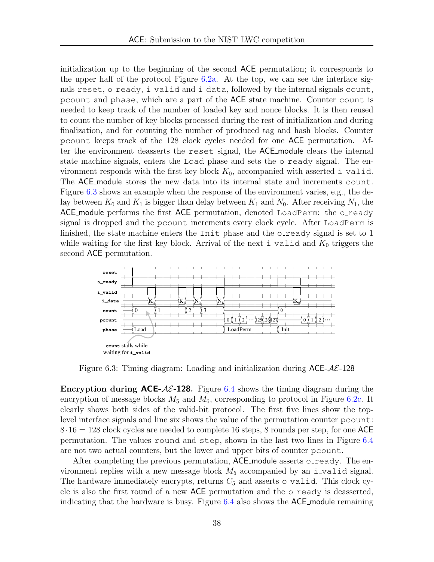initialization up to the beginning of the second ACE permutation; it corresponds to the upper half of the protocol Figure [6.2a.](#page-35-0) At the top, we can see the interface signals reset, o\_ready, i\_valid and i\_data, followed by the internal signals count, pcount and phase, which are a part of the ACE state machine. Counter count is needed to keep track of the number of loaded key and nonce blocks. It is then reused to count the number of key blocks processed during the rest of initialization and during finalization, and for counting the number of produced tag and hash blocks. Counter pcount keeps track of the 128 clock cycles needed for one ACE permutation. After the environment deasserts the reset signal, the ACE module clears the internal state machine signals, enters the Load phase and sets the o-ready signal. The environment responds with the first key block  $K_0$ , accompanied with asserted i-valid. The ACE module stores the new data into its internal state and increments count. Figure [6.3](#page-37-0) shows an example when the response of the environment varies, e.g., the delay between  $K_0$  and  $K_1$  is bigger than delay between  $K_1$  and  $N_0$ . After receiving  $N_1$ , the ACE module performs the first ACE permutation, denoted LoadPerm: the o\_ready signal is dropped and the pcount increments every clock cycle. After LoadPerm is finished, the state machine enters the Init phase and the oready signal is set to 1 while waiting for the first key block. Arrival of the next i valid and  $K_0$  triggers the second ACE permutation.

<span id="page-37-0"></span>

Figure 6.3: Timing diagram: Loading and initialization during  $ACE-AE-128$ 

**Encryption during ACE-** $A\mathcal{E}$ -128. Figure [6.4](#page-38-0) shows the timing diagram during the encryption of message blocks  $M_5$  and  $M_6$ , corresponding to protocol in Figure [6.2c.](#page-35-0) It clearly shows both sides of the valid-bit protocol. The first five lines show the toplevel interface signals and line six shows the value of the permutation counter pcount:  $8.16 = 128$  clock cycles are needed to complete 16 steps, 8 rounds per step, for one ACE permutation. The values round and step, shown in the last two lines in Figure [6.4](#page-38-0) are not two actual counters, but the lower and upper bits of counter pcount.

After completing the previous permutation, ACE module asserts o ready. The environment replies with a new message block  $M_5$  accompanied by an i-valid signal. The hardware immediately encrypts, returns  $C_5$  and asserts o-valid. This clock cycle is also the first round of a new ACE permutation and the  $\circ$ -ready is deasserted, indicating that the hardware is busy. Figure  $6.4$  also shows the  $ACE$  module remaining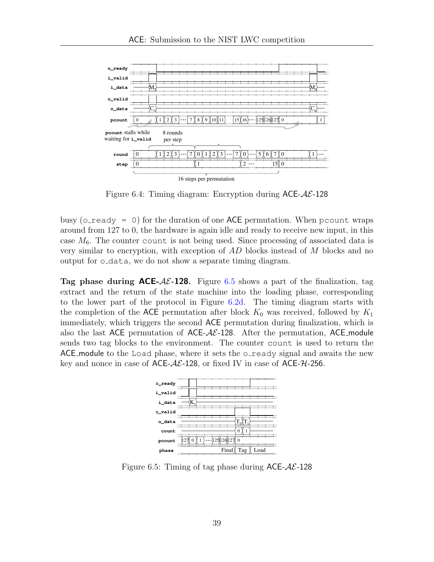<span id="page-38-0"></span>

Figure 6.4: Timing diagram: Encryption during  $ACE-A\mathcal{E}$ -128

busy ( $\circ$  ready = 0) for the duration of one ACE permutation. When pcount wraps around from 127 to 0, the hardware is again idle and ready to receive new input, in this case  $M_6$ . The counter count is not being used. Since processing of associated data is very similar to encryption, with exception of AD blocks instead of M blocks and no output for o data, we do not show a separate timing diagram.

**Tag phase during ACE-AE-128.** Figure [6.5](#page-38-1) shows a part of the finalization, tag extract and the return of the state machine into the loading phase, corresponding to the lower part of the protocol in Figure [6.2d.](#page-35-0) The timing diagram starts with the completion of the ACE permutation after block  $K_0$  was received, followed by  $K_1$ immediately, which triggers the second ACE permutation during finalization, which is also the last ACE permutation of ACE- $AE$ -128. After the permutation, ACE module sends two tag blocks to the environment. The counter count is used to return the ACE module to the Load phase, where it sets the oracle signal and awaits the new key and nonce in case of ACE- $A\mathcal{E}$ -128, or fixed IV in case of ACE- $H$ -256.

<span id="page-38-1"></span>

Figure 6.5: Timing of tag phase during  $ACE-A\mathcal{E}$ -128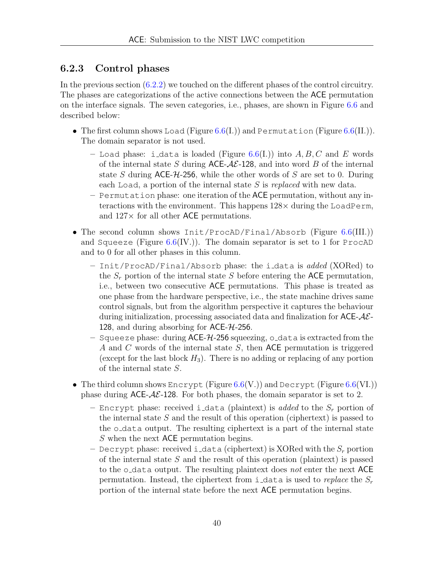#### <span id="page-39-0"></span>6.2.3 Control phases

In the previous section [\(6.2.2\)](#page-36-0) we touched on the different phases of the control circuitry. The phases are categorizations of the active connections between the ACE permutation on the interface signals. The seven categories, i.e., phases, are shown in Figure [6.6](#page-40-0) and described below:

- The first column shows Load (Figure [6.6\(](#page-40-0)I.)) and Permutation (Figure 6.6(II.)). The domain separator is not used.
	- Load phase: i\_data is loaded (Figure [6.6\(](#page-40-0)I.)) into  $A, B, C$  and E words of the internal state S during ACE- $AE$ -128, and into word B of the internal state S during  $ACE-7/256$ , while the other words of S are set to 0. During each Load, a portion of the internal state S is replaced with new data.
	- Permutation phase: one iteration of the ACE permutation, without any interactions with the environment. This happens  $128\times$  during the LoadPerm, and  $127\times$  for all other ACE permutations.
- The second column shows Init/ProcAD/Final/Absorb (Figure [6.6\(](#page-40-0)III.)) and Squeeze (Figure  $6.6$ (IV.)). The domain separator is set to 1 for ProcAD and to 0 for all other phases in this column.
	- Init/ProcAD/Final/Absorb phase: the i data is added (XORed) to the  $S_r$  portion of the internal state S before entering the ACE permutation, i.e., between two consecutive ACE permutations. This phase is treated as one phase from the hardware perspective, i.e., the state machine drives same control signals, but from the algorithm perspective it captures the behaviour during initialization, processing associated data and finalization for  $\mathsf{ACE}\text{-}\mathcal{AE}$ 128, and during absorbing for ACE-H-256.
	- Squeeze phase: during  $ACE-74-256$  squeezing, o data is extracted from the A and C words of the internal state S, then ACE permutation is triggered (except for the last block  $H_3$ ). There is no adding or replacing of any portion of the internal state S.
- The third column shows Encrypt (Figure  $6.6(V)$  $6.6(V)$ ) and Decrypt (Figure  $6.6(V)$ )) phase during  $ACE-\mathcal{A}\mathcal{E}$ -128. For both phases, the domain separator is set to 2.
	- Encrypt phase: received i data (plaintext) is *added* to the  $S_r$  portion of the internal state  $S$  and the result of this operation (ciphertext) is passed to the  $\circ$ -data output. The resulting ciphertext is a part of the internal state S when the next ACE permutation begins.
	- Decrypt phase: received i\_data (ciphertext) is XORed with the  $S_r$  portion of the internal state  $S$  and the result of this operation (plaintext) is passed to the  $\circ$ -data output. The resulting plaintext does not enter the next ACE permutation. Instead, the ciphertext from i\_data is used to replace the  $S_r$ portion of the internal state before the next ACE permutation begins.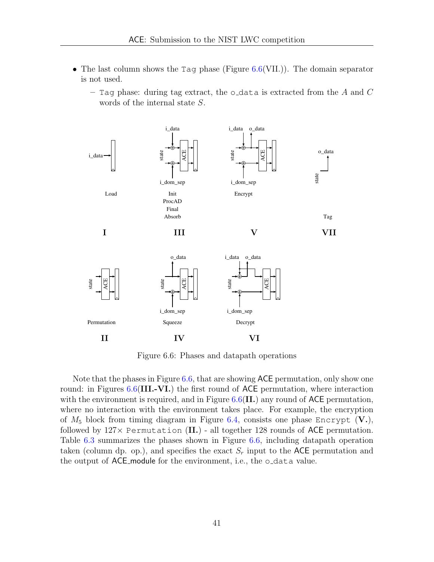- The last column shows the Tag phase (Figure  $6.6$  (VII.)). The domain separator is not used.
	- Tag phase: during tag extract, the o\_data is extracted from the A and  $C$ words of the internal state S.

<span id="page-40-0"></span>

Figure 6.6: Phases and datapath operations

Note that the phases in Figure [6.6,](#page-40-0) that are showing ACE permutation, only show one round: in Figures  $6.6$ (III.-VI.) the first round of ACE permutation, where interaction with the environment is required, and in Figure  $6.6$  (II.) any round of ACE permutation, where no interaction with the environment takes place. For example, the encryption of  $M_5$  block from timing diagram in Figure [6.4,](#page-38-0) consists one phase Encrypt  $(V.),$ followed by  $127 \times$  Permutation (II.) - all together 128 rounds of ACE permutation. Table [6.3](#page-41-2) summarizes the phases shown in Figure [6.6,](#page-40-0) including datapath operation taken (column dp. op.), and specifies the exact  $S_r$  input to the ACE permutation and the output of ACE module for the environment, i.e., the o data value.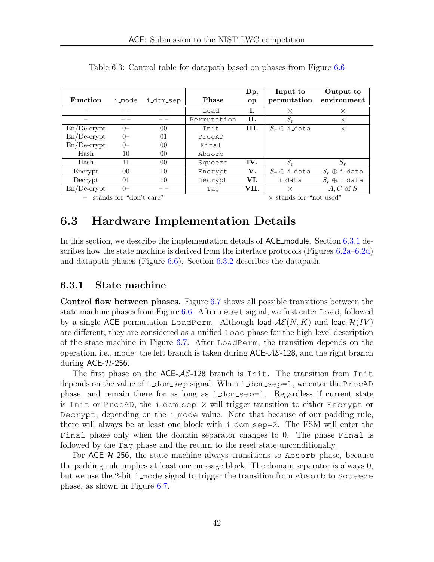|                 |        |                |             | Dp.            | Input to            | Output to           |
|-----------------|--------|----------------|-------------|----------------|---------------------|---------------------|
| <b>Function</b> | i_mode | i_dom_sep      | Phase       | <sub>o</sub> p | permutation         | environment         |
|                 |        |                | Load        | Ι.             | $\times$            | $\times$            |
|                 |        |                | Permutation | Н.             | $S_r$               | $\times$            |
| $En/De-crypt$   | ()     | 0 <sup>0</sup> | Init        | III.           | $S_r \oplus$ i_data | $\times$            |
| $En/De-crypt$   | $0 -$  | 01             | ProcAD      |                |                     |                     |
| $En/De-crypt$   | $0-$   | 0 <sup>0</sup> | Final       |                |                     |                     |
| Hash            | 10     | $00\,$         | Absorb      |                |                     |                     |
| Hash            | 11     | $00\,$         | Squeeze     | IV.            | $S_r$               | $S_r$               |
| Encrypt         | $00\,$ | 10             | Encrypt     | $\bf{V}$ .     | $S_r \oplus$ i_data | $S_r \oplus$ i_data |
| Decrypt         | 01     | 10             | Decrypt     | VI.            | i_data              | $S_r \oplus$ i_data |
| $En/De-crypt$   | $0-$   |                | Taq         | VII.           | $\times$            | $A, C$ of $S$       |

<span id="page-41-2"></span>Table 6.3: Control table for datapath based on phases from Figure [6.6](#page-40-0)

stands for "don't care"  $\times$  stands for "not used"

### <span id="page-41-0"></span>6.3 Hardware Implementation Details

In this section, we describe the implementation details of ACE module. Section [6.3.1](#page-41-1) describes how the state machine is derived from the interface protocols (Figures [6.2a–6.2d\)](#page-35-0) and datapath phases (Figure [6.6\)](#page-40-0). Section [6.3.2](#page-46-0) describes the datapath.

#### <span id="page-41-1"></span>6.3.1 State machine

Control flow between phases. Figure [6.7](#page-42-0) shows all possible transitions between the state machine phases from Figure [6.6.](#page-40-0) After reset signal, we first enter Load, followed by a single ACE permutation LoadPerm. Although load- $\mathcal{AE}(N, K)$  and load- $\mathcal{H}(IV)$ are different, they are considered as a unified Load phase for the high-level description of the state machine in Figure [6.7.](#page-42-0) After LoadPerm, the transition depends on the operation, i.e., mode: the left branch is taken during  $ACE-A\mathcal{E}$ -128, and the right branch during  $ACE-7L-256$ .

The first phase on the  $ACE-A\mathcal{E}$ -128 branch is Init. The transition from Init depends on the value of i\_dom\_sep signal. When i\_dom\_sep=1, we enter the ProcAD phase, and remain there for as long as i dom sep=1. Regardless if current state is Init or ProcAD, the i dom sep=2 will trigger transition to either Encrypt or Decrypt, depending on the i mode value. Note that because of our padding rule, there will always be at least one block with  $i$  dom sep=2. The FSM will enter the Final phase only when the domain separator changes to 0. The phase Final is followed by the Tag phase and the return to the reset state unconditionally.

For ACE-H-256, the state machine always transitions to Absorb phase, because the padding rule implies at least one message block. The domain separator is always 0, but we use the 2-bit i mode signal to trigger the transition from Absorb to Squeeze phase, as shown in Figure [6.7.](#page-42-0)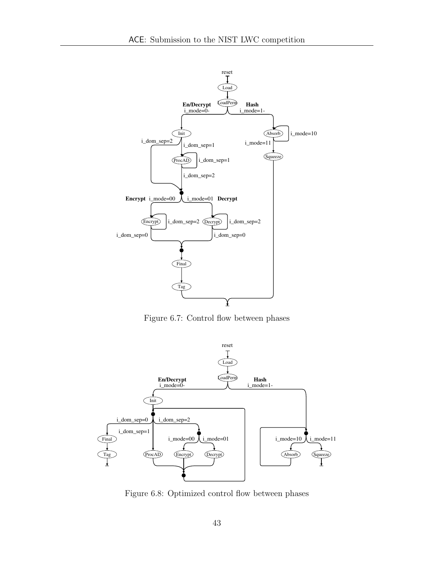<span id="page-42-0"></span>

Figure 6.7: Control flow between phases

<span id="page-42-1"></span>

Figure 6.8: Optimized control flow between phases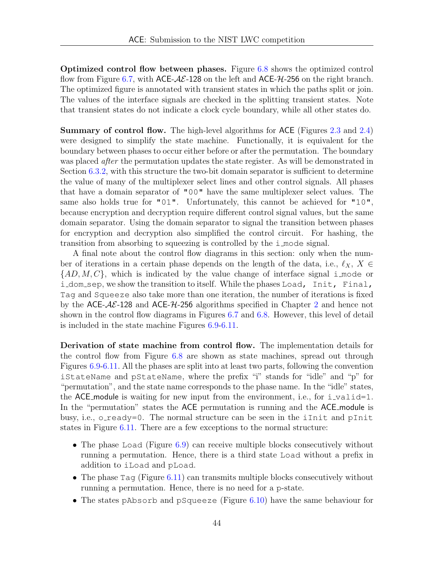Optimized control flow between phases. Figure [6.8](#page-42-1) shows the optimized control flow from Figure [6.7,](#page-42-0) with ACE- $A\mathcal{E}$ -128 on the left and ACE- $\mathcal{H}$ -256 on the right branch. The optimized figure is annotated with transient states in which the paths split or join. The values of the interface signals are checked in the splitting transient states. Note that transient states do not indicate a clock cycle boundary, while all other states do.

Summary of control flow. The high-level algorithms for ACE (Figures [2.3](#page-14-2) and [2.4\)](#page-17-4) were designed to simplify the state machine. Functionally, it is equivalent for the boundary between phases to occur either before or after the permutation. The boundary was placed *after* the permutation updates the state register. As will be demonstrated in Section [6.3.2,](#page-46-0) with this structure the two-bit domain separator is sufficient to determine the value of many of the multiplexer select lines and other control signals. All phases that have a domain separator of "00" have the same multiplexer select values. The same also holds true for "01". Unfortunately, this cannot be achieved for "10", because encryption and decryption require different control signal values, but the same domain separator. Using the domain separator to signal the transition between phases for encryption and decryption also simplified the control circuit. For hashing, the transition from absorbing to squeezing is controlled by the i mode signal.

A final note about the control flow diagrams in this section: only when the number of iterations in a certain phase depends on the length of the data, i.e.,  $\ell_X$ ,  $X \in$  ${AD, M, C}$ , which is indicated by the value change of interface signal i mode or i dom sep, we show the transition to itself. While the phases Load, Init, Final, Tag and Squeeze also take more than one iteration, the number of iterations is fixed by the  $ACE-AC-128$  $ACE-AC-128$  $ACE-AC-128$  and  $ACE-4C-256$  algorithms specified in Chapter 2 and hence not shown in the control flow diagrams in Figures [6.7](#page-42-0) and [6.8.](#page-42-1) However, this level of detail is included in the state machine Figures [6.9](#page-45-0)[-6.11.](#page-46-1)

Derivation of state machine from control flow. The implementation details for the control flow from Figure [6.8](#page-42-1) are shown as state machines, spread out through Figures [6.9-](#page-45-0)[6.11.](#page-46-1) All the phases are split into at least two parts, following the convention iStateName and pStateName, where the prefix "i" stands for "idle" and "p" for "permutation", and the state name corresponds to the phase name. In the "idle" states, the ACE module is waiting for new input from the environment, i.e., for  $i$ -valid=1. In the "permutation" states the ACE permutation is running and the ACE module is busy, i.e., o\_ready=0. The normal structure can be seen in the iInit and pInit states in Figure [6.11.](#page-46-1) There are a few exceptions to the normal structure:

- The phase Load (Figure [6.9\)](#page-45-0) can receive multiple blocks consecutively without running a permutation. Hence, there is a third state Load without a prefix in addition to iLoad and pLoad.
- The phase  $Taq$  (Figure [6.11\)](#page-46-1) can transmits multiple blocks consecutively without running a permutation. Hence, there is no need for a p-state.
- The states pAbsorb and pSqueeze (Figure [6.10\)](#page-45-0) have the same behaviour for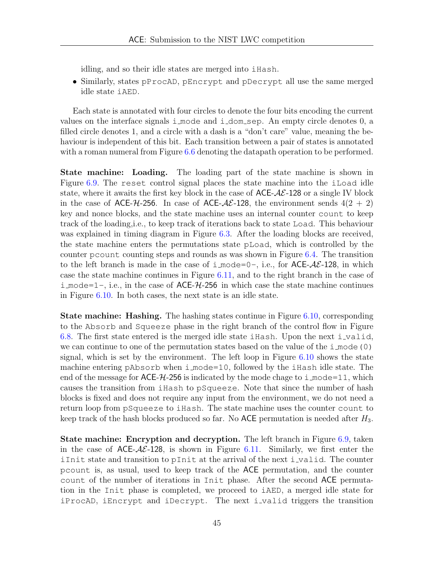idling, and so their idle states are merged into iHash.

• Similarly, states pProcAD, pEncrypt and pDecrypt all use the same merged idle state iAED.

Each state is annotated with four circles to denote the four bits encoding the current values on the interface signals i mode and i dom sep. An empty circle denotes 0, a filled circle denotes 1, and a circle with a dash is a "don't care" value, meaning the behaviour is independent of this bit. Each transition between a pair of states is annotated with a roman numeral from Figure [6.6](#page-40-0) denoting the datapath operation to be performed.

State machine: Loading. The loading part of the state machine is shown in Figure [6.9.](#page-45-0) The reset control signal places the state machine into the iLoad idle state, where it awaits the first key block in the case of  $ACE-A\mathcal{E}$ -128 or a single IV block in the case of ACE- $H$ -256. In case of ACE- $A\mathcal{E}$ -128, the environment sends  $4(2 + 2)$ key and nonce blocks, and the state machine uses an internal counter count to keep track of the loading,i.e., to keep track of iterations back to state Load. This behaviour was explained in timing diagram in Figure [6.3.](#page-37-0) After the loading blocks are received, the state machine enters the permutations state pLoad, which is controlled by the counter pcount counting steps and rounds as was shown in Figure [6.4.](#page-38-0) The transition to the left branch is made in the case of i\_mode=0-, i.e., for  $ACE-A\mathcal{E}-128$ , in which case the state machine continues in Figure [6.11,](#page-46-1) and to the right branch in the case of i mode=1-, i.e., in the case of  $\mathsf{ACE-}H-256$  in which case the state machine continues in Figure [6.10.](#page-45-0) In both cases, the next state is an idle state.

**State machine: Hashing.** The hashing states continue in Figure [6.10,](#page-45-0) corresponding to the Absorb and Squeeze phase in the right branch of the control flow in Figure [6.8.](#page-42-1) The first state entered is the merged idle state iHash. Upon the next i-valid, we can continue to one of the permutation states based on the value of the  $i$  mode(0) signal, which is set by the environment. The left loop in Figure [6.10](#page-45-0) shows the state machine entering pAbsorb when i mode=10, followed by the iHash idle state. The end of the message for  $\text{ACE-}\mathcal{H}$ -256 is indicated by the mode chage to i mode=11, which causes the transition from iHash to pSqueeze. Note that since the number of hash blocks is fixed and does not require any input from the environment, we do not need a return loop from pSqueeze to iHash. The state machine uses the counter count to keep track of the hash blocks produced so far. No ACE permutation is needed after  $H_3$ .

State machine: Encryption and decryption. The left branch in Figure [6.9,](#page-45-0) taken in the case of  $ACE-A\mathcal{E}$ -128, is shown in Figure [6.11.](#page-46-1) Similarly, we first enter the iInit state and transition to pInit at the arrival of the next i valid. The counter pcount is, as usual, used to keep track of the ACE permutation, and the counter count of the number of iterations in Init phase. After the second ACE permutation in the Init phase is completed, we proceed to iAED, a merged idle state for iProcAD, iEncrypt and iDecrypt. The next i valid triggers the transition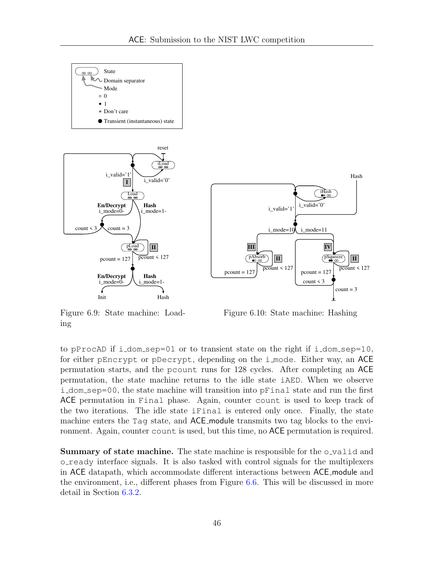<span id="page-45-0"></span>

Figure 6.9: State machine: Loading

Figure 6.10: State machine: Hashing

to pProcAD if i dom sep=01 or to transient state on the right if i dom sep=10, for either pEncrypt or pDecrypt, depending on the i mode. Either way, an ACE permutation starts, and the pcount runs for 128 cycles. After completing an ACE permutation, the state machine returns to the idle state iAED. When we observe i dom sep=00, the state machine will transition into pFinal state and run the first ACE permutation in Final phase. Again, counter count is used to keep track of the two iterations. The idle state iFinal is entered only once. Finally, the state machine enters the Tag state, and ACE module transmits two tag blocks to the environment. Again, counter count is used, but this time, no ACE permutation is required.

**Summary of state machine.** The state machine is responsible for the o-valid and o ready interface signals. It is also tasked with control signals for the multiplexers in ACE datapath, which accommodate different interactions between ACE module and the environment, i.e., different phases from Figure [6.6.](#page-40-0) This will be discussed in more detail in Section [6.3.2.](#page-46-0)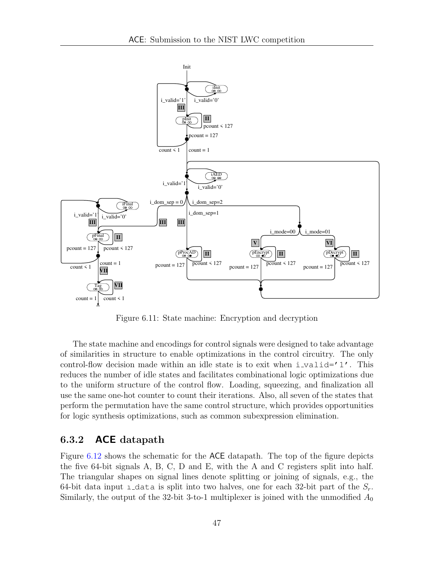<span id="page-46-1"></span>

Figure 6.11: State machine: Encryption and decryption

The state machine and encodings for control signals were designed to take advantage of similarities in structure to enable optimizations in the control circuitry. The only control-flow decision made within an idle state is to exit when  $i$ -valid='1'. This reduces the number of idle states and facilitates combinational logic optimizations due to the uniform structure of the control flow. Loading, squeezing, and finalization all use the same one-hot counter to count their iterations. Also, all seven of the states that perform the permutation have the same control structure, which provides opportunities for logic synthesis optimizations, such as common subexpression elimination.

#### <span id="page-46-0"></span>6.3.2 ACE datapath

Figure [6.12](#page-47-0) shows the schematic for the ACE datapath. The top of the figure depicts the five 64-bit signals A, B, C, D and E, with the A and C registers split into half. The triangular shapes on signal lines denote splitting or joining of signals, e.g., the 64-bit data input  $\pm$  data is split into two halves, one for each 32-bit part of the  $S_r$ . Similarly, the output of the 32-bit 3-to-1 multiplexer is joined with the unmodified  $A_0$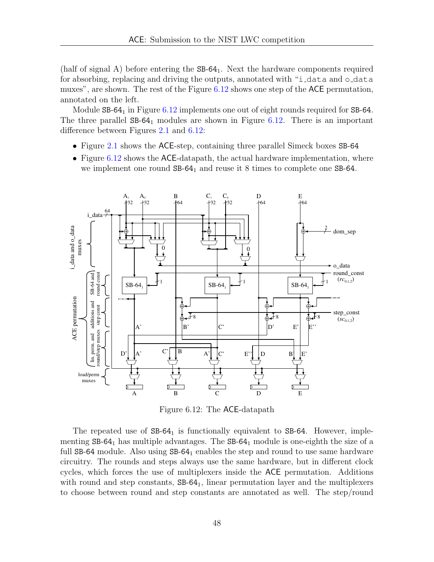(half of signal A) before entering the  $SB-64<sub>1</sub>$ . Next the hardware components required for absorbing, replacing and driving the outputs, annotated with "i\_data and o\_data muxes", are shown. The rest of the Figure [6.12](#page-47-0) shows one step of the ACE permutation, annotated on the left.

Module SB-64<sub>1</sub> in Figure [6.12](#page-47-0) implements one out of eight rounds required for SB-64. The three parallel  $SB-64<sub>1</sub>$  modules are shown in Figure [6.12.](#page-47-0) There is an important difference between Figures [2.1](#page-11-1) and [6.12:](#page-47-0)

- Figure [2.1](#page-11-1) shows the ACE-step, containing three parallel Simeck boxes SB-64
- Figure [6.12](#page-47-0) shows the ACE-datapath, the actual hardware implementation, where we implement one round  $SB-64<sub>1</sub>$  and reuse it 8 times to complete one  $SB-64$ .

<span id="page-47-0"></span>

Figure 6.12: The ACE-datapath

The repeated use of  $SB-64<sub>1</sub>$  is functionally equivalent to  $SB-64$ . However, implementing  $SB-64<sub>1</sub>$  has multiple advantages. The  $SB-64<sub>1</sub>$  module is one-eighth the size of a full  $SB-64$  module. Also using  $SB-64<sub>1</sub>$  enables the step and round to use same hardware circuitry. The rounds and steps always use the same hardware, but in different clock cycles, which forces the use of multiplexers inside the ACE permutation. Additions with round and step constants,  $SB-64<sub>1</sub>$ , linear permutation layer and the multiplexers to choose between round and step constants are annotated as well. The step/round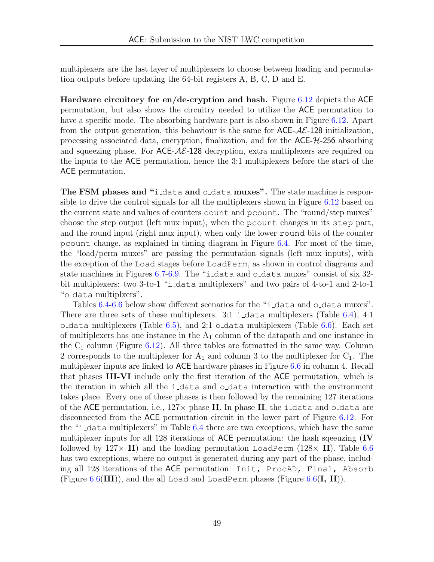multiplexers are the last layer of multiplexers to choose between loading and permutation outputs before updating the 64-bit registers A, B, C, D and E.

Hardware circuitory for en/de-cryption and hash. Figure [6.12](#page-47-0) depicts the ACE permutation, but also shows the circuitry needed to utilize the ACE permutation to have a specific mode. The absorbing hardware part is also shown in Figure [6.12.](#page-47-0) Apart from the output generation, this behaviour is the same for  $ACE-AE-128$  initialization, processing associated data, encryption, finalization, and for the ACE-H-256 absorbing and squeezing phase. For  $\text{ACE-}\mathcal{AE}\text{-}128$  decryption, extra multiplexers are required on the inputs to the ACE permutation, hence the 3:1 multiplexers before the start of the ACE permutation.

The FSM phases and "i\_data and o\_data muxes". The state machine is responsible to drive the control signals for all the multiplexers shown in Figure [6.12](#page-47-0) based on the current state and values of counters count and pcount. The "round/step muxes" choose the step output (left mux input), when the pcount changes in its step part, and the round input (right mux input), when only the lower round bits of the counter pcount change, as explained in timing diagram in Figure [6.4.](#page-38-0) For most of the time, the "load/perm muxes" are passing the permutation signals (left mux inputs), with the exception of the Load stages before LoadPerm, as shown in control diagrams and state machines in Figures [6.7](#page-42-0)[-6.9.](#page-45-0) The "i data and o data muxes" consist of six 32 bit multiplexers: two 3-to-1 "i data multiplexers" and two pairs of 4-to-1 and 2-to-1 "o data multiplxers".

Tables [6.4-6.6](#page-49-0) below show different scenarios for the "i\_data and o\_data muxes". There are three sets of these multiplexers: 3:1 i\_data multiplexers (Table [6.4\)](#page-49-0), 4:1 o data multiplexers (Table  $6.5$ ), and  $2.1$  o data multiplexers (Table  $6.6$ ). Each set of multiplexers has one instance in the  $A_1$  column of the datapath and one instance in the  $C_1$  column (Figure [6.12\)](#page-47-0). All three tables are formatted in the same way. Column 2 corresponds to the multiplexer for  $A_1$  and column 3 to the multiplexer for  $C_1$ . The multiplexer inputs are linked to ACE hardware phases in Figure [6.6](#page-40-0) in column 4. Recall that phases III-VI include only the first iteration of the ACE permutation, which is the iteration in which all the i-data and  $\circ$ -data interaction with the environment takes place. Every one of these phases is then followed by the remaining 127 iterations of the ACE permutation, i.e.,  $127 \times$  phase II. In phase II, the i-data and o-data are disconnected from the ACE permutation circuit in the lower part of Figure [6.12.](#page-47-0) For the "i data multiplexers" in Table [6.4](#page-49-0) there are two exceptions, which have the same multiplexer inputs for all 128 iterations of ACE permutation: the hash sqeeuzing (IV followed by  $127 \times$  II) and the loading permutation LoadPerm ( $128 \times$  II). Table [6.6](#page-49-0) has two exceptions, where no output is generated during any part of the phase, including all 128 iterations of the ACE permutation: Init, ProcAD, Final, Absorb (Figure [6.6\(](#page-40-0)III)), and the all Load and LoadPerm phases (Figure 6.6(I, II)).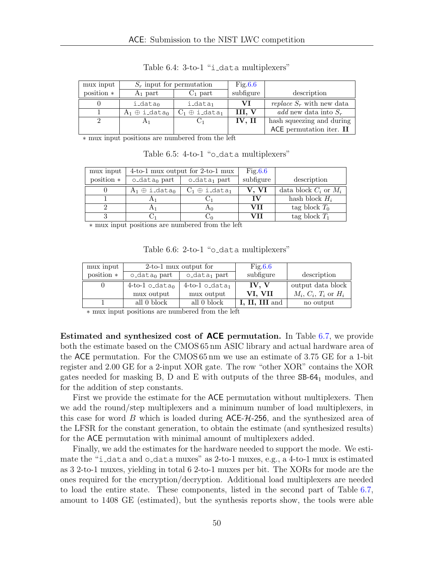<span id="page-49-0"></span>

| mux input    |                                   | $S_r$ input for permutation       | Fig.6.6   |                                    |
|--------------|-----------------------------------|-----------------------------------|-----------|------------------------------------|
| position $*$ | $A_1$ part                        | $C_1$ part                        | subfigure | description                        |
|              | $i$ -data $0$                     | $i$ <sub>data</sub>               | VI.       | <i>replace</i> $S_r$ with new data |
|              | $A_1 \oplus i$ -data <sub>0</sub> | $C_1 \oplus i$ _data <sub>1</sub> |           | <i>add</i> new data into $S_r$     |
|              |                                   |                                   | IV, II    | hash squeezing and during          |
|              |                                   |                                   |           | ACE permutation iter. $II$         |

Table 6.4: 3-to-1 "i\_data multiplexers"

∗ mux input positions are numbered from the left

| mux input    |                       | 4-to-1 mux output for 2-to-1 mux  | Fig.6.6   |                           |
|--------------|-----------------------|-----------------------------------|-----------|---------------------------|
| position $*$ | $o$ -data $_0$ part   | $o$ -data <sub>1</sub> part       | subfigure | description               |
|              | $A_1 \oplus i$ -datan | $C_1 \oplus i$ -data <sub>1</sub> | V. VI     | data block $C_i$ or $M_i$ |
|              | $\mathbf{A}1$         |                                   | TV        | hash block $H_i$          |
|              | H <sub>1</sub>        | A <sub>0</sub>                    | VH        | tag block $T_0$           |
|              |                       |                                   | VH        | tag block $T_1$           |

Table 6.5: 4-to-1 "o\_data multiplexers"

∗ mux input positions are numbered from the left

|  |  |  | Table 6.6: 2-to-1 "o_data multiplexers" |
|--|--|--|-----------------------------------------|
|--|--|--|-----------------------------------------|

| mux input    | 2-to-1 mux output for    |                              | Fig.6.6     |                          |
|--------------|--------------------------|------------------------------|-------------|--------------------------|
| position $*$ | o_data <sub>0</sub> part | $o$ -data <sub>1</sub> part  | subfigure   | description              |
|              | $4-to-1$ o_data $_0$     | $4-to-1$ o_data <sub>1</sub> | IV. V       | output data block        |
|              | mux output               | mux output                   | VI, VII     | $M_i, C_i, T_i$ or $H_i$ |
|              | all 0 block              | all 0 block                  | II, III and | no output                |

∗ mux input positions are numbered from the left

Estimated and synthesized cost of ACE permutation. In Table [6.7,](#page-50-1) we provide both the estimate based on the CMOS 65 nm ASIC library and actual hardware area of the ACE permutation. For the CMOS 65 nm we use an estimate of 3.75 GE for a 1-bit register and 2.00 GE for a 2-input XOR gate. The row "other XOR" contains the XOR gates needed for masking B, D and E with outputs of the three SB-64<sup>1</sup> modules, and for the addition of step constants.

First we provide the estimate for the ACE permutation without multiplexers. Then we add the round/step multiplexers and a minimum number of load multiplexers, in this case for word B which is loaded during  $ACE-74-256$ , and the synthesized area of the LFSR for the constant generation, to obtain the estimate (and synthesized results) for the ACE permutation with minimal amount of multiplexers added.

Finally, we add the estimates for the hardware needed to support the mode. We estimate the "i\_data and o\_data muxes" as  $2$ -to-1 muxes, e.g., a  $4$ -to-1 mux is estimated as 3 2-to-1 muxes, yielding in total 6 2-to-1 muxes per bit. The XORs for mode are the ones required for the encryption/decryption. Additional load multiplexers are needed to load the entire state. These components, listed in the second part of Table [6.7,](#page-50-1) amount to 1408 GE (estimated), but the synthesis reports show, the tools were able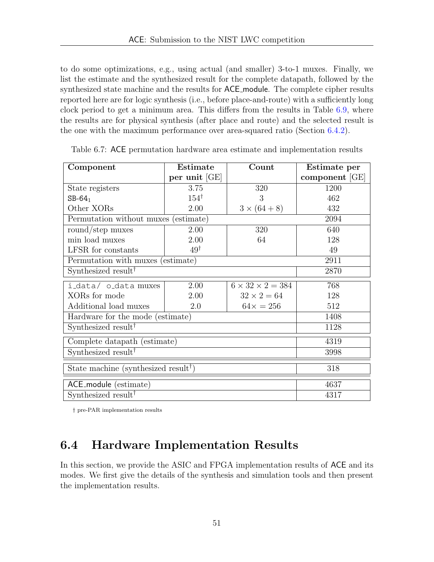to do some optimizations, e.g., using actual (and smaller) 3-to-1 muxes. Finally, we list the estimate and the synthesized result for the complete datapath, followed by the synthesized state machine and the results for ACE module. The complete cipher results reported here are for logic synthesis (i.e., before place-and-route) with a sufficiently long clock period to get a minimum area. This differs from the results in Table [6.9,](#page-52-1) where the results are for physical synthesis (after place and route) and the selected result is the one with the maximum performance over area-squared ratio (Section [6.4.2\)](#page-51-1).

| Component                                        | <b>Estimate</b> | Count                        | Estimate per   |  |
|--------------------------------------------------|-----------------|------------------------------|----------------|--|
|                                                  | per unit [GE]   |                              | component [GE] |  |
| State registers                                  | 3.75            | 320                          | 1200           |  |
| $SB-64_1$                                        | $154^{\dagger}$ | 3                            | 462            |  |
| Other XORs                                       | 2.00            | $3 \times (64 + 8)$          | 432            |  |
| Permutation without muxes (estimate)             |                 |                              | 2094           |  |
| round/step muxes                                 | 2.00            | 320                          | 640            |  |
| min load muxes                                   | 2.00            | 64                           | 128            |  |
| LFSR for constants                               | $49^{\dagger}$  |                              | 49             |  |
| Permutation with muxes (estimate)                |                 |                              | 2911           |  |
| Synthesized result <sup>†</sup>                  | 2870            |                              |                |  |
| i_data/ o_data muxes                             | 2.00            | $6 \times 32 \times 2 = 384$ | 768            |  |
| XORs for mode                                    | 2.00            | $32 \times 2 = 64$           | 128            |  |
| Additional load muxes                            | 2.0             | $64x = 256$                  | 512            |  |
| Hardware for the mode (estimate)                 |                 |                              | 1408           |  |
| Synthesized result <sup>†</sup>                  |                 |                              | 1128           |  |
| Complete datapath (estimate)                     |                 |                              | 4319           |  |
| Synthesized result <sup>†</sup>                  |                 |                              | 3998           |  |
| State machine (synthesized result <sup>†</sup> ) | 318             |                              |                |  |
| ACE_module (estimate)                            |                 |                              | 4637           |  |
| Synthesized result <sup>†</sup>                  |                 |                              | 4317           |  |

<span id="page-50-1"></span>Table 6.7: ACE permutation hardware area estimate and implementation results

† pre-PAR implementation results

## <span id="page-50-0"></span>6.4 Hardware Implementation Results

In this section, we provide the ASIC and FPGA implementation results of ACE and its modes. We first give the details of the synthesis and simulation tools and then present the implementation results.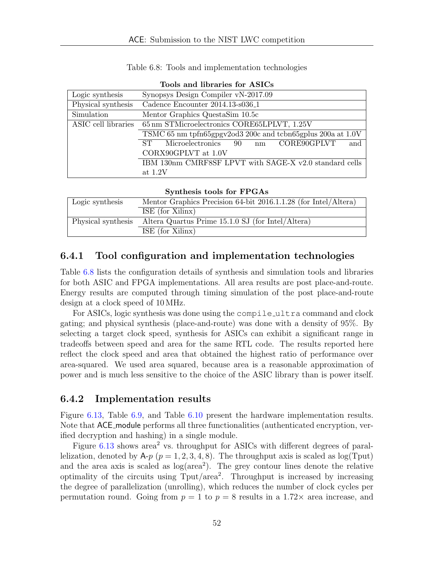| Table 6.8: Tools and implementation technologies |  |  |  |
|--------------------------------------------------|--|--|--|
|--------------------------------------------------|--|--|--|

<span id="page-51-2"></span>

| Logic synthesis     | Synopsys Design Compiler vN-2017.09                         |  |  |  |  |  |  |
|---------------------|-------------------------------------------------------------|--|--|--|--|--|--|
| Physical synthesis  | Cadence Encounter 2014.13-s036_1                            |  |  |  |  |  |  |
| Simulation          | Mentor Graphics QuestaSim 10.5c                             |  |  |  |  |  |  |
| ASIC cell libraries | 65 nm STMicroelectronics CORE65LPLVT, 1.25V                 |  |  |  |  |  |  |
|                     | TSMC 65 nm tpfn65gpgv2od3 200c and tcbn65gplus 200a at 1.0V |  |  |  |  |  |  |
|                     | CORE90GPLVT<br>Microelectronics 90 nm<br>and<br>$ST^-$      |  |  |  |  |  |  |
|                     | CORX90GPLVT at 1.0V                                         |  |  |  |  |  |  |
|                     | IBM 130nm CMRF8SF LPVT with SAGE-X v2.0 standard cells      |  |  |  |  |  |  |
|                     | at $1.2V$                                                   |  |  |  |  |  |  |

|  |  | Tools and libraries for ASICs |  |  |
|--|--|-------------------------------|--|--|
|--|--|-------------------------------|--|--|

| Synthesis tools for FPGAs |                                                                 |  |  |  |
|---------------------------|-----------------------------------------------------------------|--|--|--|
| Logic synthesis           | Mentor Graphics Precision 64-bit 2016.1.1.28 (for Intel/Altera) |  |  |  |
|                           | ISE (for Xilinx)                                                |  |  |  |
| Physical synthesis        | Altera Quartus Prime 15.1.0 SJ (for Intel/Altera)               |  |  |  |
|                           | ISE (for Xilinx)                                                |  |  |  |

#### <span id="page-51-0"></span>6.4.1 Tool configuration and implementation technologies

Table [6.8](#page-51-2) lists the configuration details of synthesis and simulation tools and libraries for both ASIC and FPGA implementations. All area results are post place-and-route. Energy results are computed through timing simulation of the post place-and-route design at a clock speed of 10 MHz.

For ASICs, logic synthesis was done using the compile ultra command and clock gating; and physical synthesis (place-and-route) was done with a density of 95%. By selecting a target clock speed, synthesis for ASICs can exhibit a significant range in tradeoffs between speed and area for the same RTL code. The results reported here reflect the clock speed and area that obtained the highest ratio of performance over area-squared. We used area squared, because area is a reasonable approximation of power and is much less sensitive to the choice of the ASIC library than is power itself.

#### <span id="page-51-1"></span>6.4.2 Implementation results

Figure [6.13,](#page-52-0) Table [6.9,](#page-52-1) and Table [6.10](#page-53-0) present the hardware implementation results. Note that ACE module performs all three functionalities (authenticated encryption, verified decryption and hashing) in a single module.

Figure  $6.13$  shows area<sup>2</sup> vs. throughput for ASICs with different degrees of parallelization, denoted by  $A-p$  ( $p = 1, 2, 3, 4, 8$ ). The throughput axis is scaled as  $log(T_{\text{put}})$ and the area axis is scaled as  $log(area^2)$ . The grey contour lines denote the relative optimality of the circuits using Tput/area<sup>2</sup>. Throughput is increased by increasing the degree of parallelization (unrolling), which reduces the number of clock cycles per permutation round. Going from  $p = 1$  to  $p = 8$  results in a 1.72 $\times$  area increase, and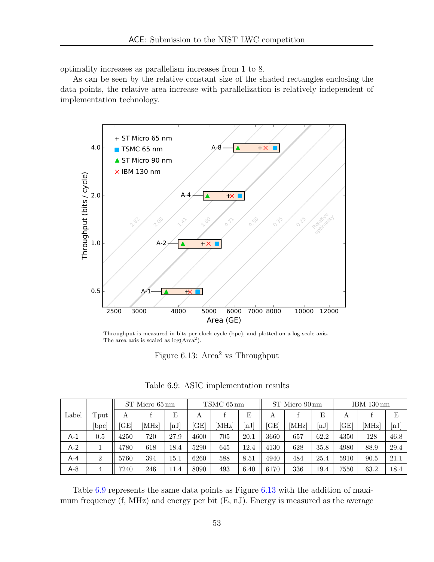optimality increases as parallelism increases from 1 to 8.

As can be seen by the relative constant size of the shaded rectangles enclosing the data points, the relative area increase with parallelization is relatively independent of implementation technology.

<span id="page-52-0"></span>

Throughput is measured in bits per clock cycle (bpc), and plotted on a log scale axis. The area axis is scaled as  $log(Area<sup>2</sup>)$ .

Figure 6.13: Area<sup>2</sup> vs Throughput

<span id="page-52-1"></span>

|       |               | ST Micro 65 nm |     | TSMC 65 nm                  |           | ST Micro 90 nm |                             |      | IBM 130 nm |      |      |       |      |
|-------|---------------|----------------|-----|-----------------------------|-----------|----------------|-----------------------------|------|------------|------|------|-------|------|
| Label | $T$ put       | Α              |     | E                           | А         |                | E                           | А    |            | E    | А    |       | E    |
|       | $ {\rm bpc} $ | GE             | MHz | $\left[ \mathrm{nJ}\right]$ | <b>GE</b> | [MHz]          | $\left[ \mathrm{nJ}\right]$ | ſGΕ  | [MHz]      | [nJ] | GE   | [MHz] | [nJ] |
| A-1   | $0.5\,$       | 4250           | 720 | 27.9                        | 4600      | 705            | 20.1                        | 3660 | 657        | 62.2 | 4350 | 128   | 46.8 |
| $A-2$ |               | 4780           | 618 | 18.4                        | 5290      | 645            | 12.4                        | 4130 | 628        | 35.8 | 4980 | 88.9  | 29.4 |
| $A-4$ | 2             | 5760           | 394 | $15.1\,$                    | 6260      | 588            | 8.51                        | 4940 | 484        | 25.4 | 5910 | 90.5  | 21.1 |
| $A-8$ | 4             | 7240           | 246 | 11.4                        | 8090      | 493            | 6.40                        | 6170 | 336        | 19.4 | 7550 | 63.2  | 18.4 |

Table 6.9: ASIC implementation results

Table [6.9](#page-52-1) represents the same data points as Figure [6.13](#page-52-0) with the addition of maximum frequency (f, MHz) and energy per bit (E, nJ). Energy is measured as the average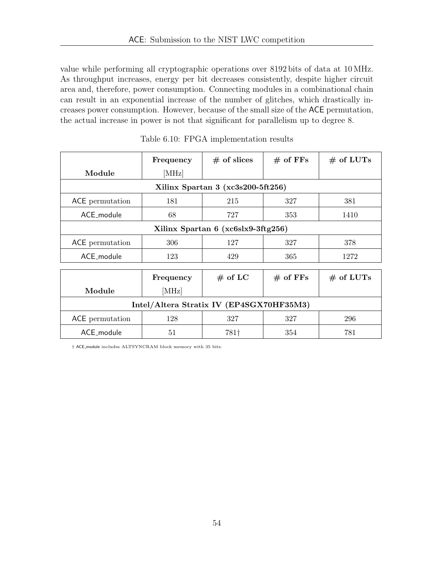value while performing all cryptographic operations over 8192 bits of data at 10 MHz. As throughput increases, energy per bit decreases consistently, despite higher circuit area and, therefore, power consumption. Connecting modules in a combinational chain can result in an exponential increase of the number of glitches, which drastically increases power consumption. However, because of the small size of the ACE permutation, the actual increase in power is not that significant for parallelism up to degree 8.

<span id="page-53-0"></span>

|                                          | Frequency                         | $#$ of slices | $#$ of FFs | $#$ of LUTs |  |  |  |  |  |  |
|------------------------------------------|-----------------------------------|---------------|------------|-------------|--|--|--|--|--|--|
| Module                                   | [MHz]                             |               |            |             |  |  |  |  |  |  |
|                                          | Xilinx Spartan 3 (xc3s200-5ft256) |               |            |             |  |  |  |  |  |  |
| ACE permutation                          | 181                               | 215           | 327        | 381         |  |  |  |  |  |  |
| ACE module                               | 68                                | 727           | 353        | 1410        |  |  |  |  |  |  |
| Xilinx Spartan 6 (xc6slx9-3ftg256)       |                                   |               |            |             |  |  |  |  |  |  |
| ACE permutation                          | 306                               | 127           | 327        | 378         |  |  |  |  |  |  |
| ACE_module                               | 123                               | 429           | 365        | 1272        |  |  |  |  |  |  |
|                                          |                                   |               |            |             |  |  |  |  |  |  |
|                                          | Frequency                         | $#$ of LC     | $#$ of FFs | $#$ of LUTs |  |  |  |  |  |  |
| Module                                   | [MHz]                             |               |            |             |  |  |  |  |  |  |
| Intel/Altera Stratix IV (EP4SGX70HF35M3) |                                   |               |            |             |  |  |  |  |  |  |
| ACE permutation                          | 128                               | 327           | 327        | 296         |  |  |  |  |  |  |
| ACE_module                               | 51                                | 781†          | 354        | 781         |  |  |  |  |  |  |

Table 6.10: FPGA implementation results

† ACE module includes ALTSYNCRAM block memory with 35 bits.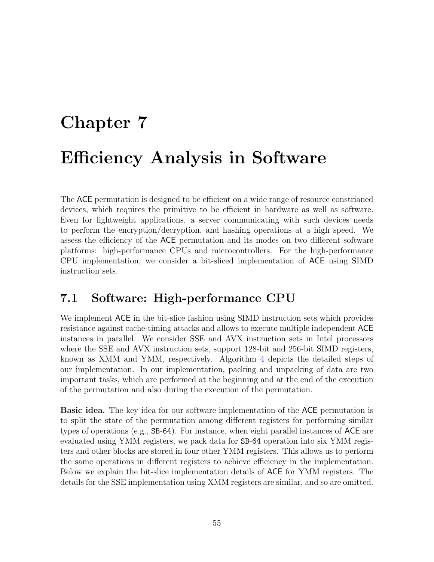# <span id="page-54-0"></span>Chapter 7 Efficiency Analysis in Software

The ACE permutation is designed to be efficient on a wide range of resource constrianed devices, which requires the primitive to be efficient in hardware as well as software. Even for lightweight applications, a server communicating with such devices needs to perform the encryption/decryption, and hashing operations at a high speed. We assess the efficiency of the ACE permutation and its modes on two different software platforms: high-performance CPUs and microcontrollers. For the high-performance CPU implementation, we consider a bit-sliced implementation of ACE using SIMD instruction sets.

## <span id="page-54-1"></span>7.1 Software: High-performance CPU

We implement ACE in the bit-slice fashion using SIMD instruction sets which provides resistance against cache-timing attacks and allows to execute multiple independent ACE instances in parallel. We consider SSE and AVX instruction sets in Intel processors where the SSE and AVX instruction sets, support 128-bit and 256-bit SIMD registers, known as XMM and YMM, respectively. Algorithm [4](#page-56-0) depicts the detailed steps of our implementation. In our implementation, packing and unpacking of data are two important tasks, which are performed at the beginning and at the end of the execution of the permutation and also during the execution of the permutation.

Basic idea. The key idea for our software implementation of the ACE permutation is to split the state of the permutation among different registers for performing similar types of operations (e.g., SB-64). For instance, when eight parallel instances of ACE are evaluated using YMM registers, we pack data for SB-64 operation into six YMM registers and other blocks are stored in four other YMM registers. This allows us to perform the same operations in different registers to achieve efficiency in the implementation. Below we explain the bit-slice implementation details of ACE for YMM registers. The details for the SSE implementation using XMM registers are similar, and so are omitted.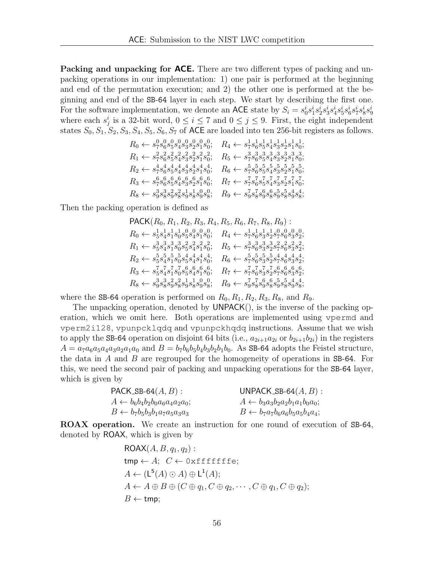**Packing and unpacking for ACE.** There are two different types of packing and unpacking operations in our implementation: 1) one pair is performed at the beginning and end of the permutation execution; and 2) the other one is performed at the beginning and end of the SB-64 layer in each step. We start by describing the first one. For the software implementation, we denote an ACE state by  $S_i = s_0^i s_1^i s_2^i s_3^i s_4^i s_5^i s_6^i s_7^i s_8^i s_9^i$ where each  $s_j^i$  is a 32-bit word,  $0 \le i \le 7$  and  $0 \le j \le 9$ . First, the eight independent states  $S_0, S_1, S_2, S_3, S_4, S_5, S_6, S_7$  of ACE are loaded into ten 256-bit registers as follows.

$$
R_0 \leftarrow s_7^0 s_6^0 s_5^0 s_4^0 s_3^0 s_2^0 s_1^0 s_0^0; \quad R_4 \leftarrow s_7^1 s_6^1 s_5^1 s_4^1 s_3^1 s_2^1 s_1^1 s_0^1; R_1 \leftarrow s_7^2 s_6^2 s_5^2 s_4^2 s_3^2 s_2^2 s_1^2 s_0^2; \quad R_5 \leftarrow s_7^3 s_6^3 s_5^3 s_4^3 s_3^3 s_2^3 s_1^3 s_0^3; R_2 \leftarrow s_7^4 s_6^4 s_5^4 s_4^4 s_3^4 s_2^4 s_1^4 s_0^4; \quad R_6 \leftarrow s_7^5 s_6^5 s_5^5 s_4^5 s_3^5 s_2^5 s_1^5 s_0^5; R_3 \leftarrow s_7^6 s_6^6 s_5^6 s_4^6 s_3^6 s_2^6 s_1^6 s_0^6; \quad R_7 \leftarrow s_7^7 s_6^7 s_5^7 s_4^7 s_3^7 s_2^7 s_1^7 s_0^7; R_8 \leftarrow s_3^3 s_8^3 s_3^2 s_8^2 s_3^1 s_3^1 s_9^0 s_0^0; \quad R_9 \leftarrow s_9^7 s_8^7 s_9^6 s_8^6 s_9^5 s_8^5 s_9^4 s_8^4; \quad
$$

Then the packing operation is defined as

$$
PACK(R_0, R_1, R_2, R_3, R_4, R_5, R_6, R_7, R_8, R_9):
$$
  
\n
$$
R_0 \leftarrow s_5^1 s_4^1 s_4^1 s_6^1 s_6^0 s_3^0 s_4^0; \quad R_4 \leftarrow s_7^1 s_6^1 s_3^1 s_2^1 s_7^0 s_6^0 s_3^0 s_2^0;
$$
  
\n
$$
R_1 \leftarrow s_5^3 s_4^3 s_1^3 s_6^3 s_5^2 s_4^2 s_1^2 s_0^2; \quad R_5 \leftarrow s_7^3 s_6^3 s_3^3 s_2^3 s_7^2 s_6^2 s_3^2 s_2^2;
$$
  
\n
$$
R_2 \leftarrow s_5^5 s_4^5 s_1^5 s_6^5 s_5^4 s_4^4 s_1^4 s_0^4; \quad R_6 \leftarrow s_7^5 s_6^5 s_3^5 s_2^5 s_7^4 s_6^4 s_3^4 s_2^4;
$$
  
\n
$$
R_3 \leftarrow s_5^7 s_4^7 s_1^7 s_6^7 s_5^6 s_4^6 s_1^6 s_0^6; \quad R_7 \leftarrow s_7^7 s_6^7 s_3^7 s_2^7 s_7^6 s_6^6 s_3^6 s_2^6;
$$
  
\n
$$
R_8 \leftarrow s_9^3 s_8^3 s_9^2 s_8^2 s_9^1 s_8^1 s_9^0 s_8^0; \quad R_9 \leftarrow s_9^7 s_8^7 s_9^6 s_8^6 s_9^5 s_8^5 s_9^4 s_8^4;
$$

where the SB-64 operation is performed on  $R_0, R_1, R_2, R_3, R_8$ , and  $R_9$ .

The unpacking operation, denoted by UNPACK(), is the inverse of the packing operation, which we omit here. Both operations are implemented using vpermd and vperm2i128, vpunpcklqdq and vpunpckhqdq instructions. Assume that we wish to apply the SB-64 operation on disjoint 64 bits (i.e.,  $a_{2i+1}a_{2i}$  or  $b_{2i+1}b_{2i}$ ) in the registers  $A = a_7a_6a_5a_4a_3a_2a_1a_0$  and  $B = b_7b_6b_5b_4b_3b_2b_1b_0$ . As SB-64 adopts the Feistel structure, the data in  $A$  and  $B$  are regrouped for the homogeneity of operations in SB-64. For this, we need the second pair of packing and unpacking operations for the SB-64 layer, which is given by

| PACK_SB-64 $(A, B)$ :                           | UNPACK_SB-64 $(A, B)$ :                  |
|-------------------------------------------------|------------------------------------------|
| $A \leftarrow b_6 b_4 b_2 b_0 a_6 a_4 a_2 a_0;$ | $A \leftarrow b_3a_3b_2a_2b_1a_1b_0a_0;$ |
| $B \leftarrow b_7b_5b_3b_1a_7a_5a_3a_3$         | $B \leftarrow b_7a_7b_6a_6b_5a_5b_4a_4;$ |

ROAX operation. We create an instruction for one round of execution of SB-64, denoted by ROAX, which is given by

$$
ROAX(A, B, q1, q2):\ntmp \leftarrow A; C \leftarrow 0 \times f \text{ f} \text{ f} \text{ f} \text{ f} \text{ f} \text{ e};\nA \leftarrow (L5(A) \odot A) \oplus L1(A);\nA \leftarrow A \oplus B \oplus (C \oplus q1, C \oplus q2, \cdots, C \oplus q1, C \oplus q2);\nB \leftarrow tmp;
$$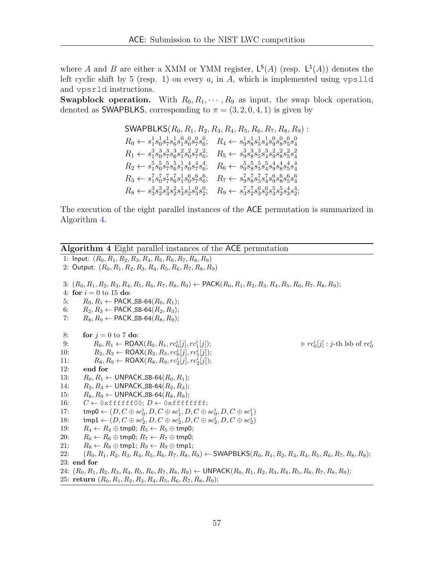where A and B are either a XMM or YMM register,  $\mathsf{L}^5(A)$  (resp.  $\mathsf{L}^1(A)$ ) denotes the left cyclic shift by 5 (resp. 1) on every  $a_i$  in A, which is implemented using vpslld and vpsrld instructions.

**Swapblock operation.** With  $R_0, R_1, \dots, R_9$  as input, the swap block operation, denoted as SWAPBLKS, corresponding to  $\pi = (3, 2, 0, 4, 1)$  is given by

$$
SWAPBLKS(R_0, R_1, R_2, R_3, R_4, R_5, R_6, R_7, R_8, R_9):
$$
  
\n
$$
R_0 \leftarrow s_1^1 s_0^1 s_7^1 s_6^1 s_0^0 s_0^0 s_7^0 s_6^0; \quad R_4 \leftarrow s_9^1 s_8^1 s_5^1 s_4^1 s_0^0 s_0^0 s_0^0 s_4^0
$$
  
\n
$$
R_1 \leftarrow s_1^3 s_0^3 s_7^3 s_6^3 s_1^2 s_0^2 s_7^2 s_6^2; \quad R_5 \leftarrow s_9^3 s_8^3 s_5^3 s_4^3 s_9^2 s_8^2 s_5^2 s_4^2
$$
  
\n
$$
R_2 \leftarrow s_1^5 s_0^5 s_7^5 s_6^5 s_1^1 s_0^4 s_7^4 s_6^4; \quad R_6 \leftarrow s_9^5 s_8^5 s_5^5 s_4^5 s_9^4 s_8^4 s_5^4 s_4^4
$$
  
\n
$$
R_3 \leftarrow s_1^7 s_0^7 s_7^7 s_6^2 s_1^1 s_0^6 s_7^6 s_6^6; \quad R_7 \leftarrow s_9^7 s_8^7 s_5^7 s_4^7 s_9^6 s_8^6 s_5^6 s_4^6
$$
  
\n
$$
R_8 \leftarrow s_3^3 s_2^3 s_2^2 s_3^1 s_2^1 s_3^0 s_2^0; \quad R_9 \leftarrow s_3^7 s_2^7 s_3^6 s_2^6 s_3^5 s_2^5 s_3^4 s_2^4;
$$

The execution of the eight parallel instances of the ACE permutation is summarized in Algorithm [4.](#page-56-0)

<span id="page-56-0"></span>

|     | <b>Algorithm 4</b> Eight parallel instances of the ACE permutation                                                                              |
|-----|-------------------------------------------------------------------------------------------------------------------------------------------------|
|     | 1: Input: $(R_0, R_1, R_2, R_3, R_4, R_5, R_6, R_7, R_8, R_9)$                                                                                  |
|     | 2: Output: $(R_0, R_1, R_2, R_3, R_4, R_5, R_6, R_7, R_8, R_9)$                                                                                 |
|     |                                                                                                                                                 |
|     | 3: $(R_0, R_1, R_2, R_3, R_4, R_5, R_6, R_7, R_8, R_9) \leftarrow \textsf{PACK}(R_0, R_1, R_2, R_3, R_4, R_5, R_6, R_7, R_8, R_9);$             |
|     | 4: for $i = 0$ to 15 do:                                                                                                                        |
| 5:  | $R_0, R_1 \leftarrow \textsf{PACK}_-\textsf{SB-64}(R_0, R_1);$                                                                                  |
| 6:  | $R_2, R_3 \leftarrow \textsf{PACK}_-\textsf{SB-64}(R_2, R_3);$                                                                                  |
| 7:  | $R_8, R_9 \leftarrow \textsf{PACK}_\textsf{-SB-64}(R_8, R_9);$                                                                                  |
| 8:  | for $j = 0$ to 7 do:                                                                                                                            |
| 9:  | $\triangleright$ $rc_0^i[j]$ : <i>j</i> -th lsb of $rc_0^i$<br>$R_0, R_1 \leftarrow \text{ROAX}(R_0, R_1, rc_0^i[j], rc_1^i[j]);$               |
| 10: | $R_2, R_3 \leftarrow \text{ROAX}(R_2, R_3, rc_0^i[j], rc_1^i[j]);$                                                                              |
| 11: | $R_8, R_9 \leftarrow \text{ROAX}(R_8, R_9, rc_2^i[j], rc_2^i[j]);$                                                                              |
| 12: | end for                                                                                                                                         |
| 13: | $R_0, R_1 \leftarrow$ UNPACK_SB-64( $R_0, R_1$ );                                                                                               |
| 14: | $R_2, R_3 \leftarrow$ UNPACK_SB-64( $R_2, R_3$ );                                                                                               |
| 15: | $R_8, R_9 \leftarrow$ UNPACK_SB-64( $R_8, R_9$ );                                                                                               |
| 16: | $C \leftarrow$ Oxffffff00; $D \leftarrow$ Oxffffffff;                                                                                           |
| 17: | $\mathsf{tmp0} \leftarrow (D, C \oplus \mathit{sc}_0^i, D, C \oplus \mathit{sc}_1^i, D, C \oplus \mathit{sc}_0^i, D, C \oplus \mathit{sc}_1^i)$ |
| 18: | $\text{tmp1} \leftarrow (D, C \oplus \textit{sc}_2^i, D, C \oplus \textit{sc}_2^i, D, C \oplus \textit{sc}_2^i, D, C \oplus \textit{sc}_2^i)$   |
| 19: | $R_4 \leftarrow R_4 \oplus \text{tmp0}; R_5 \leftarrow R_5 \oplus \text{tmp0};$                                                                 |
| 20: | $R_6 \leftarrow R_6 \oplus \text{tmp0}; R_7 \leftarrow R_7 \oplus \text{tmp0};$                                                                 |
| 21: | $R_8 \leftarrow R_8 \oplus \text{tmp1}; R_9 \leftarrow R_9 \oplus \text{tmp1};$                                                                 |
| 22: | $(R_0, R_1, R_2, R_3, R_4, R_5, R_6, R_7, R_8, R_9) \leftarrow \textsf{SWAPBLKS}(R_0, R_1, R_2, R_3, R_4, R_5, R_6, R_7, R_8, R_9);$            |
|     | $23:$ end for                                                                                                                                   |
|     | 24: $(R_0, R_1, R_2, R_3, R_4, R_5, R_6, R_7, R_8, R_9) \leftarrow \text{UNPACK}(R_0, R_1, R_2, R_3, R_4, R_5, R_6, R_7, R_8, R_9);$            |
|     | 25: return $(R_0, R_1, R_2, R_3, R_4, R_5, R_6, R_7, R_8, R_9);$                                                                                |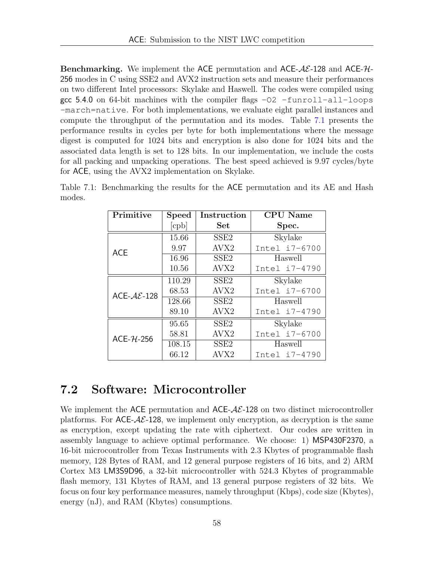**Benchmarking.** We implement the ACE permutation and ACE- $AE$ -128 and ACE- $H$ -256 modes in C using SSE2 and AVX2 instruction sets and measure their performances on two different Intel processors: Skylake and Haswell. The codes were compiled using gcc 5.4.0 on 64-bit machines with the compiler flags  $-02$  -funroll-all-loops -march=native. For both implementations, we evaluate eight parallel instances and compute the throughput of the permutation and its modes. Table [7.1](#page-57-1) presents the performance results in cycles per byte for both implementations where the message digest is computed for 1024 bits and encryption is also done for 1024 bits and the associated data length is set to 128 bits. In our implementation, we include the costs for all packing and unpacking operations. The best speed achieved is 9.97 cycles/byte for ACE, using the AVX2 implementation on Skylake.

| Primitive                | <b>Speed</b> | Instruction      | <b>CPU</b> Name |  |  |
|--------------------------|--------------|------------------|-----------------|--|--|
|                          | [cpb]        | Set              | Spec.           |  |  |
|                          | 15.66        | SSE <sub>2</sub> | Skylake         |  |  |
| <b>ACE</b>               | 9.97         | AVX <sub>2</sub> | Intel i7-6700   |  |  |
|                          | 16.96        | SSE <sub>2</sub> | Haswell         |  |  |
|                          | 10.56        | AVX2             | Intel i7-4790   |  |  |
|                          | 110.29       | SSE <sub>2</sub> | Skylake         |  |  |
| ACE- $A\mathcal{E}$ -128 | 68.53        | AVX2             | Intel i7-6700   |  |  |
|                          | 128.66       | SSE <sub>2</sub> | Haswell         |  |  |
|                          | 89.10        | AVX2             | Intel i7-4790   |  |  |
|                          | 95.65        | SSE <sub>2</sub> | Skylake         |  |  |
| $ACE-7L-256$             | 58.81        | AVX2             | Intel i7-6700   |  |  |
|                          | 108.15       | SSE <sub>2</sub> | Haswell         |  |  |
|                          | 66.12        | AVX2             | Intel i7-4790   |  |  |

<span id="page-57-1"></span>Table 7.1: Benchmarking the results for the ACE permutation and its AE and Hash modes.

#### <span id="page-57-0"></span>7.2 Software: Microcontroller

We implement the ACE permutation and ACE- $A\mathcal{E}$ -128 on two distinct microcontroller platforms. For  $ACE-\mathcal{A}\mathcal{E}$ -128, we implement only encryption, as decryption is the same as encryption, except updating the rate with ciphertext. Our codes are written in assembly language to achieve optimal performance. We choose: 1) MSP430F2370, a 16-bit microcontroller from Texas Instruments with 2.3 Kbytes of programmable flash memory, 128 Bytes of RAM, and 12 general purpose registers of 16 bits, and 2) ARM Cortex M3 LM3S9D96, a 32-bit microcontroller with 524.3 Kbytes of programmable flash memory, 131 Kbytes of RAM, and 13 general purpose registers of 32 bits. We focus on four key performance measures, namely throughput (Kbps), code size (Kbytes), energy (nJ), and RAM (Kbytes) consumptions.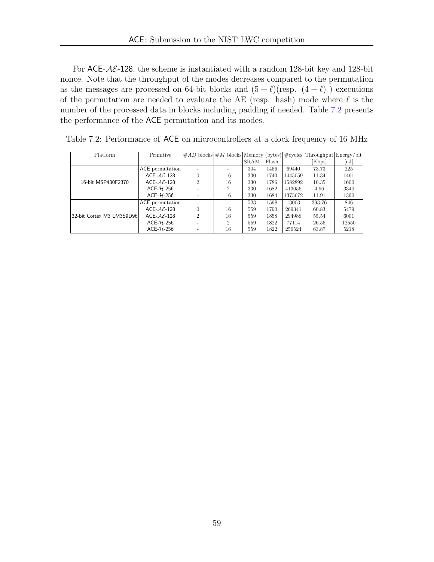For ACE- $AE$ -128, the scheme is instantiated with a random 128-bit key and 128-bit nonce. Note that the throughput of the modes decreases compared to the permutation as the messages are processed on 64-bit blocks and  $(5 + \ell)(\text{resp. } (4 + \ell))$  executions of the permutation are needed to evaluate the AE (resp. hash) mode where  $\ell$  is the number of the processed data in blocks including padding if needed. Table [7.2](#page-58-0) presents the performance of the ACE permutation and its modes.

| Platform                   | Primitive                | $\#AD$ blocks $\#M$ blocks Memory (bytes) $\#cycles$ Throughput Energy/bit |                |             |       |         |        |       |
|----------------------------|--------------------------|----------------------------------------------------------------------------|----------------|-------------|-------|---------|--------|-------|
|                            |                          |                                                                            |                | <b>SRAM</b> | Flash |         | [Kbps] | nJ    |
|                            | <b>ACE</b> permutation   |                                                                            |                | 304         | 1456  | 69440   | 73.73  | 225   |
|                            | ACE- $A\mathcal{E}$ -128 | $\Omega$                                                                   | 16             | 330         | 1740  | 1445059 | 11.34  | 1461  |
| 16-bit MSP430F2370         | ACE- $AE-128$            | 2                                                                          | 16             | 330         | 1786  | 1582892 | 10.35  | 1600  |
|                            | $ACE-7L-256$             |                                                                            | $\overline{2}$ | 330         | 1682  | 413056  | 4.96   | 3340  |
|                            | $ACE-7L-256$             |                                                                            | 16             | 330         | 1684  | 1375672 | 11.91  | 1390  |
|                            | ACE permutation          |                                                                            |                | 523         | 1598  | 13003   | 393.76 | 846   |
|                            | ACE- $AE-128$            | $\Omega$                                                                   | 16             | 559         | 1790  | 269341  | 60.83  | 5479  |
| 32-bit Cortex M3 LM3S9D961 | ACE- $A\mathcal{E}$ -128 | 2                                                                          | 16             | 559         | 1858  | 294988  | 55.54  | 6001  |
|                            | $ACE-7L-256$             |                                                                            | $\overline{2}$ | 559         | 1822  | 77114   | 26.56  | 12550 |
|                            | $ACE-7L-256$             |                                                                            | 16             | 559         | 1822  | 256524  | 63.87  | 5218  |

<span id="page-58-0"></span>Table 7.2: Performance of ACE on microcontrollers at a clock frequency of 16 MHz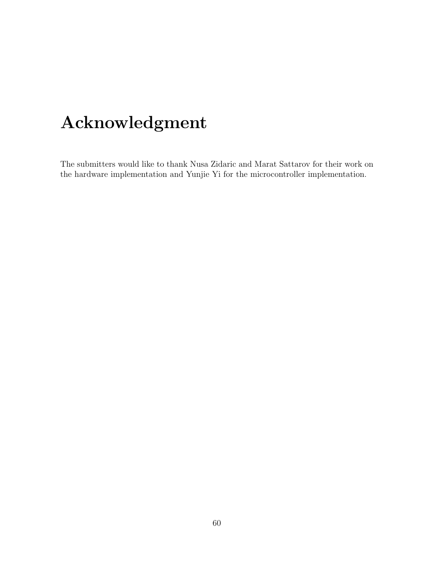## Acknowledgment

The submitters would like to thank Nusa Zidaric and Marat Sattarov for their work on the hardware implementation and Yunjie Yi for the microcontroller implementation.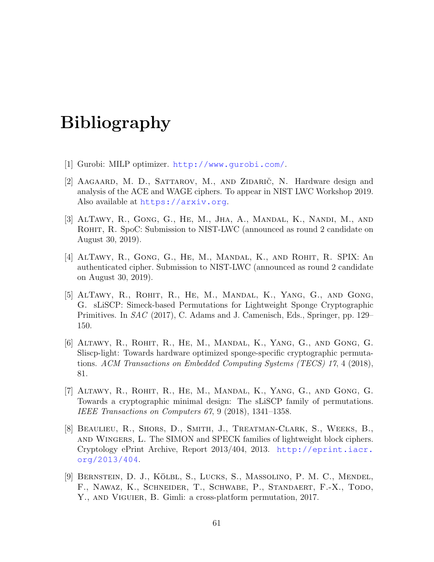## Bibliography

- <span id="page-60-0"></span>[1] Gurobi: MILP optimizer. <http://www.gurobi.com/>.
- [2] AAGAARD, M. D., SATTAROV, M., AND ZIDARIC, N. Hardware design and analysis of the ACE and WAGE ciphers. To appear in NIST LWC Workshop 2019. Also available at <https://arxiv.org>.
- <span id="page-60-7"></span>[3] AlTawy, R., Gong, G., He, M., Jha, A., Mandal, K., Nandi, M., and ROHIT, R. SpoC: Submission to NIST-LWC (announced as round 2 candidate on August 30, 2019).
- <span id="page-60-6"></span>[4] AlTawy, R., Gong, G., He, M., Mandal, K., and Rohit, R. SPIX: An authenticated cipher. Submission to NIST-LWC (announced as round 2 candidate on August 30, 2019).
- <span id="page-60-1"></span>[5] AlTawy, R., Rohit, R., He, M., Mandal, K., Yang, G., and Gong, G. sLiSCP: Simeck-based Permutations for Lightweight Sponge Cryptographic Primitives. In SAC (2017), C. Adams and J. Camenisch, Eds., Springer, pp. 129– 150.
- <span id="page-60-2"></span>[6] Altawy, R., Rohit, R., He, M., Mandal, K., Yang, G., and Gong, G. Sliscp-light: Towards hardware optimized sponge-specific cryptographic permutations. ACM Transactions on Embedded Computing Systems (TECS) 17, 4 (2018), 81.
- <span id="page-60-5"></span>[7] Altawy, R., Rohit, R., He, M., Mandal, K., Yang, G., and Gong, G. Towards a cryptographic minimal design: The sLiSCP family of permutations. IEEE Transactions on Computers 67, 9 (2018), 1341–1358.
- <span id="page-60-4"></span>[8] Beaulieu, R., Shors, D., Smith, J., Treatman-Clark, S., Weeks, B., and Wingers, L. The SIMON and SPECK families of lightweight block ciphers. Cryptology ePrint Archive, Report 2013/404, 2013. [http://eprint.iacr.](http://eprint.iacr.org/2013/404) [org/2013/404](http://eprint.iacr.org/2013/404).
- <span id="page-60-3"></span>[9] BERNSTEIN, D. J., KÖLBL, S., LUCKS, S., MASSOLINO, P. M. C., MENDEL, F., Nawaz, K., Schneider, T., Schwabe, P., Standaert, F.-X., Todo, Y., AND VIGUIER, B. Gimli: a cross-platform permutation, 2017.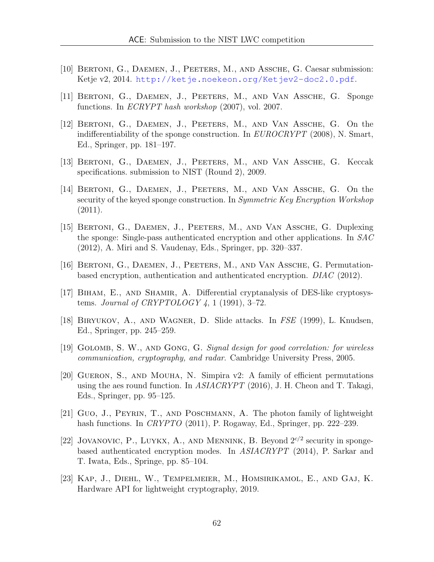- <span id="page-61-10"></span>[10] Bertoni, G., Daemen, J., Peeters, M., and Assche, G. Caesar submission: Ketje v2, 2014. <http://ketje.noekeon.org/Ketjev2-doc2.0.pdf>.
- <span id="page-61-3"></span>[11] Bertoni, G., Daemen, J., Peeters, M., and Van Assche, G. Sponge functions. In ECRYPT hash workshop (2007), vol. 2007.
- <span id="page-61-8"></span>[12] Bertoni, G., Daemen, J., Peeters, M., and Van Assche, G. On the indifferentiability of the sponge construction. In  $EUROCRYPT$  (2008), N. Smart, Ed., Springer, pp. 181–197.
- <span id="page-61-7"></span>[13] Bertoni, G., Daemen, J., Peeters, M., and Van Assche, G. Keccak specifications. submission to NIST (Round 2), 2009.
- <span id="page-61-5"></span>[14] Bertoni, G., Daemen, J., Peeters, M., and Van Assche, G. On the security of the keyed sponge construction. In Symmetric Key Encryption Workshop (2011).
- <span id="page-61-4"></span>[15] Bertoni, G., Daemen, J., Peeters, M., and Van Assche, G. Duplexing the sponge: Single-pass authenticated encryption and other applications. In SAC (2012), A. Miri and S. Vaudenay, Eds., Springer, pp. 320–337.
- <span id="page-61-9"></span>[16] BERTONI, G., DAEMEN, J., PEETERS, M., AND VAN ASSCHE, G. Permutationbased encryption, authentication and authenticated encryption. DIAC (2012).
- <span id="page-61-1"></span>[17] BIHAM, E., AND SHAMIR, A. Differential cryptanalysis of DES-like cryptosystems. Journal of CRYPTOLOGY  $\ddot{4}$ , 1 (1991), 3-72.
- <span id="page-61-2"></span>[18] Biryukov, A., and Wagner, D. Slide attacks. In FSE (1999), L. Knudsen, Ed., Springer, pp. 245–259.
- <span id="page-61-11"></span>[19] Golomb, S. W., and Gong, G. Signal design for good correlation: for wireless communication, cryptography, and radar. Cambridge University Press, 2005.
- <span id="page-61-12"></span>[20] Gueron, S., and Mouha, N. Simpira v2: A family of efficient permutations using the aes round function. In ASIACRYPT (2016), J. H. Cheon and T. Takagi, Eds., Springer, pp. 95–125.
- <span id="page-61-0"></span>[21] Guo, J., Peyrin, T., and Poschmann, A. The photon family of lightweight hash functions. In *CRYPTO* (2011), P. Rogaway, Ed., Springer, pp. 222–239.
- <span id="page-61-6"></span>[22] JOVANOVIC, P., LUYKX, A., AND MENNINK, B. Beyond  $2^{c/2}$  security in spongebased authenticated encryption modes. In ASIACRYPT (2014), P. Sarkar and T. Iwata, Eds., Springe, pp. 85–104.
- <span id="page-61-13"></span>[23] Kap, J., Diehl, W., Tempelmeier, M., Homsirikamol, E., and Gaj, K. Hardware API for lightweight cryptography, 2019.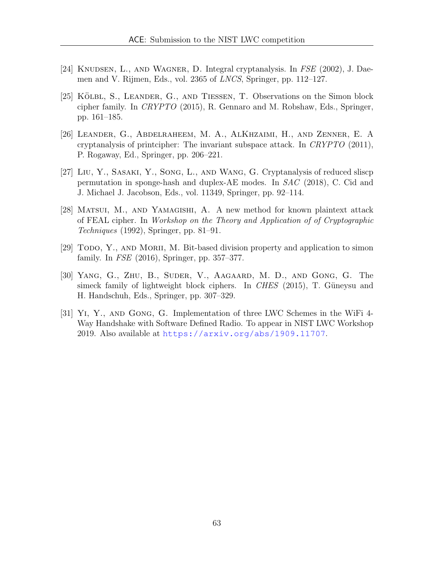- <span id="page-62-4"></span>[24] Knudsen, L., and Wagner, D. Integral cryptanalysis. In FSE (2002), J. Daemen and V. Rijmen, Eds., vol. 2365 of LNCS, Springer, pp. 112–127.
- <span id="page-62-1"></span> $[25]$  KÖLBL, S., LEANDER, G., AND TIESSEN, T. Observations on the Simon block cipher family. In CRYPTO (2015), R. Gennaro and M. Robshaw, Eds., Springer, pp. 161–185.
- <span id="page-62-5"></span>[26] Leander, G., Abdelraheem, M. A., AlKhzaimi, H., and Zenner, E. A cryptanalysis of printcipher: The invariant subspace attack. In CRYPTO (2011), P. Rogaway, Ed., Springer, pp. 206–221.
- <span id="page-62-6"></span>[27] Liu, Y., Sasaki, Y., Song, L., and Wang, G. Cryptanalysis of reduced sliscp permutation in sponge-hash and duplex-AE modes. In SAC (2018), C. Cid and J. Michael J. Jacobson, Eds., vol. 11349, Springer, pp. 92–114.
- <span id="page-62-2"></span>[28] Matsui, M., and Yamagishi, A. A new method for known plaintext attack of FEAL cipher. In Workshop on the Theory and Application of of Cryptographic Techniques (1992), Springer, pp. 81–91.
- <span id="page-62-3"></span>[29] Todo, Y., and Morii, M. Bit-based division property and application to simon family. In FSE (2016), Springer, pp. 357–377.
- <span id="page-62-0"></span>[30] Yang, G., Zhu, B., Suder, V., Aagaard, M. D., and Gong, G. The simeck family of lightweight block ciphers. In CHES (2015), T. Güneysu and H. Handschuh, Eds., Springer, pp. 307–329.
- [31] Yi, Y., and Gong, G. Implementation of three LWC Schemes in the WiFi 4- Way Handshake with Software Defined Radio. To appear in NIST LWC Workshop 2019. Also available at <https://arxiv.org/abs/1909.11707>.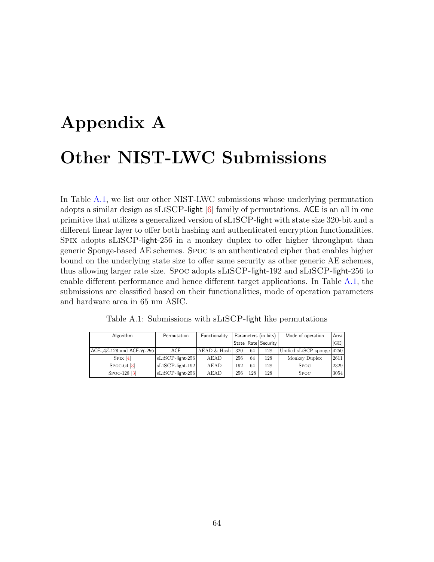# <span id="page-63-0"></span>Appendix A Other NIST-LWC Submissions

In Table [A.1,](#page-63-1) we list our other NIST-LWC submissions whose underlying permutation adopts a similar design as  $SLISCP$ -light  $[6]$  family of permutations. ACE is an all in one primitive that utilizes a generalized version of sLiSCP-light with state size 320-bit and a different linear layer to offer both hashing and authenticated encryption functionalities. Spix adopts sLiSCP-light-256 in a monkey duplex to offer higher throughput than generic Sponge-based AE schemes. Spoc is an authenticated cipher that enables higher bound on the underlying state size to offer same security as other generic AE schemes, thus allowing larger rate size. Spoc adopts sLiSCP-light-192 and sLiSCP-light-256 to enable different performance and hence different target applications. In Table [A.1,](#page-63-1) the submissions are classified based on their functionalities, mode of operation parameters and hardware area in 65 nm ASIC.

<span id="page-63-1"></span>

| Algorithm                                                                      | Permutation         | Functionality | Parameters (in bits) |     |                         |                            |      | Mode of operation | Area |
|--------------------------------------------------------------------------------|---------------------|---------------|----------------------|-----|-------------------------|----------------------------|------|-------------------|------|
|                                                                                |                     |               |                      |     | State   Rate   Security |                            | GE   |                   |      |
| $ \text{ACE-}\mathcal{AE}\text{-}128$ and $\text{ACE-}\mathcal{H}\text{-}256 $ | ACE                 | AEAD & Hash   | 320                  | 64  | 128                     | Unified sLiSCP sponge 4250 |      |                   |      |
| $SPIX$ [4]                                                                     | $SLISCP$ -light-256 | AEAD          | 256                  | 64  | 128                     | Monkey Duplex              | 2611 |                   |      |
| $SPOC-64$ [3]                                                                  | $SLISCP$ -light-192 | AEAD          | 192                  | 64  | 128                     | <b>SPOC</b>                | 2329 |                   |      |
| $SPOC-128$ [3]                                                                 | sLISCP-light-256    | AEAD          | 256                  | 128 | 128                     | <b>SPOC</b>                | 3054 |                   |      |

Table A.1: Submissions with sLiSCP-light like permutations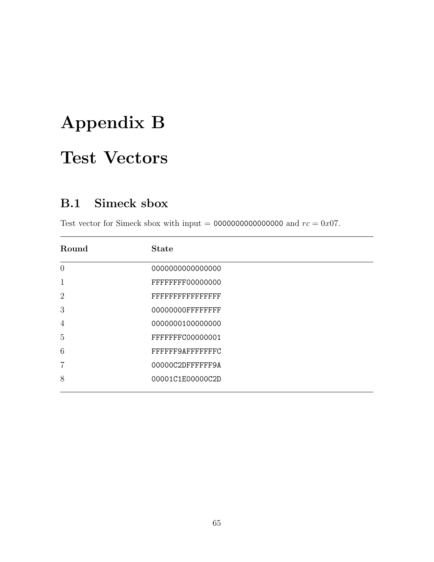## <span id="page-64-0"></span>Appendix B

## Test Vectors

## <span id="page-64-1"></span>B.1 Simeck sbox

Test vector for Simeck sbox with input = 00000000000000000 and  $rc = 0x07$ .

| Round          | <b>State</b>      |
|----------------|-------------------|
| $\theta$       | 000000000000000   |
| 1              | FFFFFFFF00000000  |
| $\overline{2}$ | FFFFFFFFFFFFFFFF  |
| 3              | 00000000FFFFFFFFF |
| 4              | 0000000100000000  |
| 5              | FFFFFFFC00000001  |
| 6              | FFFFFF9AFFFFFFFC  |
| $\overline{7}$ | 00000C2DFFFFFF9A  |
| 8              | 00001C1E00000C2D  |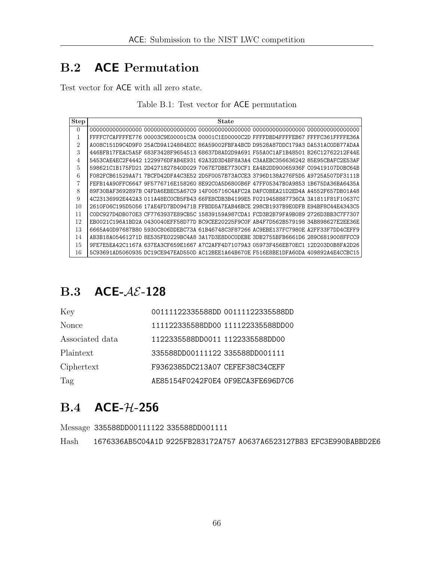## <span id="page-65-0"></span>B.2 ACE Permutation

<span id="page-65-3"></span>Test vector for ACE with all zero state.

|  |  |  |  |  | Table B.1: Test vector for ACE permutation |
|--|--|--|--|--|--------------------------------------------|
|--|--|--|--|--|--------------------------------------------|

| <b>Step</b>    | State                                                                                      |
|----------------|--------------------------------------------------------------------------------------------|
| $\Omega$       |                                                                                            |
| 1              | FFFFC7CAFFFFE776 00003C9E00001C3A 00001C1E00000C2D FFFFDBD4FFFFEB67 FFFFC361FFFFE36A       |
| $\overline{2}$ | A008C151D9C4D9F0_25ACD9A124884ECC_86A59002FBFA4BCD_D9528A87DDC179A3_DA531AC0DB77ADAA       |
| 3              | 446BFB17FEAC5A5F683F3428F965451368637D8AD2D9A691F55A0C1AF1B48501B26C12762212F44E           |
| 4              | 5453CAE4EC2F4442 1229976DFAB4E931 62A32D3D4BF8A3A4 C3AAEBC356636242 85E95CBAFC2E53AF       |
| 5              | 598621C1B175FD21 2D4271827840D029 7067E7DBE7730CF1 EA4B2DD90065936F C09419107D0BC64B       |
| 6              | F082FCB61529AA71 7BCFD42DFA4C3E52 2D5F0057B73ACCE3 3796D138A276F5D5 A9725A507DF3111B       |
| 7              | FEFB14A90FFC6647 9F5776716E158260 8E92C0A5D6800B6F 47FF05347B0A9853 1B675DA36BA6435A       |
| 8              | 89F30BAF3692897B C4FDA6EBEC5A67C9 14F005716C4AFC2A DAFC0BEA21D2ED4A A4552F657DB01A48       |
| 9              | 4C23136992E442A3 011A48EC0CB5FB43 66FE8CDB3B4199E5 F0219458887736CA 3A1811F81F10637C       |
| 10             | 2610F06C195D5056 17AE4FD7BD09471B FFBDD5A7EAB46BCE 298CB1937B9E0DFB E94BF8C44E4343C5       |
| 11             | CODC927D4DB070E3 CF7763937E89CB5C 15839159A987CDA1 FCD3B2B79FA9B089 2726D3BB3C7F7307       |
| 12             | EB0021C196A1BD2A0430040EFF58D77DBC9CEE20225F9C0FAB4F7D562B57919834B898627E2EE36E           |
| 13             | 6665A40D97687B80 5930C806DDEBC73A 61B46748C3F87266 AC9EBE137FC7980E A2FF33F7DD4CEFF9       |
| 14             | AB3B18A05461271D 8E535FE0229BC4A8 3A17D3E8D0C0DEBE 3DB2755BFB6661D6 289C6819008FFCC9       |
| 15             | 637EA3CF659E1667 A7C2AFF4D71079A3<br>05973F456EB70EC1 12D203D0B8FA2D26<br>9FE7E5EA42C1167A |
| 16             | 5C93691AD5060935 DC19CE947EAD550D AC12BEE1A64B670E F516E8BE1DFA60DA 409892A4E4CCBC15       |

## <span id="page-65-1"></span>B.3 ACE- $A\mathcal{E}$ -128

| Key              | 00111122335588DD 00111122335588DD |  |
|------------------|-----------------------------------|--|
| <b>Nonce</b>     | 111122335588DD00 111122335588DD00 |  |
| Associated data  | 1122335588DD0011 1122335588DD00   |  |
| <b>Plaintext</b> | 335588DD00111122 335588DD001111   |  |
| Ciphertext       | F9362385DC213A07 CEFEF38C34CEFF   |  |
| Tag              | AE85154F0242F0E4 OF9ECA3FE696D7C6 |  |

## <span id="page-65-2"></span>B.4 ACE-H-256

Message 335588DD00111122 335588DD001111

Hash 1676336AB5C04A1D 9225FB283172A757 A0637A6523127B83 EFC3E990BABBD2E6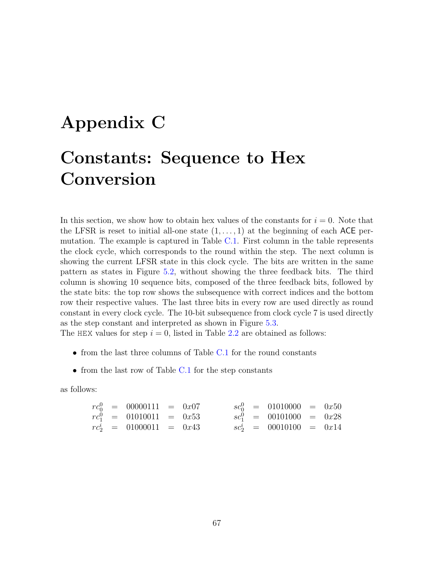## <span id="page-66-0"></span>Appendix C Constants: Sequence to Hex Conversion

In this section, we show how to obtain hex values of the constants for  $i = 0$ . Note that the LFSR is reset to initial all-one state  $(1, \ldots, 1)$  at the beginning of each ACE permutation. The example is captured in Table [C.1.](#page-67-0) First column in the table represents the clock cycle, which corresponds to the round within the step. The next column is showing the current LFSR state in this clock cycle. The bits are written in the same pattern as states in Figure [5.2,](#page-29-1) without showing the three feedback bits. The third column is showing 10 sequence bits, composed of the three feedback bits, followed by the state bits: the top row shows the subsequence with correct indices and the bottom row their respective values. The last three bits in every row are used directly as round constant in every clock cycle. The 10-bit subsequence from clock cycle 7 is used directly as the step constant and interpreted as shown in Figure [5.3.](#page-30-1)

The HEX values for step  $i = 0$ , listed in Table [2.2](#page-12-0) are obtained as follows:

- from the last three columns of Table [C.1](#page-67-0) for the round constants
- from the last row of Table [C.1](#page-67-0) for the step constants

as follows:

$$
\begin{array}{rclcrcl} rc_0^0 & = & 00000111 & = & 0x07 & & sc_0^0 & = & 01010000 & = & 0x50 \\ rc_1^0 & = & 01010011 & = & 0x53 & & sc_1^0 & = & 00101000 & = & 0x28 \\ rc_2^i & = & 01000011 & = & 0x43 & & sc_2^i & = & 00010100 & = & 0x14 \end{array}
$$